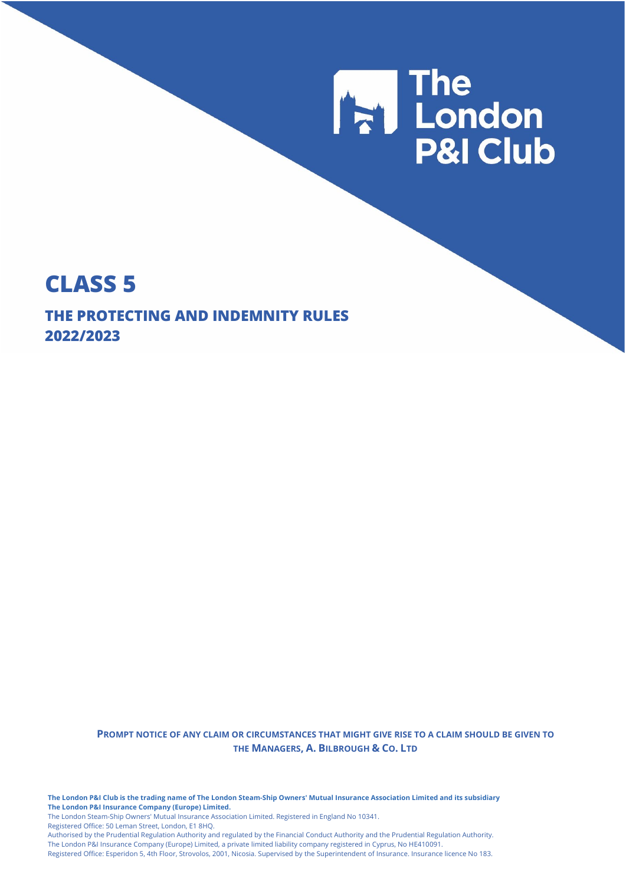

## **CLASS 5**

**THE PROTECTING AND INDEMNITY RULES 2022/2023**

> **PROMPT NOTICE OF ANY CLAIM OR CIRCUMSTANCES THAT MIGHT GIVE RISE TO A CLAIM SHOULD BE GIVEN TO THE MANAGERS, A. BILBROUGH & CO. LTD**

**The London P&I Club is the trading name of The London Steam-Ship Owners' Mutual Insurance Association Limited and its subsidiary The London P&I Insurance Company (Europe) Limited.** The London Steam-Ship Owners' Mutual Insurance Association Limited. Registered in England No 10341. Registered Office: 50 Leman Street, London, E1 8HQ.

Authorised by the Prudential Regulation Authority and regulated by the Financial Conduct Authority and the Prudential Regulation Authority. The London P&I Insurance Company (Europe) Limited, a private limited liability company registered in Cyprus, No HE410091.

Registered Office: Esperidon 5, 4th Floor, Strovolos, 2001, Nicosia. Supervised by the Superintendent of Insurance. Insurance licence No 183.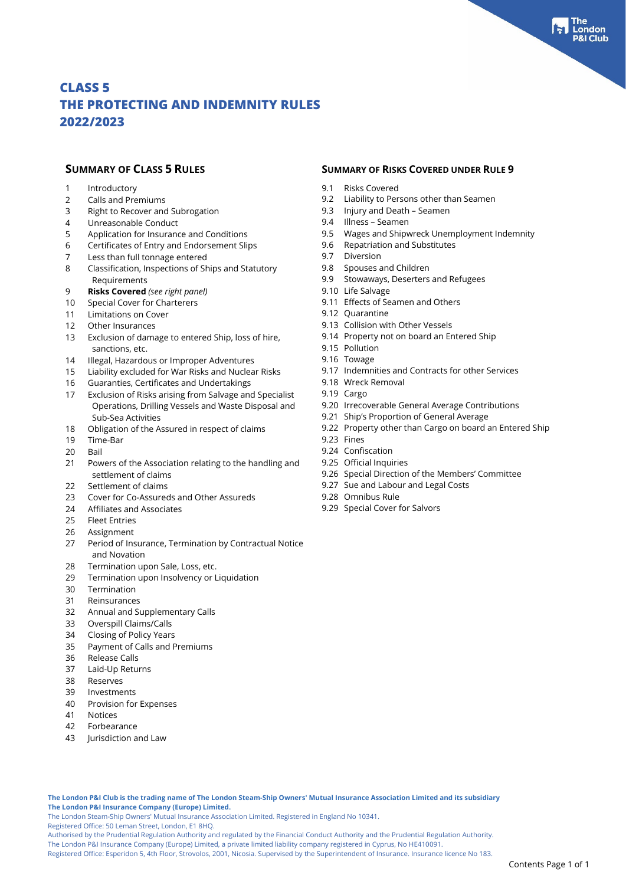- 1 Introductory
- 2 Calls and Premiums<br>3 Right to Recover and
- Right to Recover and Subrogation
- 4 Unreasonable Conduct<br>5 Application for Insurance
- 5 Application for Insurance and Conditions
- 6 Certificates of Entry and Endorsement Slips<br>7 Less than full tonnage entered
- Less than full tonnage entered
- 8 Classification, Inspections of Ships and Statutory Requirements
- 9 **Risks Covered** *(see right panel)*
- 10 Special Cover for Charterers
- 11 Limitations on Cover
- 12 Other Insurances
- 13 Exclusion of damage to entered Ship, loss of hire, sanctions, etc.
- 14 Illegal, Hazardous or Improper Adventures
- 15 Liability excluded for War Risks and Nuclear Risks
- 16 Guaranties, Certificates and Undertakings
- 17 Exclusion of Risks arising from Salvage and Specialist Operations, Drilling Vessels and Waste Disposal and Sub-Sea Activities
- 18 Obligation of the Assured in respect of claims
- 19 Time-Bar
- 20 Bail
- 21 Powers of the Association relating to the handling and settlement of claims
- 22 Settlement of claims
- 23 Cover for Co-Assureds and Other Assureds
- 24 Affiliates and Associates
- 25 Fleet Entries
- 26 Assignment
- 27 Period of Insurance, Termination by Contractual Notice and Novation
- 28 Termination upon Sale, Loss, etc.
- 29 Termination upon Insolvency or Liquidation
- 30 Termination
- 31 Reinsurances
- 32 Annual and Supplementary Calls
- 33 Overspill Claims/Calls
- 34 Closing of Policy Years
- 35 Payment of Calls and Premiums
- 36 Release Calls
- 37 Laid-Up Returns
- 38 Reserves
- 39 Investments
- 40 Provision for Expenses
- 41 Notices
- 42 Forbearance
- 43 Jurisdiction and Law

#### **SUMMARY OF CLASS 5 RULES SUMMARY OF RISKS COVERED UNDER RULE 9**

- 9.1 Risks Covered
- 9.2 Liability to Persons other than Seamen
- 9.3 Injury and Death Seamen
- 9.4 Illness Seamen
- 9.5 Wages and Shipwreck Unemployment Indemnity
- 9.6 Repatriation and Substitutes
- 9.7 Diversion
- 9.8 Spouses and Children
- 9.9 Stowaways, Deserters and Refugees
- 9.10 Life Salvage
- 9.11 Effects of Seamen and Others
- 9.12 Quarantine
- 9.13 Collision with Other Vessels
- 9.14 Property not on board an Entered Ship
- 9.15 Pollution
- 9.16 Towage
- 9.17 Indemnities and Contracts for other Services
- 9.18 Wreck Removal
- 9.19 Cargo
- 9.20 Irrecoverable General Average Contributions
- 9.21 Ship's Proportion of General Average
- 9.22 Property other than Cargo on board an Entered Ship
- 9.23 Fines
- 9.24 Confiscation
- 9.25 Official Inquiries
- 9.26 Special Direction of the Members' Committee
- 9.27 Sue and Labour and Legal Costs
- 9.28 Omnibus Rule
- 9.29 Special Cover for Salvors

**The London P&I Club is the trading name of The London Steam-Ship Owners' Mutual Insurance Association Limited and its subsidiary The London P&I Insurance Company (Europe) Limited.**

The London Steam-Ship Owners' Mutual Insurance Association Limited. Registered in England No 10341.

Registered Office: 50 Leman Street, London, E1 8HQ.

Authorised by the Prudential Regulation Authority and regulated by the Financial Conduct Authority and the Prudential Regulation Authority.

The London P&I Insurance Company (Europe) Limited, a private limited liability company registered in Cyprus, No HE410091.

Registered Office: Esperidon 5, 4th Floor, Strovolos, 2001, Nicosia. Supervised by the Superintendent of Insurance. Insurance licence No 183.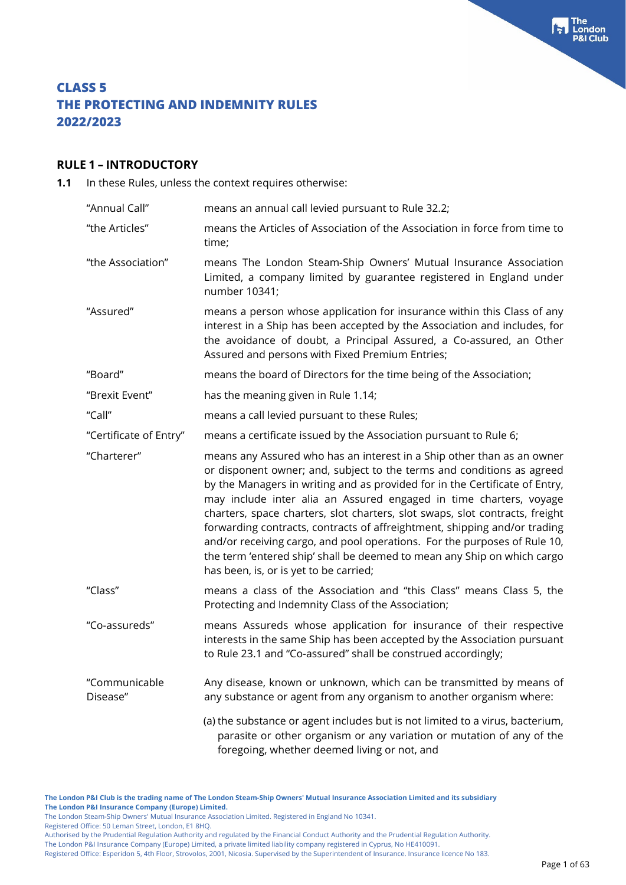#### **RULE 1 – INTRODUCTORY**

**1.1** In these Rules, unless the context requires otherwise:

| "Annual Call"             | means an annual call levied pursuant to Rule 32.2;                                                                                                                                                                                                                                                                                                                                                                                                                                                                                                                                                                                                                   |
|---------------------------|----------------------------------------------------------------------------------------------------------------------------------------------------------------------------------------------------------------------------------------------------------------------------------------------------------------------------------------------------------------------------------------------------------------------------------------------------------------------------------------------------------------------------------------------------------------------------------------------------------------------------------------------------------------------|
| "the Articles"            | means the Articles of Association of the Association in force from time to<br>time;                                                                                                                                                                                                                                                                                                                                                                                                                                                                                                                                                                                  |
| "the Association"         | means The London Steam-Ship Owners' Mutual Insurance Association<br>Limited, a company limited by guarantee registered in England under<br>number 10341;                                                                                                                                                                                                                                                                                                                                                                                                                                                                                                             |
| "Assured"                 | means a person whose application for insurance within this Class of any<br>interest in a Ship has been accepted by the Association and includes, for<br>the avoidance of doubt, a Principal Assured, a Co-assured, an Other<br>Assured and persons with Fixed Premium Entries;                                                                                                                                                                                                                                                                                                                                                                                       |
| "Board"                   | means the board of Directors for the time being of the Association;                                                                                                                                                                                                                                                                                                                                                                                                                                                                                                                                                                                                  |
| "Brexit Event"            | has the meaning given in Rule 1.14;                                                                                                                                                                                                                                                                                                                                                                                                                                                                                                                                                                                                                                  |
| "Call"                    | means a call levied pursuant to these Rules;                                                                                                                                                                                                                                                                                                                                                                                                                                                                                                                                                                                                                         |
| "Certificate of Entry"    | means a certificate issued by the Association pursuant to Rule 6;                                                                                                                                                                                                                                                                                                                                                                                                                                                                                                                                                                                                    |
| "Charterer"               | means any Assured who has an interest in a Ship other than as an owner<br>or disponent owner; and, subject to the terms and conditions as agreed<br>by the Managers in writing and as provided for in the Certificate of Entry,<br>may include inter alia an Assured engaged in time charters, voyage<br>charters, space charters, slot charters, slot swaps, slot contracts, freight<br>forwarding contracts, contracts of affreightment, shipping and/or trading<br>and/or receiving cargo, and pool operations. For the purposes of Rule 10,<br>the term 'entered ship' shall be deemed to mean any Ship on which cargo<br>has been, is, or is yet to be carried; |
| "Class"                   | means a class of the Association and "this Class" means Class 5, the<br>Protecting and Indemnity Class of the Association;                                                                                                                                                                                                                                                                                                                                                                                                                                                                                                                                           |
| "Co-assureds"             | means Assureds whose application for insurance of their respective<br>interests in the same Ship has been accepted by the Association pursuant<br>to Rule 23.1 and "Co-assured" shall be construed accordingly;                                                                                                                                                                                                                                                                                                                                                                                                                                                      |
| "Communicable<br>Disease" | Any disease, known or unknown, which can be transmitted by means of<br>any substance or agent from any organism to another organism where:                                                                                                                                                                                                                                                                                                                                                                                                                                                                                                                           |
|                           | (a) the substance or agent includes but is not limited to a virus, bacterium,<br>parasite or other organism or any variation or mutation of any of the<br>foregoing, whether deemed living or not, and                                                                                                                                                                                                                                                                                                                                                                                                                                                               |

**The London P&I Club is the trading name of The London Steam-Ship Owners' Mutual Insurance Association Limited and its subsidiary The London P&I Insurance Company (Europe) Limited.**

The London Steam-Ship Owners' Mutual Insurance Association Limited. Registered in England No 10341.

Registered Office: 50 Leman Street, London, E1 8HQ.

Authorised by the Prudential Regulation Authority and regulated by the Financial Conduct Authority and the Prudential Regulation Authority.

The London P&I Insurance Company (Europe) Limited, a private limited liability company registered in Cyprus, No HE410091. Registered Office: Esperidon 5, 4th Floor, Strovolos, 2001, Nicosia. Supervised by the Superintendent of Insurance. Insurance licence No 183. The<br>London **Club**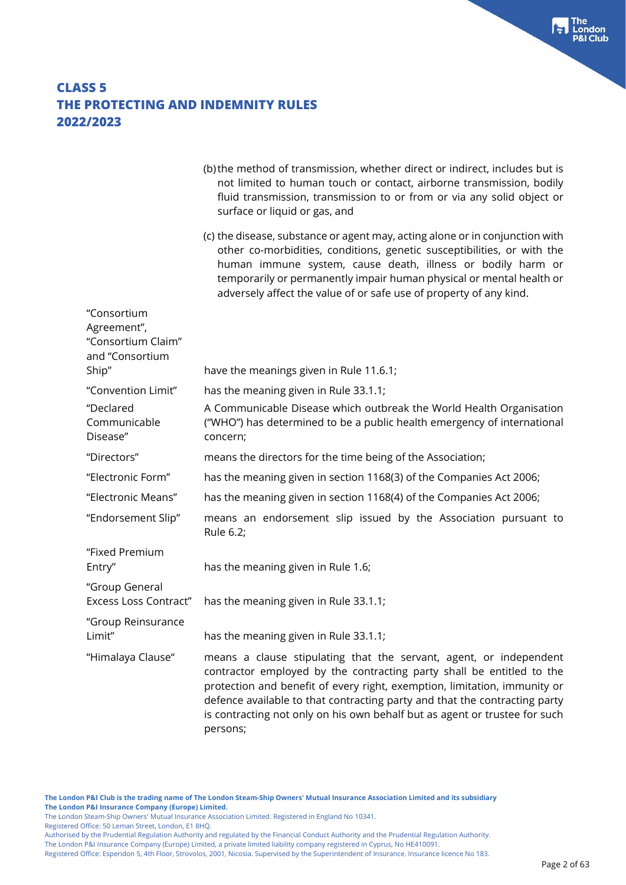|                                                                     | (b) the method of transmission, whether direct or indirect, includes but is<br>not limited to human touch or contact, airborne transmission, bodily<br>fluid transmission, transmission to or from or via any solid object or<br>surface or liquid or gas, and                                                                                                                                   |
|---------------------------------------------------------------------|--------------------------------------------------------------------------------------------------------------------------------------------------------------------------------------------------------------------------------------------------------------------------------------------------------------------------------------------------------------------------------------------------|
|                                                                     | (c) the disease, substance or agent may, acting alone or in conjunction with<br>other co-morbidities, conditions, genetic susceptibilities, or with the<br>human immune system, cause death, illness or bodily harm or<br>temporarily or permanently impair human physical or mental health or<br>adversely affect the value of or safe use of property of any kind.                             |
| "Consortium<br>Agreement",<br>"Consortium Claim"<br>and "Consortium |                                                                                                                                                                                                                                                                                                                                                                                                  |
| Ship"                                                               | have the meanings given in Rule 11.6.1;                                                                                                                                                                                                                                                                                                                                                          |
| "Convention Limit"<br>"Declared                                     | has the meaning given in Rule 33.1.1;<br>A Communicable Disease which outbreak the World Health Organisation                                                                                                                                                                                                                                                                                     |
| Communicable<br>Disease"                                            | ("WHO") has determined to be a public health emergency of international<br>concern;                                                                                                                                                                                                                                                                                                              |
| "Directors"                                                         | means the directors for the time being of the Association;                                                                                                                                                                                                                                                                                                                                       |
| "Electronic Form"                                                   | has the meaning given in section 1168(3) of the Companies Act 2006;                                                                                                                                                                                                                                                                                                                              |
| "Electronic Means"                                                  | has the meaning given in section 1168(4) of the Companies Act 2006;                                                                                                                                                                                                                                                                                                                              |
| "Endorsement Slip"                                                  | means an endorsement slip issued by the Association pursuant to<br>Rule 6.2;                                                                                                                                                                                                                                                                                                                     |
| "Fixed Premium<br>Entry"                                            | has the meaning given in Rule 1.6;                                                                                                                                                                                                                                                                                                                                                               |
| "Group General<br><b>Excess Loss Contract"</b>                      | has the meaning given in Rule 33.1.1;                                                                                                                                                                                                                                                                                                                                                            |
| "Group Reinsurance<br>Limit"                                        | has the meaning given in Rule 33.1.1;                                                                                                                                                                                                                                                                                                                                                            |
| "Himalaya Clause"                                                   | means a clause stipulating that the servant, agent, or independent<br>contractor employed by the contracting party shall be entitled to the<br>protection and benefit of every right, exemption, limitation, immunity or<br>defence available to that contracting party and that the contracting party<br>is contracting not only on his own behalf but as agent or trustee for such<br>persons; |

Registered Office: 50 Leman Street, London, E1 8HQ.

The London P&I Insurance Company (Europe) Limited, a private limited liability company registered in Cyprus, No HE410091.

**Fall** The<br>P&I Club<br>P&I Club

The London Steam-Ship Owners' Mutual Insurance Association Limited. Registered in England No 10341.

Authorised by the Prudential Regulation Authority and regulated by the Financial Conduct Authority and the Prudential Regulation Authority.

Registered Office: Esperidon 5, 4th Floor, Strovolos, 2001, Nicosia. Supervised by the Superintendent of Insurance. Insurance licence No 183.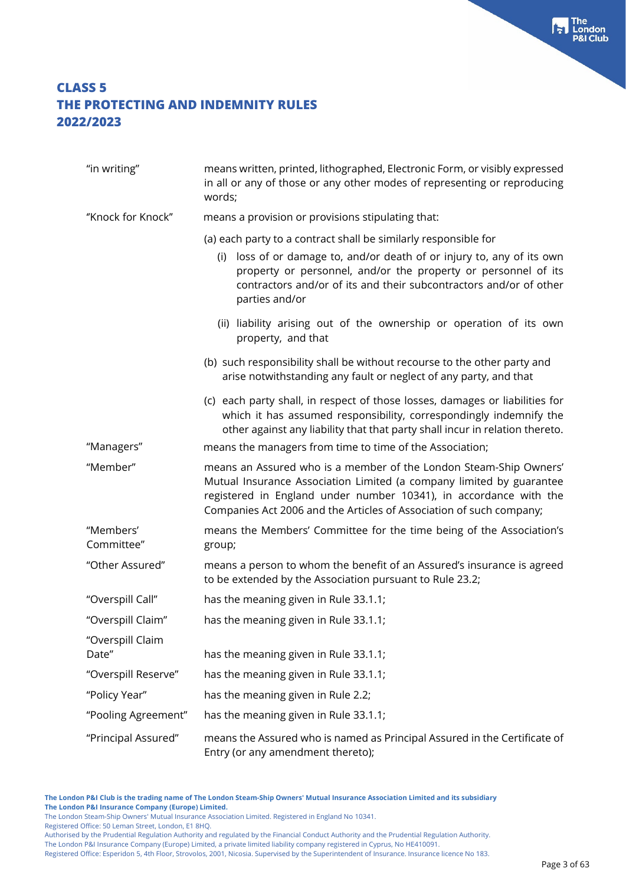| "in writing"              | means written, printed, lithographed, Electronic Form, or visibly expressed<br>in all or any of those or any other modes of representing or reproducing<br>words;                                                                                                                     |  |
|---------------------------|---------------------------------------------------------------------------------------------------------------------------------------------------------------------------------------------------------------------------------------------------------------------------------------|--|
| "Knock for Knock"         | means a provision or provisions stipulating that:                                                                                                                                                                                                                                     |  |
|                           | (a) each party to a contract shall be similarly responsible for                                                                                                                                                                                                                       |  |
|                           | loss of or damage to, and/or death of or injury to, any of its own<br>(i)<br>property or personnel, and/or the property or personnel of its<br>contractors and/or of its and their subcontractors and/or of other<br>parties and/or                                                   |  |
|                           | (ii) liability arising out of the ownership or operation of its own<br>property, and that                                                                                                                                                                                             |  |
|                           | (b) such responsibility shall be without recourse to the other party and<br>arise notwithstanding any fault or neglect of any party, and that                                                                                                                                         |  |
|                           | (c) each party shall, in respect of those losses, damages or liabilities for<br>which it has assumed responsibility, correspondingly indemnify the<br>other against any liability that that party shall incur in relation thereto.                                                    |  |
| "Managers"                | means the managers from time to time of the Association;                                                                                                                                                                                                                              |  |
| "Member"                  | means an Assured who is a member of the London Steam-Ship Owners'<br>Mutual Insurance Association Limited (a company limited by guarantee<br>registered in England under number 10341), in accordance with the<br>Companies Act 2006 and the Articles of Association of such company; |  |
| "Members'<br>Committee"   | means the Members' Committee for the time being of the Association's<br>group;                                                                                                                                                                                                        |  |
| "Other Assured"           | means a person to whom the benefit of an Assured's insurance is agreed<br>to be extended by the Association pursuant to Rule 23.2;                                                                                                                                                    |  |
| "Overspill Call"          | has the meaning given in Rule 33.1.1;                                                                                                                                                                                                                                                 |  |
| "Overspill Claim"         | has the meaning given in Rule 33.1.1;                                                                                                                                                                                                                                                 |  |
| "Overspill Claim<br>Date" | has the meaning given in Rule 33.1.1;                                                                                                                                                                                                                                                 |  |
| "Overspill Reserve"       | has the meaning given in Rule 33.1.1;                                                                                                                                                                                                                                                 |  |
| "Policy Year"             | has the meaning given in Rule 2.2;                                                                                                                                                                                                                                                    |  |
| "Pooling Agreement"       | has the meaning given in Rule 33.1.1;                                                                                                                                                                                                                                                 |  |
| "Principal Assured"       | means the Assured who is named as Principal Assured in the Certificate of<br>Entry (or any amendment thereto);                                                                                                                                                                        |  |

**The London P&I Club is the trading name of The London Steam-Ship Owners' Mutual Insurance Association Limited and its subsidiary The London P&I Insurance Company (Europe) Limited.**

The London Steam-Ship Owners' Mutual Insurance Association Limited. Registered in England No 10341.

Registered Office: 50 Leman Street, London, E1 8HQ.

Authorised by the Prudential Regulation Authority and regulated by the Financial Conduct Authority and the Prudential Regulation Authority.

The London P&I Insurance Company (Europe) Limited, a private limited liability company registered in Cyprus, No HE410091.

Registered Office: Esperidon 5, 4th Floor, Strovolos, 2001, Nicosia. Supervised by the Superintendent of Insurance. Insurance licence No 183.

**Fall** The<br>P&I Club<br>P&I Club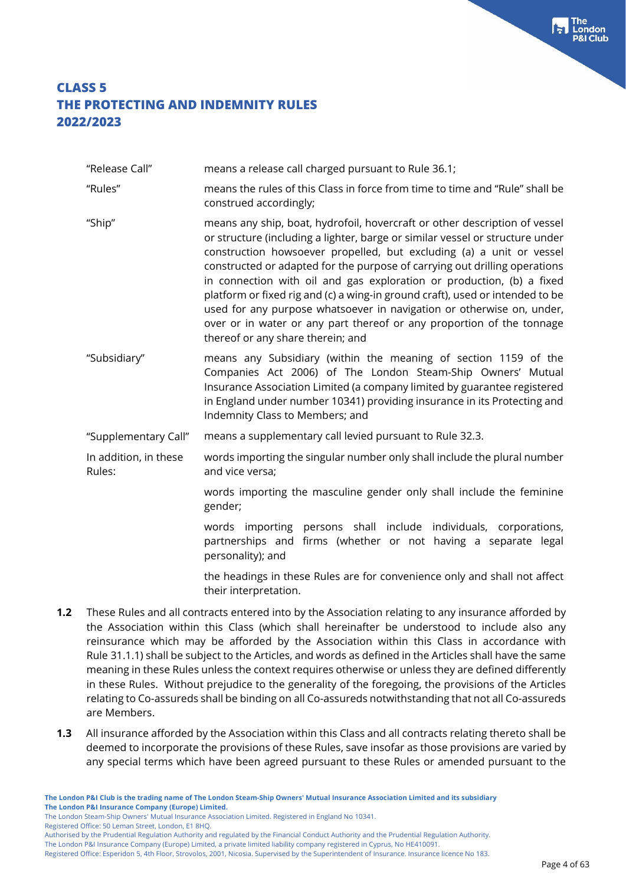"Release Call" means a release call charged pursuant to Rule 36.1;

"Rules" means the rules of this Class in force from time to time and "Rule" shall be construed accordingly;

- "Ship" means any ship, boat, hydrofoil, hovercraft or other description of vessel or structure (including a lighter, barge or similar vessel or structure under construction howsoever propelled, but excluding (a) a unit or vessel constructed or adapted for the purpose of carrying out drilling operations in connection with oil and gas exploration or production, (b) a fixed platform or fixed rig and (c) a wing-in ground craft), used or intended to be used for any purpose whatsoever in navigation or otherwise on, under, over or in water or any part thereof or any proportion of the tonnage thereof or any share therein; and
- "Subsidiary" means any Subsidiary (within the meaning of section 1159 of the Companies Act 2006) of The London Steam-Ship Owners' Mutual Insurance Association Limited (a company limited by guarantee registered in England under number 10341) providing insurance in its Protecting and Indemnity Class to Members; and

"Supplementary Call" means a supplementary call levied pursuant to Rule 32.3.

In addition, in these Rules: words importing the singular number only shall include the plural number and vice versa;

> words importing the masculine gender only shall include the feminine gender;

> words importing persons shall include individuals, corporations, partnerships and firms (whether or not having a separate legal personality); and

> the headings in these Rules are for convenience only and shall not affect their interpretation.

- **1.2** These Rules and all contracts entered into by the Association relating to any insurance afforded by the Association within this Class (which shall hereinafter be understood to include also any reinsurance which may be afforded by the Association within this Class in accordance with Rule 31.1.1) shall be subject to the Articles, and words as defined in the Articles shall have the same meaning in these Rules unless the context requires otherwise or unless they are defined differently in these Rules. Without prejudice to the generality of the foregoing, the provisions of the Articles relating to Co-assureds shall be binding on all Co-assureds notwithstanding that not all Co-assureds are Members.
- **1.3** All insurance afforded by the Association within this Class and all contracts relating thereto shall be deemed to incorporate the provisions of these Rules, save insofar as those provisions are varied by any special terms which have been agreed pursuant to these Rules or amended pursuant to the

The London Steam-Ship Owners' Mutual Insurance Association Limited. Registered in England No 10341.

Registered Office: 50 Leman Street, London, E1 8HQ.

Authorised by the Prudential Regulation Authority and regulated by the Financial Conduct Authority and the Prudential Regulation Authority.

Registered Office: Esperidon 5, 4th Floor, Strovolos, 2001, Nicosia. Supervised by the Superintendent of Insurance. Insurance licence No 183.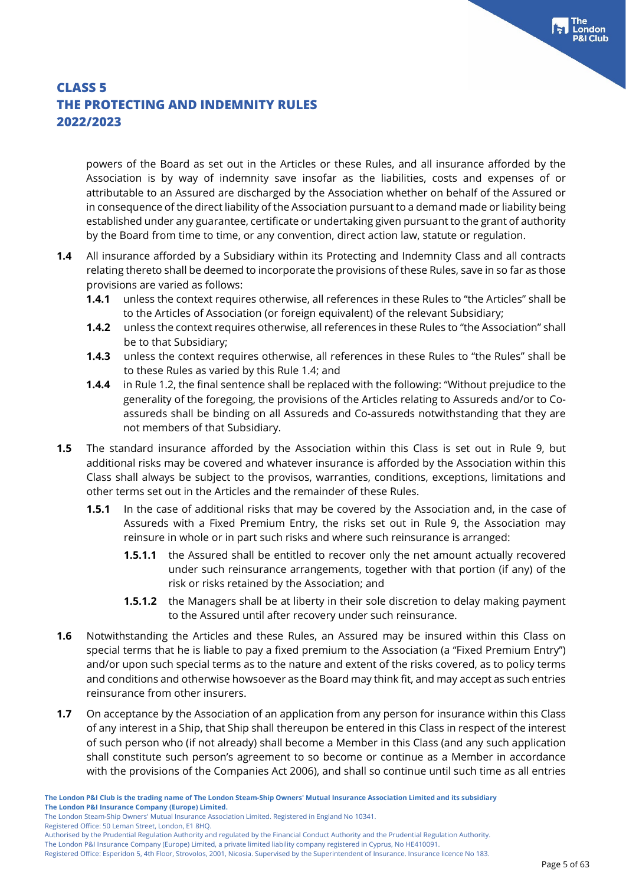powers of the Board as set out in the Articles or these Rules, and all insurance afforded by the Association is by way of indemnity save insofar as the liabilities, costs and expenses of or attributable to an Assured are discharged by the Association whether on behalf of the Assured or in consequence of the direct liability of the Association pursuant to a demand made or liability being established under any guarantee, certificate or undertaking given pursuant to the grant of authority by the Board from time to time, or any convention, direct action law, statute or regulation.

- **1.4** All insurance afforded by a Subsidiary within its Protecting and Indemnity Class and all contracts relating thereto shall be deemed to incorporate the provisions of these Rules, save in so far as those provisions are varied as follows:
	- **1.4.1** unless the context requires otherwise, all references in these Rules to "the Articles" shall be to the Articles of Association (or foreign equivalent) of the relevant Subsidiary;
	- **1.4.2** unless the context requires otherwise, all references in these Rules to "the Association" shall be to that Subsidiary;
	- **1.4.3** unless the context requires otherwise, all references in these Rules to "the Rules" shall be to these Rules as varied by this Rule 1.4; and
	- **1.4.4** in Rule 1.2, the final sentence shall be replaced with the following: "Without prejudice to the generality of the foregoing, the provisions of the Articles relating to Assureds and/or to Coassureds shall be binding on all Assureds and Co-assureds notwithstanding that they are not members of that Subsidiary.
- **1.5** The standard insurance afforded by the Association within this Class is set out in Rule 9, but additional risks may be covered and whatever insurance is afforded by the Association within this Class shall always be subject to the provisos, warranties, conditions, exceptions, limitations and other terms set out in the Articles and the remainder of these Rules.
	- **1.5.1** In the case of additional risks that may be covered by the Association and, in the case of Assureds with a Fixed Premium Entry, the risks set out in Rule 9, the Association may reinsure in whole or in part such risks and where such reinsurance is arranged:
		- **1.5.1.1** the Assured shall be entitled to recover only the net amount actually recovered under such reinsurance arrangements, together with that portion (if any) of the risk or risks retained by the Association; and
		- **1.5.1.2** the Managers shall be at liberty in their sole discretion to delay making payment to the Assured until after recovery under such reinsurance.
- **1.6** Notwithstanding the Articles and these Rules, an Assured may be insured within this Class on special terms that he is liable to pay a fixed premium to the Association (a "Fixed Premium Entry'') and/or upon such special terms as to the nature and extent of the risks covered, as to policy terms and conditions and otherwise howsoever as the Board may think fit, and may accept as such entries reinsurance from other insurers.
- **1.7** On acceptance by the Association of an application from any person for insurance within this Class of any interest in a Ship, that Ship shall thereupon be entered in this Class in respect of the interest of such person who (if not already) shall become a Member in this Class (and any such application shall constitute such person's agreement to so become or continue as a Member in accordance with the provisions of the Companies Act 2006), and shall so continue until such time as all entries

The London Steam-Ship Owners' Mutual Insurance Association Limited. Registered in England No 10341.

Registered Office: 50 Leman Street, London, E1 8HQ.

Authorised by the Prudential Regulation Authority and regulated by the Financial Conduct Authority and the Prudential Regulation Authority.

Registered Office: Esperidon 5, 4th Floor, Strovolos, 2001, Nicosia. Supervised by the Superintendent of Insurance. Insurance licence No 183.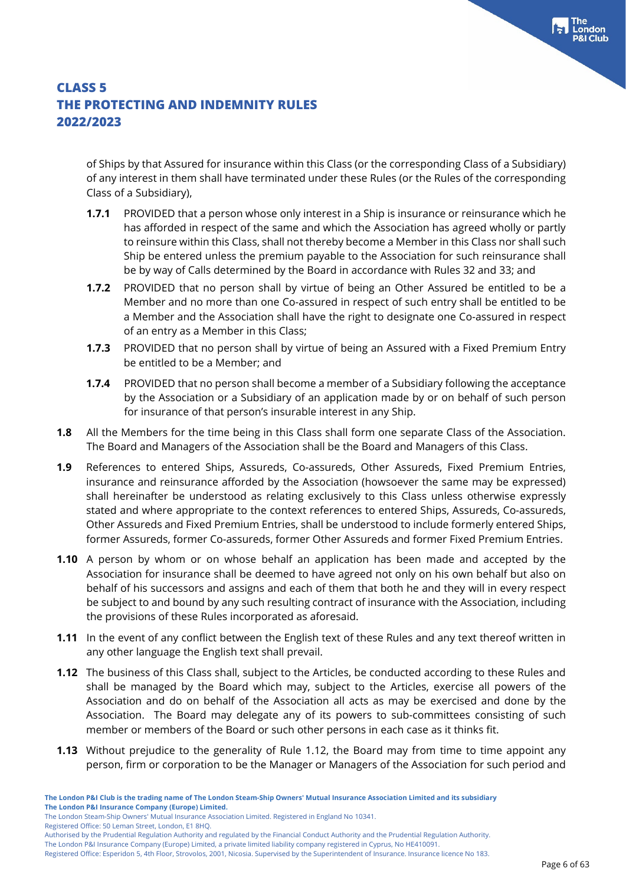of Ships by that Assured for insurance within this Class (or the corresponding Class of a Subsidiary) of any interest in them shall have terminated under these Rules (or the Rules of the corresponding Class of a Subsidiary),

- **1.7.1** PROVIDED that a person whose only interest in a Ship is insurance or reinsurance which he has afforded in respect of the same and which the Association has agreed wholly or partly to reinsure within this Class, shall not thereby become a Member in this Class nor shall such Ship be entered unless the premium payable to the Association for such reinsurance shall be by way of Calls determined by the Board in accordance with Rules 32 and 33; and
- **1.7.2** PROVIDED that no person shall by virtue of being an Other Assured be entitled to be a Member and no more than one Co-assured in respect of such entry shall be entitled to be a Member and the Association shall have the right to designate one Co-assured in respect of an entry as a Member in this Class;
- **1.7.3** PROVIDED that no person shall by virtue of being an Assured with a Fixed Premium Entry be entitled to be a Member; and
- **1.7.4** PROVIDED that no person shall become a member of a Subsidiary following the acceptance by the Association or a Subsidiary of an application made by or on behalf of such person for insurance of that person's insurable interest in any Ship.
- **1.8** All the Members for the time being in this Class shall form one separate Class of the Association. The Board and Managers of the Association shall be the Board and Managers of this Class.
- **1.9** References to entered Ships, Assureds, Co-assureds, Other Assureds, Fixed Premium Entries, insurance and reinsurance afforded by the Association (howsoever the same may be expressed) shall hereinafter be understood as relating exclusively to this Class unless otherwise expressly stated and where appropriate to the context references to entered Ships, Assureds, Co-assureds, Other Assureds and Fixed Premium Entries, shall be understood to include formerly entered Ships, former Assureds, former Co-assureds, former Other Assureds and former Fixed Premium Entries.
- **1.10** A person by whom or on whose behalf an application has been made and accepted by the Association for insurance shall be deemed to have agreed not only on his own behalf but also on behalf of his successors and assigns and each of them that both he and they will in every respect be subject to and bound by any such resulting contract of insurance with the Association, including the provisions of these Rules incorporated as aforesaid.
- **1.11** In the event of any conflict between the English text of these Rules and any text thereof written in any other language the English text shall prevail.
- **1.12** The business of this Class shall, subject to the Articles, be conducted according to these Rules and shall be managed by the Board which may, subject to the Articles, exercise all powers of the Association and do on behalf of the Association all acts as may be exercised and done by the Association. The Board may delegate any of its powers to sub-committees consisting of such member or members of the Board or such other persons in each case as it thinks fit.
- **1.13** Without prejudice to the generality of Rule 1.12, the Board may from time to time appoint any person, firm or corporation to be the Manager or Managers of the Association for such period and

The London Steam-Ship Owners' Mutual Insurance Association Limited. Registered in England No 10341.

Registered Office: 50 Leman Street, London, E1 8HQ.

The London P&I Insurance Company (Europe) Limited, a private limited liability company registered in Cyprus, No HE410091. Registered Office: Esperidon 5, 4th Floor, Strovolos, 2001, Nicosia. Supervised by the Superintendent of Insurance. Insurance licence No 183.

Authorised by the Prudential Regulation Authority and regulated by the Financial Conduct Authority and the Prudential Regulation Authority.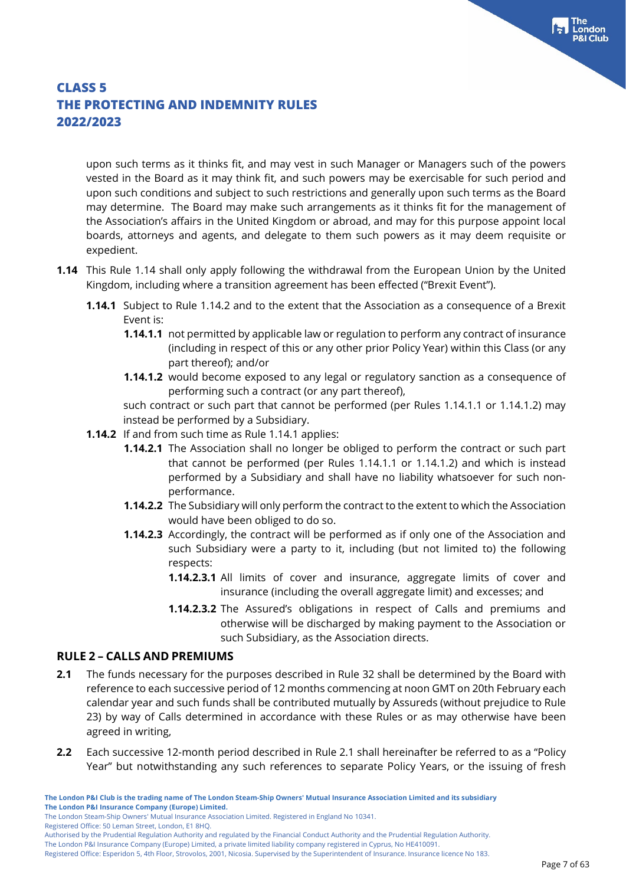upon such terms as it thinks fit, and may vest in such Manager or Managers such of the powers vested in the Board as it may think fit, and such powers may be exercisable for such period and upon such conditions and subject to such restrictions and generally upon such terms as the Board may determine. The Board may make such arrangements as it thinks fit for the management of the Association's affairs in the United Kingdom or abroad, and may for this purpose appoint local boards, attorneys and agents, and delegate to them such powers as it may deem requisite or expedient.

- **1.14** This Rule 1.14 shall only apply following the withdrawal from the European Union by the United Kingdom, including where a transition agreement has been effected ("Brexit Event").
	- **1.14.1** Subject to Rule 1.14.2 and to the extent that the Association as a consequence of a Brexit Event is:
		- **1.14.1.1** not permitted by applicable law or regulation to perform any contract of insurance (including in respect of this or any other prior Policy Year) within this Class (or any part thereof); and/or
		- **1.14.1.2** would become exposed to any legal or regulatory sanction as a consequence of performing such a contract (or any part thereof),

such contract or such part that cannot be performed (per Rules 1.14.1.1 or 1.14.1.2) may instead be performed by a Subsidiary.

- **1.14.2** If and from such time as Rule 1.14.1 applies:
	- **1.14.2.1** The Association shall no longer be obliged to perform the contract or such part that cannot be performed (per Rules 1.14.1.1 or 1.14.1.2) and which is instead performed by a Subsidiary and shall have no liability whatsoever for such nonperformance.
	- **1.14.2.2** The Subsidiary will only perform the contract to the extent to which the Association would have been obliged to do so.
	- **1.14.2.3** Accordingly, the contract will be performed as if only one of the Association and such Subsidiary were a party to it, including (but not limited to) the following respects:
		- **1.14.2.3.1** All limits of cover and insurance, aggregate limits of cover and insurance (including the overall aggregate limit) and excesses; and
		- **1.14.2.3.2** The Assured's obligations in respect of Calls and premiums and otherwise will be discharged by making payment to the Association or such Subsidiary, as the Association directs.

#### **RULE 2 – CALLS AND PREMIUMS**

- **2.1** The funds necessary for the purposes described in Rule 32 shall be determined by the Board with reference to each successive period of 12 months commencing at noon GMT on 20th February each calendar year and such funds shall be contributed mutually by Assureds (without prejudice to Rule 23) by way of Calls determined in accordance with these Rules or as may otherwise have been agreed in writing,
- **2.2** Each successive 12-month period described in Rule 2.1 shall hereinafter be referred to as a "Policy Year" but notwithstanding any such references to separate Policy Years, or the issuing of fresh

The London Steam-Ship Owners' Mutual Insurance Association Limited. Registered in England No 10341.

Registered Office: 50 Leman Street, London, E1 8HQ.

Authorised by the Prudential Regulation Authority and regulated by the Financial Conduct Authority and the Prudential Regulation Authority.

Registered Office: Esperidon 5, 4th Floor, Strovolos, 2001, Nicosia. Supervised by the Superintendent of Insurance. Insurance licence No 183.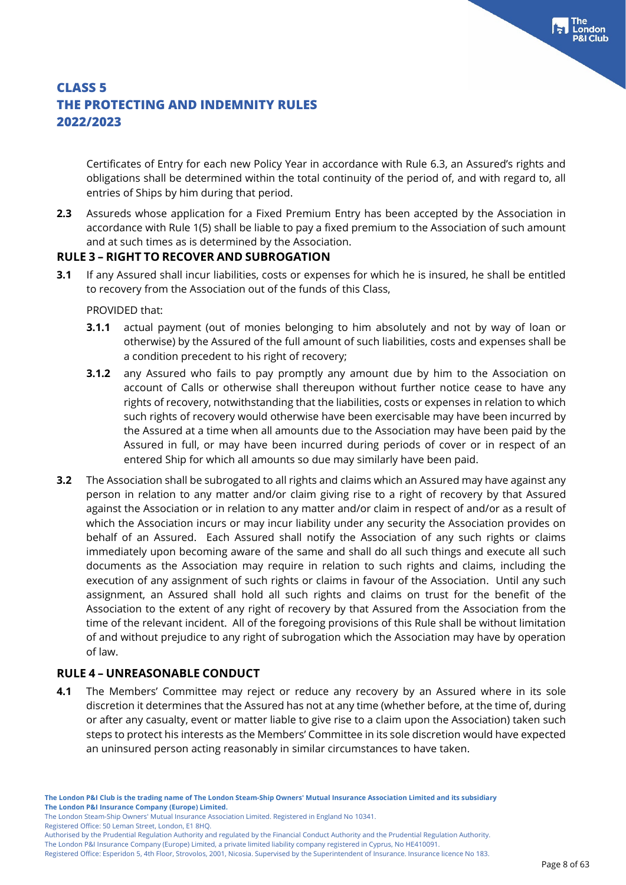Certificates of Entry for each new Policy Year in accordance with Rule 6.3, an Assured's rights and obligations shall be determined within the total continuity of the period of, and with regard to, all entries of Ships by him during that period.

**2.3** Assureds whose application for a Fixed Premium Entry has been accepted by the Association in accordance with Rule 1(5) shall be liable to pay a fixed premium to the Association of such amount and at such times as is determined by the Association.

### **RULE 3 – RIGHT TO RECOVER AND SUBROGATION**

**3.1** If any Assured shall incur liabilities, costs or expenses for which he is insured, he shall be entitled to recovery from the Association out of the funds of this Class,

PROVIDED that:

- **3.1.1** actual payment (out of monies belonging to him absolutely and not by way of loan or otherwise) by the Assured of the full amount of such liabilities, costs and expenses shall be a condition precedent to his right of recovery;
- **3.1.2** any Assured who fails to pay promptly any amount due by him to the Association on account of Calls or otherwise shall thereupon without further notice cease to have any rights of recovery, notwithstanding that the liabilities, costs or expenses in relation to which such rights of recovery would otherwise have been exercisable may have been incurred by the Assured at a time when all amounts due to the Association may have been paid by the Assured in full, or may have been incurred during periods of cover or in respect of an entered Ship for which all amounts so due may similarly have been paid.
- **3.2** The Association shall be subrogated to all rights and claims which an Assured may have against any person in relation to any matter and/or claim giving rise to a right of recovery by that Assured against the Association or in relation to any matter and/or claim in respect of and/or as a result of which the Association incurs or may incur liability under any security the Association provides on behalf of an Assured. Each Assured shall notify the Association of any such rights or claims immediately upon becoming aware of the same and shall do all such things and execute all such documents as the Association may require in relation to such rights and claims, including the execution of any assignment of such rights or claims in favour of the Association. Until any such assignment, an Assured shall hold all such rights and claims on trust for the benefit of the Association to the extent of any right of recovery by that Assured from the Association from the time of the relevant incident. All of the foregoing provisions of this Rule shall be without limitation of and without prejudice to any right of subrogation which the Association may have by operation of law.

### **RULE 4 – UNREASONABLE CONDUCT**

**4.1** The Members' Committee may reject or reduce any recovery by an Assured where in its sole discretion it determines that the Assured has not at any time (whether before, at the time of, during or after any casualty, event or matter liable to give rise to a claim upon the Association) taken such steps to protect his interests as the Members' Committee in its sole discretion would have expected an uninsured person acting reasonably in similar circumstances to have taken.

Registered Office: 50 Leman Street, London, E1 8HQ.

The London Steam-Ship Owners' Mutual Insurance Association Limited. Registered in England No 10341.

Authorised by the Prudential Regulation Authority and regulated by the Financial Conduct Authority and the Prudential Regulation Authority.

Registered Office: Esperidon 5, 4th Floor, Strovolos, 2001, Nicosia. Supervised by the Superintendent of Insurance. Insurance licence No 183.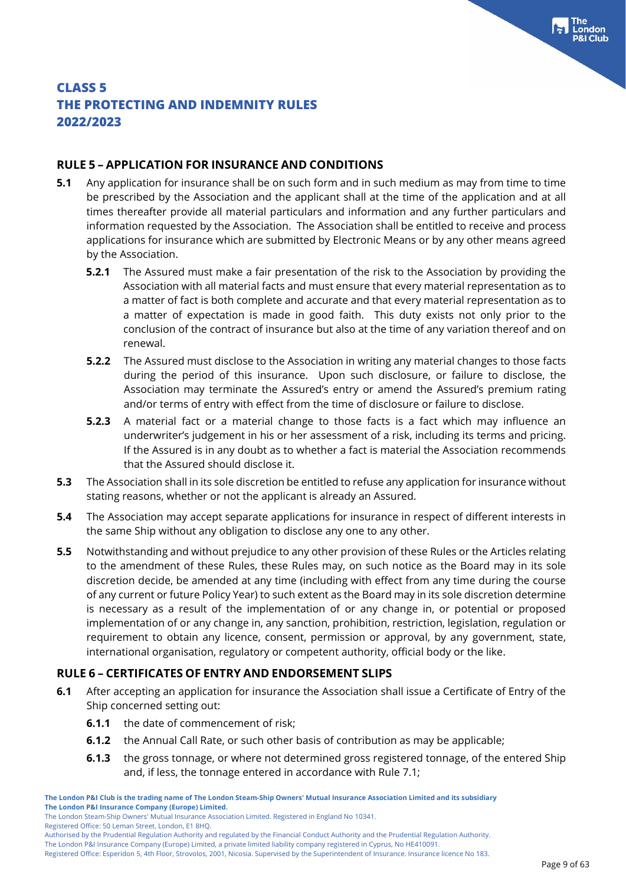ondon

### **CLASS 5 THE PROTECTING AND INDEMNITY RULES 2022/2023**

#### **RULE 5 – APPLICATION FOR INSURANCE AND CONDITIONS**

- **5.1** Any application for insurance shall be on such form and in such medium as may from time to time be prescribed by the Association and the applicant shall at the time of the application and at all times thereafter provide all material particulars and information and any further particulars and information requested by the Association. The Association shall be entitled to receive and process applications for insurance which are submitted by Electronic Means or by any other means agreed by the Association.
	- **5.2.1** The Assured must make a fair presentation of the risk to the Association by providing the Association with all material facts and must ensure that every material representation as to a matter of fact is both complete and accurate and that every material representation as to a matter of expectation is made in good faith. This duty exists not only prior to the conclusion of the contract of insurance but also at the time of any variation thereof and on renewal.
	- **5.2.2** The Assured must disclose to the Association in writing any material changes to those facts during the period of this insurance. Upon such disclosure, or failure to disclose, the Association may terminate the Assured's entry or amend the Assured's premium rating and/or terms of entry with effect from the time of disclosure or failure to disclose.
	- **5.2.3** A material fact or a material change to those facts is a fact which may influence an underwriter's judgement in his or her assessment of a risk, including its terms and pricing. If the Assured is in any doubt as to whether a fact is material the Association recommends that the Assured should disclose it.
- **5.3** The Association shall in its sole discretion be entitled to refuse any application for insurance without stating reasons, whether or not the applicant is already an Assured.
- **5.4** The Association may accept separate applications for insurance in respect of different interests in the same Ship without any obligation to disclose any one to any other.
- **5.5** Notwithstanding and without prejudice to any other provision of these Rules or the Articles relating to the amendment of these Rules, these Rules may, on such notice as the Board may in its sole discretion decide, be amended at any time (including with effect from any time during the course of any current or future Policy Year) to such extent as the Board may in its sole discretion determine is necessary as a result of the implementation of or any change in, or potential or proposed implementation of or any change in, any sanction, prohibition, restriction, legislation, regulation or requirement to obtain any licence, consent, permission or approval, by any government, state, international organisation, regulatory or competent authority, official body or the like.

#### **RULE 6 – CERTIFICATES OF ENTRY AND ENDORSEMENT SLIPS**

- **6.1** After accepting an application for insurance the Association shall issue a Certificate of Entry of the Ship concerned setting out:
	- **6.1.1** the date of commencement of risk;
	- **6.1.2** the Annual Call Rate, or such other basis of contribution as may be applicable;
	- **6.1.3** the gross tonnage, or where not determined gross registered tonnage, of the entered Ship and, if less, the tonnage entered in accordance with Rule 7.1;

Registered Office: 50 Leman Street, London, E1 8HQ.

Authorised by the Prudential Regulation Authority and regulated by the Financial Conduct Authority and the Prudential Regulation Authority.

The London P&I Insurance Company (Europe) Limited, a private limited liability company registered in Cyprus, No HE410091.

Registered Office: Esperidon 5, 4th Floor, Strovolos, 2001, Nicosia. Supervised by the Superintendent of Insurance. Insurance licence No 183.

**The London P&I Club is the trading name of The London Steam-Ship Owners' Mutual Insurance Association Limited and its subsidiary The London P&I Insurance Company (Europe) Limited.**

The London Steam-Ship Owners' Mutual Insurance Association Limited. Registered in England No 10341.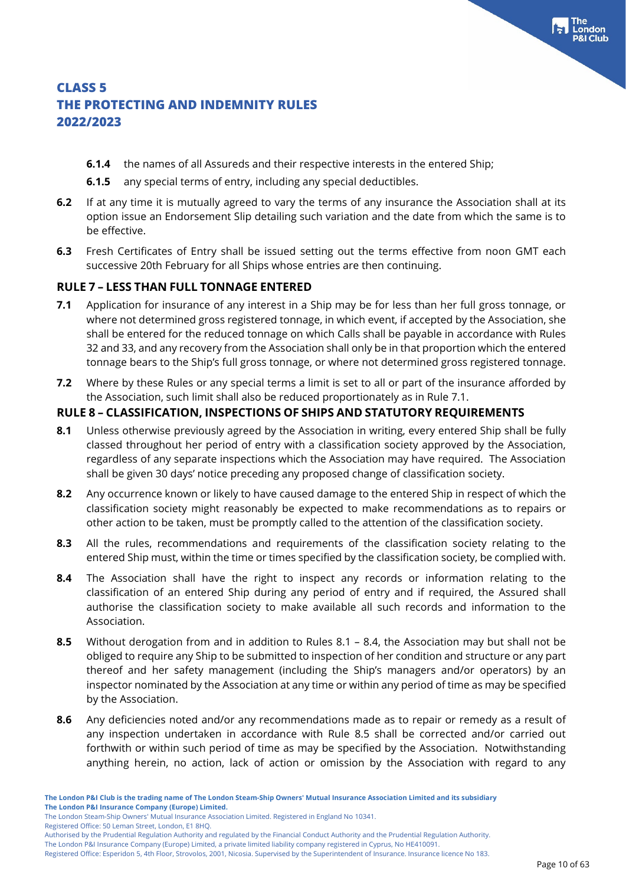- **6.1.4** the names of all Assureds and their respective interests in the entered Ship;
- **6.1.5** any special terms of entry, including any special deductibles.
- **6.2** If at any time it is mutually agreed to vary the terms of any insurance the Association shall at its option issue an Endorsement Slip detailing such variation and the date from which the same is to be effective.
- **6.3** Fresh Certificates of Entry shall be issued setting out the terms effective from noon GMT each successive 20th February for all Ships whose entries are then continuing.

### **RULE 7 – LESS THAN FULL TONNAGE ENTERED**

- **7.1** Application for insurance of any interest in a Ship may be for less than her full gross tonnage, or where not determined gross registered tonnage, in which event, if accepted by the Association, she shall be entered for the reduced tonnage on which Calls shall be payable in accordance with Rules 32 and 33, and any recovery from the Association shall only be in that proportion which the entered tonnage bears to the Ship's full gross tonnage, or where not determined gross registered tonnage.
- **7.2** Where by these Rules or any special terms a limit is set to all or part of the insurance afforded by the Association, such limit shall also be reduced proportionately as in Rule 7.1.

### **RULE 8 – CLASSIFICATION, INSPECTIONS OF SHIPS AND STATUTORY REQUIREMENTS**

- **8.1** Unless otherwise previously agreed by the Association in writing, every entered Ship shall be fully classed throughout her period of entry with a classification society approved by the Association, regardless of any separate inspections which the Association may have required. The Association shall be given 30 days' notice preceding any proposed change of classification society.
- **8.2** Any occurrence known or likely to have caused damage to the entered Ship in respect of which the classification society might reasonably be expected to make recommendations as to repairs or other action to be taken, must be promptly called to the attention of the classification society.
- **8.3** All the rules, recommendations and requirements of the classification society relating to the entered Ship must, within the time or times specified by the classification society, be complied with.
- **8.4** The Association shall have the right to inspect any records or information relating to the classification of an entered Ship during any period of entry and if required, the Assured shall authorise the classification society to make available all such records and information to the Association.
- **8.5** Without derogation from and in addition to Rules 8.1 8.4, the Association may but shall not be obliged to require any Ship to be submitted to inspection of her condition and structure or any part thereof and her safety management (including the Ship's managers and/or operators) by an inspector nominated by the Association at any time or within any period of time as may be specified by the Association.
- **8.6** Any deficiencies noted and/or any recommendations made as to repair or remedy as a result of any inspection undertaken in accordance with Rule 8.5 shall be corrected and/or carried out forthwith or within such period of time as may be specified by the Association. Notwithstanding anything herein, no action, lack of action or omission by the Association with regard to any

Registered Office: 50 Leman Street, London, E1 8HQ.

The London Steam-Ship Owners' Mutual Insurance Association Limited. Registered in England No 10341.

Authorised by the Prudential Regulation Authority and regulated by the Financial Conduct Authority and the Prudential Regulation Authority.

Registered Office: Esperidon 5, 4th Floor, Strovolos, 2001, Nicosia. Supervised by the Superintendent of Insurance. Insurance licence No 183.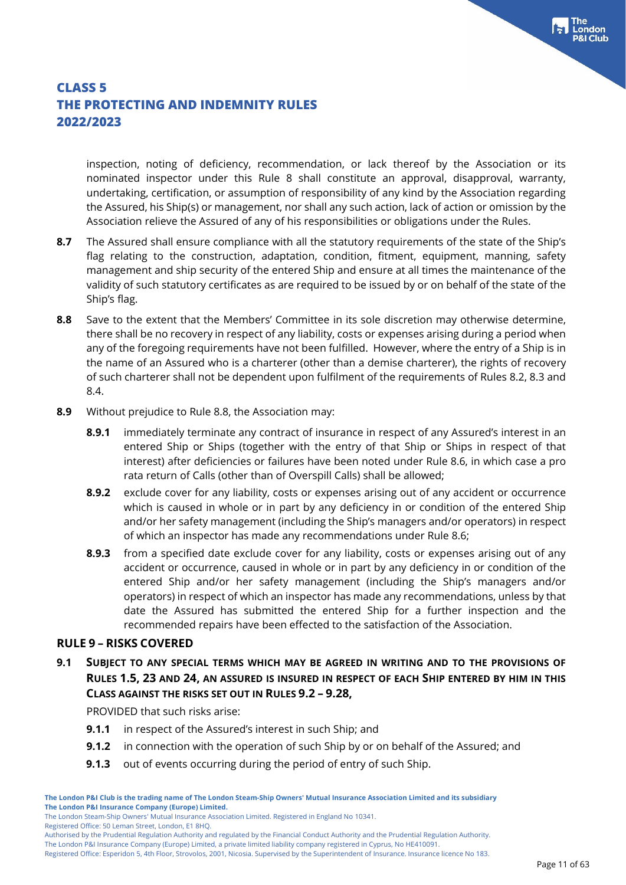inspection, noting of deficiency, recommendation, or lack thereof by the Association or its nominated inspector under this Rule 8 shall constitute an approval, disapproval, warranty, undertaking, certification, or assumption of responsibility of any kind by the Association regarding the Assured, his Ship(s) or management, nor shall any such action, lack of action or omission by the Association relieve the Assured of any of his responsibilities or obligations under the Rules.

- **8.7** The Assured shall ensure compliance with all the statutory requirements of the state of the Ship's flag relating to the construction, adaptation, condition, fitment, equipment, manning, safety management and ship security of the entered Ship and ensure at all times the maintenance of the validity of such statutory certificates as are required to be issued by or on behalf of the state of the Ship's flag.
- **8.8** Save to the extent that the Members' Committee in its sole discretion may otherwise determine, there shall be no recovery in respect of any liability, costs or expenses arising during a period when any of the foregoing requirements have not been fulfilled. However, where the entry of a Ship is in the name of an Assured who is a charterer (other than a demise charterer), the rights of recovery of such charterer shall not be dependent upon fulfilment of the requirements of Rules 8.2, 8.3 and 8.4.
- **8.9** Without prejudice to Rule 8.8, the Association may:
	- **8.9.1** immediately terminate any contract of insurance in respect of any Assured's interest in an entered Ship or Ships (together with the entry of that Ship or Ships in respect of that interest) after deficiencies or failures have been noted under Rule 8.6, in which case a pro rata return of Calls (other than of Overspill Calls) shall be allowed;
	- **8.9.2** exclude cover for any liability, costs or expenses arising out of any accident or occurrence which is caused in whole or in part by any deficiency in or condition of the entered Ship and/or her safety management (including the Ship's managers and/or operators) in respect of which an inspector has made any recommendations under Rule 8.6;
	- **8.9.3** from a specified date exclude cover for any liability, costs or expenses arising out of any accident or occurrence, caused in whole or in part by any deficiency in or condition of the entered Ship and/or her safety management (including the Ship's managers and/or operators) in respect of which an inspector has made any recommendations, unless by that date the Assured has submitted the entered Ship for a further inspection and the recommended repairs have been effected to the satisfaction of the Association.

#### **RULE 9 – RISKS COVERED**

**9.1 SUBJECT TO ANY SPECIAL TERMS WHICH MAY BE AGREED IN WRITING AND TO THE PROVISIONS OF RULES 1.5, 23 AND 24, AN ASSURED IS INSURED IN RESPECT OF EACH SHIP ENTERED BY HIM IN THIS CLASS AGAINST THE RISKS SET OUT IN RULES 9.2 – 9.28,**

PROVIDED that such risks arise:

- **9.1.1** in respect of the Assured's interest in such Ship; and
- **9.1.2** in connection with the operation of such Ship by or on behalf of the Assured; and
- **9.1.3** out of events occurring during the period of entry of such Ship.

Registered Office: 50 Leman Street, London, E1 8HQ.

Authorised by the Prudential Regulation Authority and regulated by the Financial Conduct Authority and the Prudential Regulation Authority.

The London P&I Insurance Company (Europe) Limited, a private limited liability company registered in Cyprus, No HE410091. Registered Office: Esperidon 5, 4th Floor, Strovolos, 2001, Nicosia. Supervised by the Superintendent of Insurance. Insurance licence No 183.

The London Steam-Ship Owners' Mutual Insurance Association Limited. Registered in England No 10341.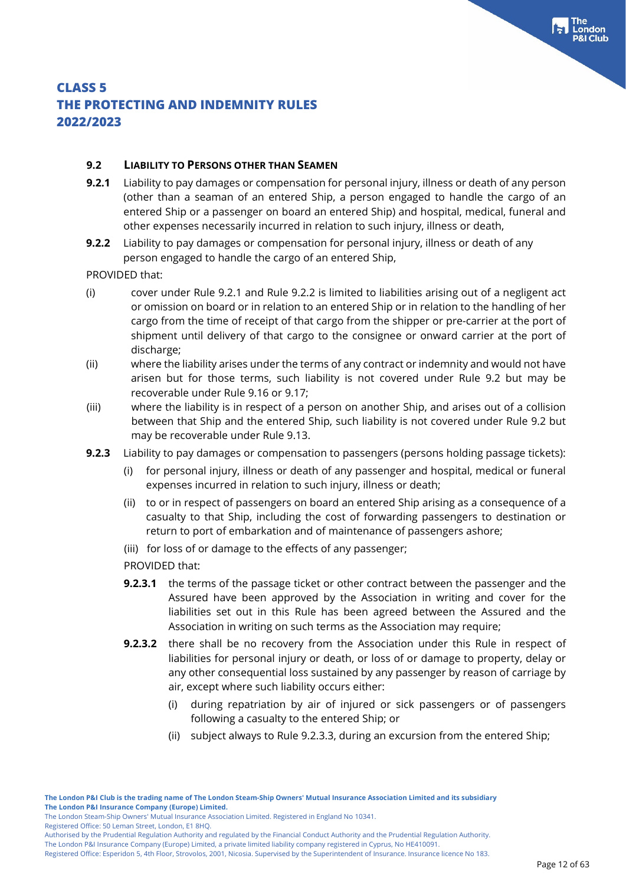ondon

# **THE PROTECTING AND INDEMNITY RULES**

### **2022/2023**

**CLASS 5**

### **9.2 LIABILITY TO PERSONS OTHER THAN SEAMEN**

- **9.2.1** Liability to pay damages or compensation for personal injury, illness or death of any person (other than a seaman of an entered Ship, a person engaged to handle the cargo of an entered Ship or a passenger on board an entered Ship) and hospital, medical, funeral and other expenses necessarily incurred in relation to such injury, illness or death,
- **9.2.2** Liability to pay damages or compensation for personal injury, illness or death of any person engaged to handle the cargo of an entered Ship,

PROVIDED that:

- (i) cover under Rule 9.2.1 and Rule 9.2.2 is limited to liabilities arising out of a negligent act or omission on board or in relation to an entered Ship or in relation to the handling of her cargo from the time of receipt of that cargo from the shipper or pre-carrier at the port of shipment until delivery of that cargo to the consignee or onward carrier at the port of discharge;
- (ii) where the liability arises under the terms of any contract or indemnity and would not have arisen but for those terms, such liability is not covered under Rule 9.2 but may be recoverable under Rule 9.16 or 9.17;
- (iii) where the liability is in respect of a person on another Ship, and arises out of a collision between that Ship and the entered Ship, such liability is not covered under Rule 9.2 but may be recoverable under Rule 9.13.
- **9.2.3** Liability to pay damages or compensation to passengers (persons holding passage tickets):
	- (i) for personal injury, illness or death of any passenger and hospital, medical or funeral expenses incurred in relation to such injury, illness or death;
	- (ii) to or in respect of passengers on board an entered Ship arising as a consequence of a casualty to that Ship, including the cost of forwarding passengers to destination or return to port of embarkation and of maintenance of passengers ashore;
	- (iii) for loss of or damage to the effects of any passenger;

PROVIDED that:

- **9.2.3.1** the terms of the passage ticket or other contract between the passenger and the Assured have been approved by the Association in writing and cover for the liabilities set out in this Rule has been agreed between the Assured and the Association in writing on such terms as the Association may require;
- **9.2.3.2** there shall be no recovery from the Association under this Rule in respect of liabilities for personal injury or death, or loss of or damage to property, delay or any other consequential loss sustained by any passenger by reason of carriage by air, except where such liability occurs either:
	- (i) during repatriation by air of injured or sick passengers or of passengers following a casualty to the entered Ship; or
	- (ii) subject always to Rule 9.2.3.3, during an excursion from the entered Ship;

The London Steam-Ship Owners' Mutual Insurance Association Limited. Registered in England No 10341.

Registered Office: 50 Leman Street, London, E1 8HQ.

Authorised by the Prudential Regulation Authority and regulated by the Financial Conduct Authority and the Prudential Regulation Authority.

The London P&I Insurance Company (Europe) Limited, a private limited liability company registered in Cyprus, No HE410091. Registered Office: Esperidon 5, 4th Floor, Strovolos, 2001, Nicosia. Supervised by the Superintendent of Insurance. Insurance licence No 183.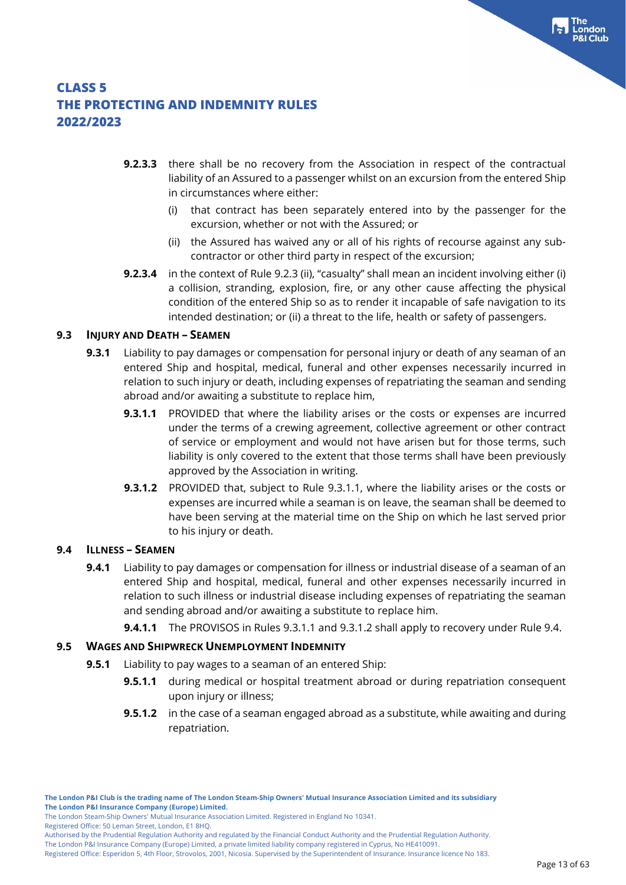- **9.2.3.3** there shall be no recovery from the Association in respect of the contractual liability of an Assured to a passenger whilst on an excursion from the entered Ship in circumstances where either:
	- (i) that contract has been separately entered into by the passenger for the excursion, whether or not with the Assured; or
	- (ii) the Assured has waived any or all of his rights of recourse against any subcontractor or other third party in respect of the excursion;
- **9.2.3.4** in the context of Rule 9.2.3 (ii), "casualty" shall mean an incident involving either (i) a collision, stranding, explosion, fire, or any other cause affecting the physical condition of the entered Ship so as to render it incapable of safe navigation to its intended destination; or (ii) a threat to the life, health or safety of passengers.

### **9.3 INJURY AND DEATH – SEAMEN**

- **9.3.1** Liability to pay damages or compensation for personal injury or death of any seaman of an entered Ship and hospital, medical, funeral and other expenses necessarily incurred in relation to such injury or death, including expenses of repatriating the seaman and sending abroad and/or awaiting a substitute to replace him,
	- **9.3.1.1** PROVIDED that where the liability arises or the costs or expenses are incurred under the terms of a crewing agreement, collective agreement or other contract of service or employment and would not have arisen but for those terms, such liability is only covered to the extent that those terms shall have been previously approved by the Association in writing.
	- **9.3.1.2** PROVIDED that, subject to Rule 9.3.1.1, where the liability arises or the costs or expenses are incurred while a seaman is on leave, the seaman shall be deemed to have been serving at the material time on the Ship on which he last served prior to his injury or death.

#### **9.4 ILLNESS – SEAMEN**

- **9.4.1** Liability to pay damages or compensation for illness or industrial disease of a seaman of an entered Ship and hospital, medical, funeral and other expenses necessarily incurred in relation to such illness or industrial disease including expenses of repatriating the seaman and sending abroad and/or awaiting a substitute to replace him.
	- **9.4.1.1** The PROVISOS in Rules 9.3.1.1 and 9.3.1.2 shall apply to recovery under Rule 9.4.

#### **9.5 WAGES AND SHIPWRECK UNEMPLOYMENT INDEMNITY**

- **9.5.1** Liability to pay wages to a seaman of an entered Ship:
	- **9.5.1.1** during medical or hospital treatment abroad or during repatriation consequent upon injury or illness;
	- **9.5.1.2** in the case of a seaman engaged abroad as a substitute, while awaiting and during repatriation.

Registered Office: 50 Leman Street, London, E1 8HQ.

The London P&I Insurance Company (Europe) Limited, a private limited liability company registered in Cyprus, No HE410091. Registered Office: Esperidon 5, 4th Floor, Strovolos, 2001, Nicosia. Supervised by the Superintendent of Insurance. Insurance licence No 183.

The London Steam-Ship Owners' Mutual Insurance Association Limited. Registered in England No 10341.

Authorised by the Prudential Regulation Authority and regulated by the Financial Conduct Authority and the Prudential Regulation Authority.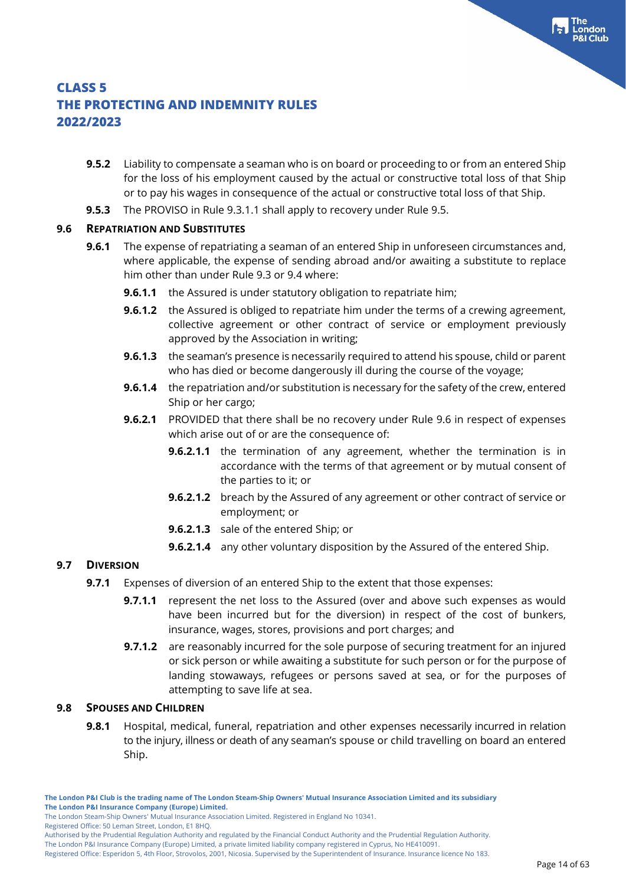- **9.5.2** Liability to compensate a seaman who is on board or proceeding to or from an entered Ship for the loss of his employment caused by the actual or constructive total loss of that Ship or to pay his wages in consequence of the actual or constructive total loss of that Ship.
- **9.5.3** The PROVISO in Rule 9.3.1.1 shall apply to recovery under Rule 9.5.

#### **9.6 REPATRIATION AND SUBSTITUTES**

- **9.6.1** The expense of repatriating a seaman of an entered Ship in unforeseen circumstances and, where applicable, the expense of sending abroad and/or awaiting a substitute to replace him other than under Rule 9.3 or 9.4 where:
	- **9.6.1.1** the Assured is under statutory obligation to repatriate him;
	- **9.6.1.2** the Assured is obliged to repatriate him under the terms of a crewing agreement. collective agreement or other contract of service or employment previously approved by the Association in writing;
	- **9.6.1.3** the seaman's presence is necessarily required to attend his spouse, child or parent who has died or become dangerously ill during the course of the voyage;
	- **9.6.1.4** the repatriation and/or substitution is necessary for the safety of the crew, entered Ship or her cargo;
	- **9.6.2.1** PROVIDED that there shall be no recovery under Rule 9.6 in respect of expenses which arise out of or are the consequence of:
		- **9.6.2.1.1** the termination of any agreement, whether the termination is in accordance with the terms of that agreement or by mutual consent of the parties to it; or
		- **9.6.2.1.2** breach by the Assured of any agreement or other contract of service or employment; or
		- **9.6.2.1.3** sale of the entered Ship; or
		- **9.6.2.1.4** any other voluntary disposition by the Assured of the entered Ship.

#### **9.7 DIVERSION**

- **9.7.1** Expenses of diversion of an entered Ship to the extent that those expenses:
	- **9.7.1.1** represent the net loss to the Assured (over and above such expenses as would have been incurred but for the diversion) in respect of the cost of bunkers, insurance, wages, stores, provisions and port charges; and
		- **9.7.1.2** are reasonably incurred for the sole purpose of securing treatment for an injured or sick person or while awaiting a substitute for such person or for the purpose of landing stowaways, refugees or persons saved at sea, or for the purposes of attempting to save life at sea.

#### **9.8 SPOUSES AND CHILDREN**

**9.8.1** Hospital, medical, funeral, repatriation and other expenses necessarily incurred in relation to the injury, illness or death of any seaman's spouse or child travelling on board an entered Ship.

The London Steam-Ship Owners' Mutual Insurance Association Limited. Registered in England No 10341.

Registered Office: 50 Leman Street, London, E1 8HQ.

The London P&I Insurance Company (Europe) Limited, a private limited liability company registered in Cyprus, No HE410091.

Registered Office: Esperidon 5, 4th Floor, Strovolos, 2001, Nicosia. Supervised by the Superintendent of Insurance. Insurance licence No 183.

Authorised by the Prudential Regulation Authority and regulated by the Financial Conduct Authority and the Prudential Regulation Authority.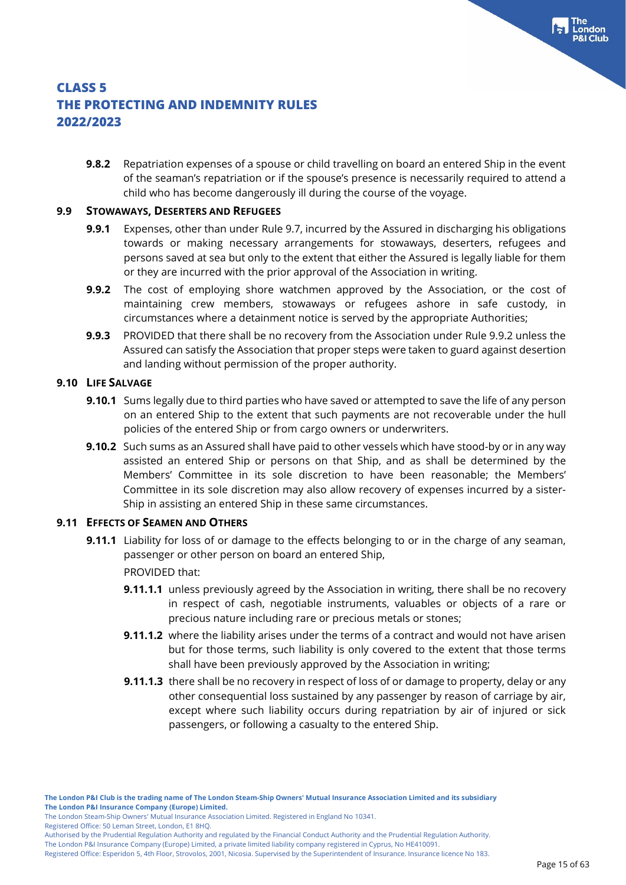**9.8.2** Repatriation expenses of a spouse or child travelling on board an entered Ship in the event of the seaman's repatriation or if the spouse's presence is necessarily required to attend a child who has become dangerously ill during the course of the voyage.

#### **9.9 STOWAWAYS, DESERTERS AND REFUGEES**

- **9.9.1** Expenses, other than under Rule 9.7, incurred by the Assured in discharging his obligations towards or making necessary arrangements for stowaways, deserters, refugees and persons saved at sea but only to the extent that either the Assured is legally liable for them or they are incurred with the prior approval of the Association in writing.
- **9.9.2** The cost of employing shore watchmen approved by the Association, or the cost of maintaining crew members, stowaways or refugees ashore in safe custody, in circumstances where a detainment notice is served by the appropriate Authorities;
- **9.9.3** PROVIDED that there shall be no recovery from the Association under Rule 9.9.2 unless the Assured can satisfy the Association that proper steps were taken to guard against desertion and landing without permission of the proper authority.

#### **9.10 LIFE SALVAGE**

- **9.10.1** Sums legally due to third parties who have saved or attempted to save the life of any person on an entered Ship to the extent that such payments are not recoverable under the hull policies of the entered Ship or from cargo owners or underwriters.
- **9.10.2** Such sums as an Assured shall have paid to other vessels which have stood-by or in any way assisted an entered Ship or persons on that Ship, and as shall be determined by the Members' Committee in its sole discretion to have been reasonable; the Members' Committee in its sole discretion may also allow recovery of expenses incurred by a sister-Ship in assisting an entered Ship in these same circumstances.

#### **9.11 EFFECTS OF SEAMEN AND OTHERS**

- **9.11.1** Liability for loss of or damage to the effects belonging to or in the charge of any seaman, passenger or other person on board an entered Ship,
	- PROVIDED that:
	- **9.11.1.1** unless previously agreed by the Association in writing, there shall be no recovery in respect of cash, negotiable instruments, valuables or objects of a rare or precious nature including rare or precious metals or stones;
	- **9.11.1.2** where the liability arises under the terms of a contract and would not have arisen but for those terms, such liability is only covered to the extent that those terms shall have been previously approved by the Association in writing;
	- **9.11.1.3** there shall be no recovery in respect of loss of or damage to property, delay or any other consequential loss sustained by any passenger by reason of carriage by air, except where such liability occurs during repatriation by air of injured or sick passengers, or following a casualty to the entered Ship.

The London Steam-Ship Owners' Mutual Insurance Association Limited. Registered in England No 10341.

Registered Office: 50 Leman Street, London, E1 8HQ.

Authorised by the Prudential Regulation Authority and regulated by the Financial Conduct Authority and the Prudential Regulation Authority.

Registered Office: Esperidon 5, 4th Floor, Strovolos, 2001, Nicosia. Supervised by the Superintendent of Insurance. Insurance licence No 183.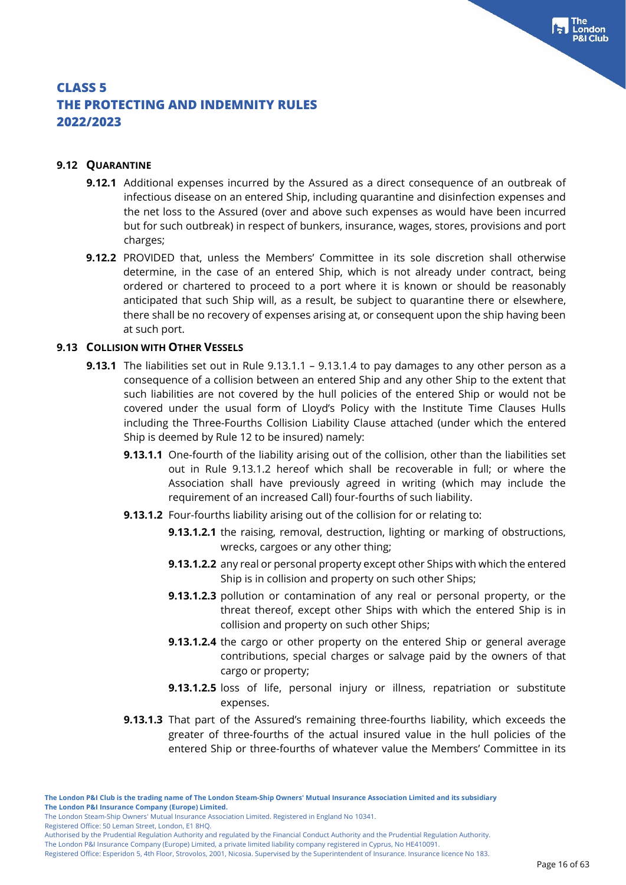#### **9.12 QUARANTINE**

- **9.12.1** Additional expenses incurred by the Assured as a direct consequence of an outbreak of infectious disease on an entered Ship, including quarantine and disinfection expenses and the net loss to the Assured (over and above such expenses as would have been incurred but for such outbreak) in respect of bunkers, insurance, wages, stores, provisions and port charges;
- **9.12.2** PROVIDED that, unless the Members' Committee in its sole discretion shall otherwise determine, in the case of an entered Ship, which is not already under contract, being ordered or chartered to proceed to a port where it is known or should be reasonably anticipated that such Ship will, as a result, be subject to quarantine there or elsewhere, there shall be no recovery of expenses arising at, or consequent upon the ship having been at such port.

#### **9.13 COLLISION WITH OTHER VESSELS**

- **9.13.1** The liabilities set out in Rule 9.13.1.1 9.13.1.4 to pay damages to any other person as a consequence of a collision between an entered Ship and any other Ship to the extent that such liabilities are not covered by the hull policies of the entered Ship or would not be covered under the usual form of Lloyd's Policy with the Institute Time Clauses Hulls including the Three-Fourths Collision Liability Clause attached (under which the entered Ship is deemed by Rule 12 to be insured) namely:
	- **9.13.1.1** One-fourth of the liability arising out of the collision, other than the liabilities set out in Rule 9.13.1.2 hereof which shall be recoverable in full; or where the Association shall have previously agreed in writing (which may include the requirement of an increased Call) four-fourths of such liability.
	- **9.13.1.2** Four-fourths liability arising out of the collision for or relating to:
		- **9.13.1.2.1** the raising, removal, destruction, lighting or marking of obstructions, wrecks, cargoes or any other thing;
		- **9.13.1.2.2** any real or personal property except other Ships with which the entered Ship is in collision and property on such other Ships;
		- **9.13.1.2.3** pollution or contamination of any real or personal property, or the threat thereof, except other Ships with which the entered Ship is in collision and property on such other Ships;
		- **9.13.1.2.4** the cargo or other property on the entered Ship or general average contributions, special charges or salvage paid by the owners of that cargo or property;
		- **9.13.1.2.5** loss of life, personal injury or illness, repatriation or substitute expenses.
	- **9.13.1.3** That part of the Assured's remaining three-fourths liability, which exceeds the greater of three-fourths of the actual insured value in the hull policies of the entered Ship or three-fourths of whatever value the Members' Committee in its

Registered Office: 50 Leman Street, London, E1 8HQ.

The London Steam-Ship Owners' Mutual Insurance Association Limited. Registered in England No 10341.

Authorised by the Prudential Regulation Authority and regulated by the Financial Conduct Authority and the Prudential Regulation Authority.

Registered Office: Esperidon 5, 4th Floor, Strovolos, 2001, Nicosia. Supervised by the Superintendent of Insurance. Insurance licence No 183.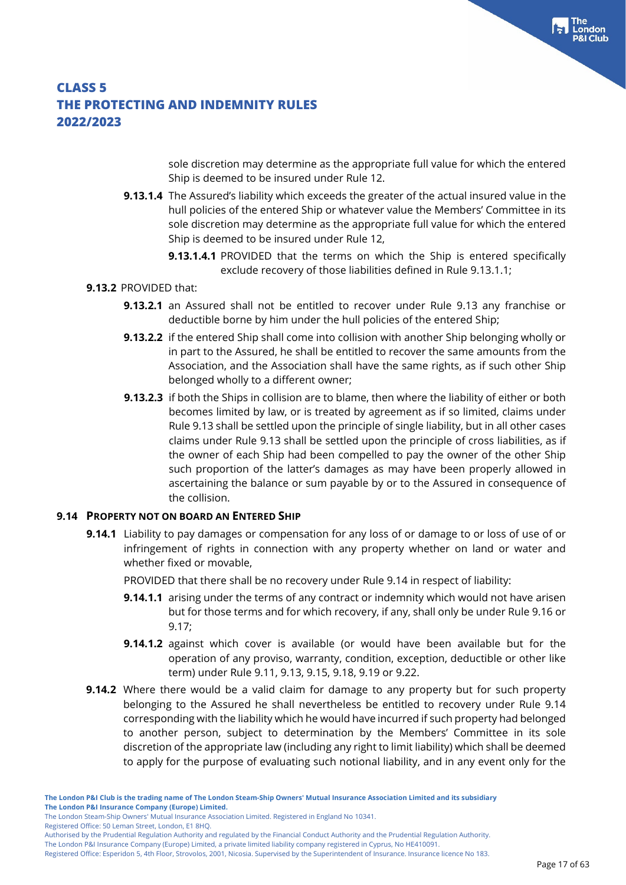sole discretion may determine as the appropriate full value for which the entered Ship is deemed to be insured under Rule 12.

- **9.13.1.4** The Assured's liability which exceeds the greater of the actual insured value in the hull policies of the entered Ship or whatever value the Members' Committee in its sole discretion may determine as the appropriate full value for which the entered Ship is deemed to be insured under Rule 12,
	- **9.13.1.4.1** PROVIDED that the terms on which the Ship is entered specifically exclude recovery of those liabilities defined in Rule 9.13.1.1;

### **9.13.2** PROVIDED that:

- **9.13.2.1** an Assured shall not be entitled to recover under Rule 9.13 any franchise or deductible borne by him under the hull policies of the entered Ship;
- **9.13.2.2** if the entered Ship shall come into collision with another Ship belonging wholly or in part to the Assured, he shall be entitled to recover the same amounts from the Association, and the Association shall have the same rights, as if such other Ship belonged wholly to a different owner;
- **9.13.2.3** if both the Ships in collision are to blame, then where the liability of either or both becomes limited by law, or is treated by agreement as if so limited, claims under Rule 9.13 shall be settled upon the principle of single liability, but in all other cases claims under Rule 9.13 shall be settled upon the principle of cross liabilities, as if the owner of each Ship had been compelled to pay the owner of the other Ship such proportion of the latter's damages as may have been properly allowed in ascertaining the balance or sum payable by or to the Assured in consequence of the collision.

#### **9.14 PROPERTY NOT ON BOARD AN ENTERED SHIP**

- **9.14.1** Liability to pay damages or compensation for any loss of or damage to or loss of use of or infringement of rights in connection with any property whether on land or water and whether fixed or movable,
	- PROVIDED that there shall be no recovery under Rule 9.14 in respect of liability:
	- **9.14.1.1** arising under the terms of any contract or indemnity which would not have arisen but for those terms and for which recovery, if any, shall only be under Rule 9.16 or 9.17;
	- **9.14.1.2** against which cover is available (or would have been available but for the operation of any proviso, warranty, condition, exception, deductible or other like term) under Rule 9.11, 9.13, 9.15, 9.18, 9.19 or 9.22.
- **9.14.2** Where there would be a valid claim for damage to any property but for such property belonging to the Assured he shall nevertheless be entitled to recovery under Rule 9.14 corresponding with the liability which he would have incurred if such property had belonged to another person, subject to determination by the Members' Committee in its sole discretion of the appropriate law (including any right to limit liability) which shall be deemed to apply for the purpose of evaluating such notional liability, and in any event only for the

The London Steam-Ship Owners' Mutual Insurance Association Limited. Registered in England No 10341.

Registered Office: 50 Leman Street, London, E1 8HQ.

Authorised by the Prudential Regulation Authority and regulated by the Financial Conduct Authority and the Prudential Regulation Authority.

The London P&I Insurance Company (Europe) Limited, a private limited liability company registered in Cyprus, No HE410091.

Registered Office: Esperidon 5, 4th Floor, Strovolos, 2001, Nicosia. Supervised by the Superintendent of Insurance. Insurance licence No 183.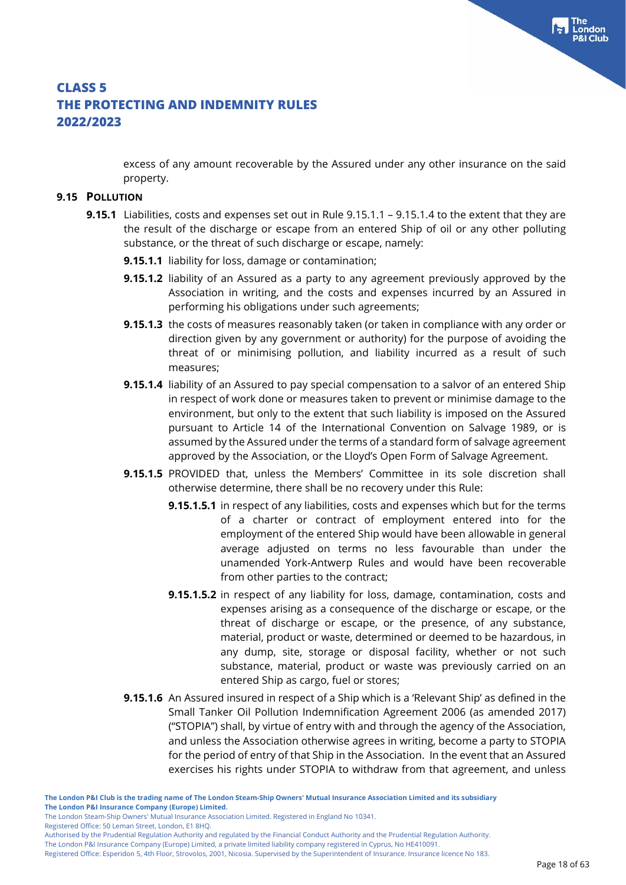excess of any amount recoverable by the Assured under any other insurance on the said property.

#### **9.15 POLLUTION**

- **9.15.1** Liabilities, costs and expenses set out in Rule 9.15.1.1 9.15.1.4 to the extent that they are the result of the discharge or escape from an entered Ship of oil or any other polluting substance, or the threat of such discharge or escape, namely:
	- **9.15.1.1** liability for loss, damage or contamination;
	- **9.15.1.2** liability of an Assured as a party to any agreement previously approved by the Association in writing, and the costs and expenses incurred by an Assured in performing his obligations under such agreements;
	- **9.15.1.3** the costs of measures reasonably taken (or taken in compliance with any order or direction given by any government or authority) for the purpose of avoiding the threat of or minimising pollution, and liability incurred as a result of such measures;
	- **9.15.1.4** liability of an Assured to pay special compensation to a salvor of an entered Ship in respect of work done or measures taken to prevent or minimise damage to the environment, but only to the extent that such liability is imposed on the Assured pursuant to Article 14 of the International Convention on Salvage 1989, or is assumed by the Assured under the terms of a standard form of salvage agreement approved by the Association, or the Lloyd's Open Form of Salvage Agreement.
	- **9.15.1.5** PROVIDED that, unless the Members' Committee in its sole discretion shall otherwise determine, there shall be no recovery under this Rule:
		- **9.15.1.5.1** in respect of any liabilities, costs and expenses which but for the terms of a charter or contract of employment entered into for the employment of the entered Ship would have been allowable in general average adjusted on terms no less favourable than under the unamended York-Antwerp Rules and would have been recoverable from other parties to the contract;
		- **9.15.1.5.2** in respect of any liability for loss, damage, contamination, costs and expenses arising as a consequence of the discharge or escape, or the threat of discharge or escape, or the presence, of any substance, material, product or waste, determined or deemed to be hazardous, in any dump, site, storage or disposal facility, whether or not such substance, material, product or waste was previously carried on an entered Ship as cargo, fuel or stores;
	- **9.15.1.6** An Assured insured in respect of a Ship which is a 'Relevant Ship' as defined in the Small Tanker Oil Pollution Indemnification Agreement 2006 (as amended 2017) ("STOPIA") shall, by virtue of entry with and through the agency of the Association, and unless the Association otherwise agrees in writing, become a party to STOPIA for the period of entry of that Ship in the Association. In the event that an Assured exercises his rights under STOPIA to withdraw from that agreement, and unless

Registered Office: 50 Leman Street, London, E1 8HQ.

Authorised by the Prudential Regulation Authority and regulated by the Financial Conduct Authority and the Prudential Regulation Authority.

The London P&I Insurance Company (Europe) Limited, a private limited liability company registered in Cyprus, No HE410091.

Registered Office: Esperidon 5, 4th Floor, Strovolos, 2001, Nicosia. Supervised by the Superintendent of Insurance. Insurance licence No 183.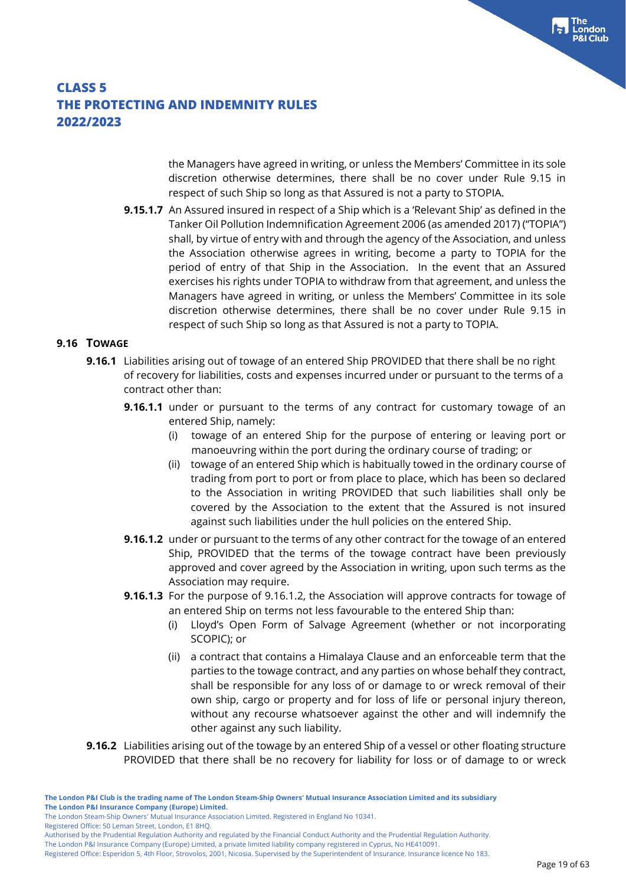the Managers have agreed in writing, or unless the Members' Committee in its sole discretion otherwise determines, there shall be no cover under Rule 9.15 in respect of such Ship so long as that Assured is not a party to STOPIA.

**9.15.1.7** An Assured insured in respect of a Ship which is a 'Relevant Ship' as defined in the Tanker Oil Pollution Indemnification Agreement 2006 (as amended 2017) ("TOPIA") shall, by virtue of entry with and through the agency of the Association, and unless the Association otherwise agrees in writing, become a party to TOPIA for the period of entry of that Ship in the Association. In the event that an Assured exercises his rights under TOPIA to withdraw from that agreement, and unless the Managers have agreed in writing, or unless the Members' Committee in its sole discretion otherwise determines, there shall be no cover under Rule 9.15 in respect of such Ship so long as that Assured is not a party to TOPIA.

#### **9.16 TOWAGE**

- **9.16.1** Liabilities arising out of towage of an entered Ship PROVIDED that there shall be no right of recovery for liabilities, costs and expenses incurred under or pursuant to the terms of a contract other than:
	- **9.16.1.1** under or pursuant to the terms of any contract for customary towage of an entered Ship, namely:
		- (i) towage of an entered Ship for the purpose of entering or leaving port or manoeuvring within the port during the ordinary course of trading; or
		- (ii) towage of an entered Ship which is habitually towed in the ordinary course of trading from port to port or from place to place, which has been so declared to the Association in writing PROVIDED that such liabilities shall only be covered by the Association to the extent that the Assured is not insured against such liabilities under the hull policies on the entered Ship.
	- **9.16.1.2** under or pursuant to the terms of any other contract for the towage of an entered Ship, PROVIDED that the terms of the towage contract have been previously approved and cover agreed by the Association in writing, upon such terms as the Association may require.
	- **9.16.1.3** For the purpose of 9.16.1.2, the Association will approve contracts for towage of an entered Ship on terms not less favourable to the entered Ship than:
		- (i) Lloyd's Open Form of Salvage Agreement (whether or not incorporating SCOPIC); or
		- (ii) a contract that contains a Himalaya Clause and an enforceable term that the parties to the towage contract, and any parties on whose behalf they contract, shall be responsible for any loss of or damage to or wreck removal of their own ship, cargo or property and for loss of life or personal injury thereon, without any recourse whatsoever against the other and will indemnify the other against any such liability.
- **9.16.2** Liabilities arising out of the towage by an entered Ship of a vessel or other floating structure PROVIDED that there shall be no recovery for liability for loss or of damage to or wreck

The London Steam-Ship Owners' Mutual Insurance Association Limited. Registered in England No 10341.

Registered Office: 50 Leman Street, London, E1 8HQ.

Authorised by the Prudential Regulation Authority and regulated by the Financial Conduct Authority and the Prudential Regulation Authority.

The London P&I Insurance Company (Europe) Limited, a private limited liability company registered in Cyprus, No HE410091.

Registered Office: Esperidon 5, 4th Floor, Strovolos, 2001, Nicosia. Supervised by the Superintendent of Insurance. Insurance licence No 183.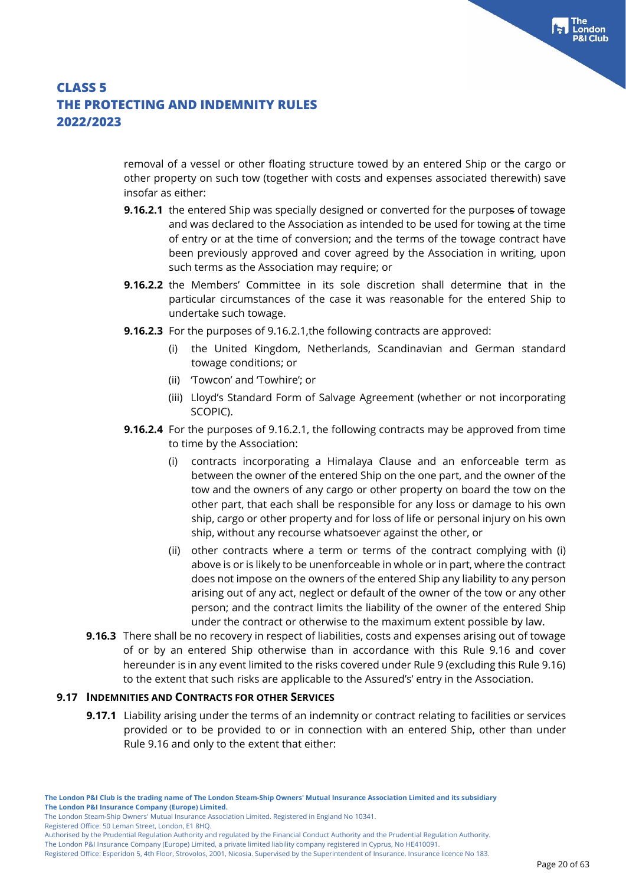removal of a vessel or other floating structure towed by an entered Ship or the cargo or other property on such tow (together with costs and expenses associated therewith) save insofar as either:

- **9.16.2.1** the entered Ship was specially designed or converted for the purposes of towage and was declared to the Association as intended to be used for towing at the time of entry or at the time of conversion; and the terms of the towage contract have been previously approved and cover agreed by the Association in writing, upon such terms as the Association may require; or
- **9.16.2.2** the Members' Committee in its sole discretion shall determine that in the particular circumstances of the case it was reasonable for the entered Ship to undertake such towage.
- **9.16.2.3** For the purposes of 9.16.2.1,the following contracts are approved:
	- (i) the United Kingdom, Netherlands, Scandinavian and German standard towage conditions; or
	- (ii) 'Towcon' and 'Towhire'; or
	- (iii) Lloyd's Standard Form of Salvage Agreement (whether or not incorporating SCOPIC).
- **9.16.2.4** For the purposes of 9.16.2.1, the following contracts may be approved from time to time by the Association:
	- (i) contracts incorporating a Himalaya Clause and an enforceable term as between the owner of the entered Ship on the one part, and the owner of the tow and the owners of any cargo or other property on board the tow on the other part, that each shall be responsible for any loss or damage to his own ship, cargo or other property and for loss of life or personal injury on his own ship, without any recourse whatsoever against the other, or
	- (ii) other contracts where a term or terms of the contract complying with (i) above is or is likely to be unenforceable in whole or in part, where the contract does not impose on the owners of the entered Ship any liability to any person arising out of any act, neglect or default of the owner of the tow or any other person; and the contract limits the liability of the owner of the entered Ship under the contract or otherwise to the maximum extent possible by law.
- **9.16.3** There shall be no recovery in respect of liabilities, costs and expenses arising out of towage of or by an entered Ship otherwise than in accordance with this Rule 9.16 and cover hereunder is in any event limited to the risks covered under Rule 9 (excluding this Rule 9.16) to the extent that such risks are applicable to the Assured's' entry in the Association.

#### **9.17 INDEMNITIES AND CONTRACTS FOR OTHER SERVICES**

**9.17.1** Liability arising under the terms of an indemnity or contract relating to facilities or services provided or to be provided to or in connection with an entered Ship, other than under Rule 9.16 and only to the extent that either:

Registered Office: 50 Leman Street, London, E1 8HQ.

The London Steam-Ship Owners' Mutual Insurance Association Limited. Registered in England No 10341.

Authorised by the Prudential Regulation Authority and regulated by the Financial Conduct Authority and the Prudential Regulation Authority.

Registered Office: Esperidon 5, 4th Floor, Strovolos, 2001, Nicosia. Supervised by the Superintendent of Insurance. Insurance licence No 183.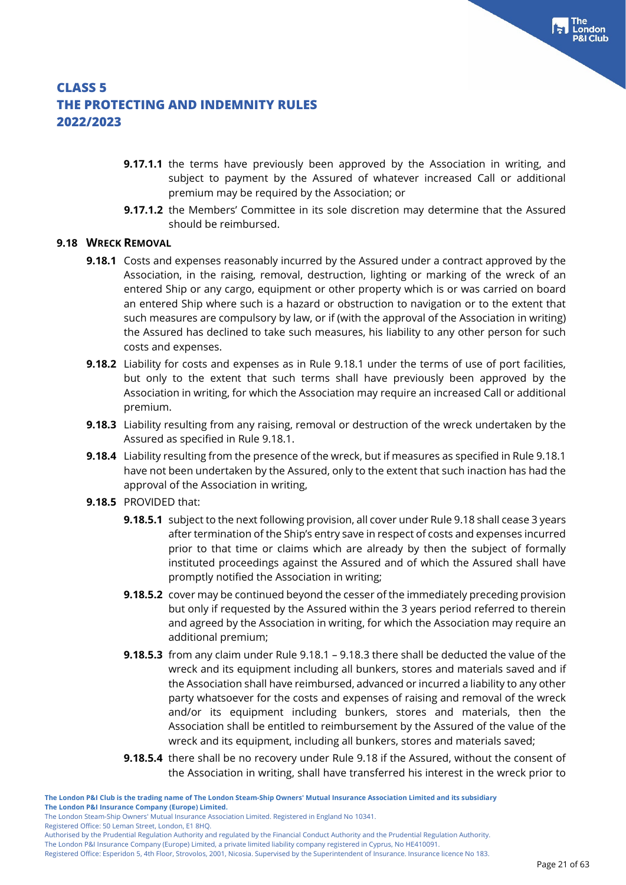- **9.17.1.1** the terms have previously been approved by the Association in writing, and subject to payment by the Assured of whatever increased Call or additional premium may be required by the Association; or
- **9.17.1.2** the Members' Committee in its sole discretion may determine that the Assured should be reimbursed.

#### **9.18 WRECK REMOVAL**

- **9.18.1** Costs and expenses reasonably incurred by the Assured under a contract approved by the Association, in the raising, removal, destruction, lighting or marking of the wreck of an entered Ship or any cargo, equipment or other property which is or was carried on board an entered Ship where such is a hazard or obstruction to navigation or to the extent that such measures are compulsory by law, or if (with the approval of the Association in writing) the Assured has declined to take such measures, his liability to any other person for such costs and expenses.
- **9.18.2** Liability for costs and expenses as in Rule 9.18.1 under the terms of use of port facilities, but only to the extent that such terms shall have previously been approved by the Association in writing, for which the Association may require an increased Call or additional premium.
- **9.18.3** Liability resulting from any raising, removal or destruction of the wreck undertaken by the Assured as specified in Rule 9.18.1.
- **9.18.4** Liability resulting from the presence of the wreck, but if measures as specified in Rule 9.18.1 have not been undertaken by the Assured, only to the extent that such inaction has had the approval of the Association in writing,
- **9.18.5** PROVIDED that:
	- **9.18.5.1** subject to the next following provision, all cover under Rule 9.18 shall cease 3 years after termination of the Ship's entry save in respect of costs and expenses incurred prior to that time or claims which are already by then the subject of formally instituted proceedings against the Assured and of which the Assured shall have promptly notified the Association in writing;
	- **9.18.5.2** cover may be continued beyond the cesser of the immediately preceding provision but only if requested by the Assured within the 3 years period referred to therein and agreed by the Association in writing, for which the Association may require an additional premium;
	- **9.18.5.3** from any claim under Rule 9.18.1 9.18.3 there shall be deducted the value of the wreck and its equipment including all bunkers, stores and materials saved and if the Association shall have reimbursed, advanced or incurred a liability to any other party whatsoever for the costs and expenses of raising and removal of the wreck and/or its equipment including bunkers, stores and materials, then the Association shall be entitled to reimbursement by the Assured of the value of the wreck and its equipment, including all bunkers, stores and materials saved;
	- **9.18.5.4** there shall be no recovery under Rule 9.18 if the Assured, without the consent of the Association in writing, shall have transferred his interest in the wreck prior to

Registered Office: 50 Leman Street, London, E1 8HQ.

The London Steam-Ship Owners' Mutual Insurance Association Limited. Registered in England No 10341.

Authorised by the Prudential Regulation Authority and regulated by the Financial Conduct Authority and the Prudential Regulation Authority.

Registered Office: Esperidon 5, 4th Floor, Strovolos, 2001, Nicosia. Supervised by the Superintendent of Insurance. Insurance licence No 183.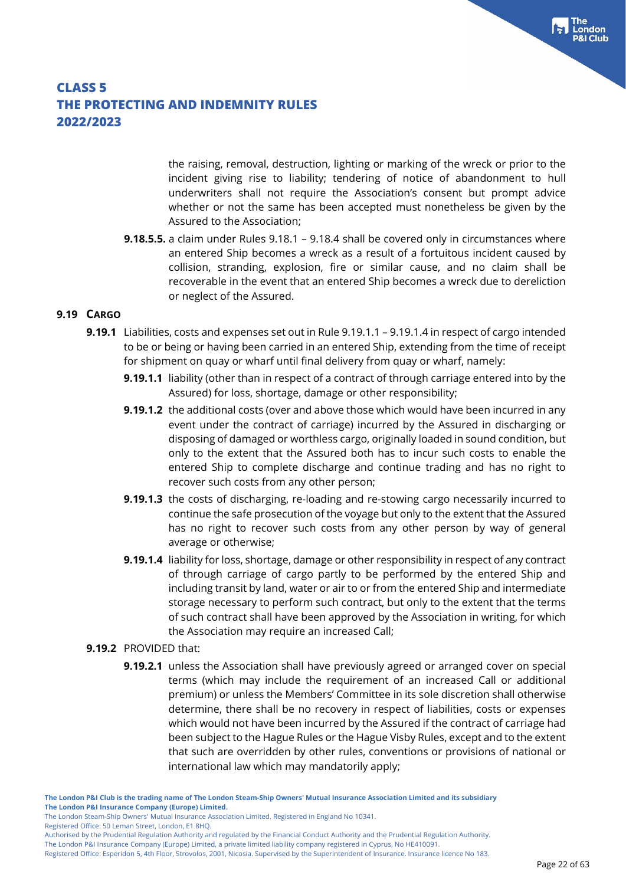the raising, removal, destruction, lighting or marking of the wreck or prior to the incident giving rise to liability; tendering of notice of abandonment to hull underwriters shall not require the Association's consent but prompt advice whether or not the same has been accepted must nonetheless be given by the Assured to the Association;

**9.18.5.5.** a claim under Rules 9.18.1 – 9.18.4 shall be covered only in circumstances where an entered Ship becomes a wreck as a result of a fortuitous incident caused by collision, stranding, explosion, fire or similar cause, and no claim shall be recoverable in the event that an entered Ship becomes a wreck due to dereliction or neglect of the Assured.

#### **9.19 CARGO**

- **9.19.1** Liabilities, costs and expenses set out in Rule 9.19.1.1 9.19.1.4 in respect of cargo intended to be or being or having been carried in an entered Ship, extending from the time of receipt for shipment on quay or wharf until final delivery from quay or wharf, namely:
	- **9.19.1.1** liability (other than in respect of a contract of through carriage entered into by the Assured) for loss, shortage, damage or other responsibility;
	- **9.19.1.2** the additional costs (over and above those which would have been incurred in any event under the contract of carriage) incurred by the Assured in discharging or disposing of damaged or worthless cargo, originally loaded in sound condition, but only to the extent that the Assured both has to incur such costs to enable the entered Ship to complete discharge and continue trading and has no right to recover such costs from any other person;
	- **9.19.1.3** the costs of discharging, re-loading and re-stowing cargo necessarily incurred to continue the safe prosecution of the voyage but only to the extent that the Assured has no right to recover such costs from any other person by way of general average or otherwise;
	- **9.19.1.4** liability for loss, shortage, damage or other responsibility in respect of any contract of through carriage of cargo partly to be performed by the entered Ship and including transit by land, water or air to or from the entered Ship and intermediate storage necessary to perform such contract, but only to the extent that the terms of such contract shall have been approved by the Association in writing, for which the Association may require an increased Call;

#### **9.19.2** PROVIDED that:

**9.19.2.1** unless the Association shall have previously agreed or arranged cover on special terms (which may include the requirement of an increased Call or additional premium) or unless the Members' Committee in its sole discretion shall otherwise determine, there shall be no recovery in respect of liabilities, costs or expenses which would not have been incurred by the Assured if the contract of carriage had been subject to the Hague Rules or the Hague Visby Rules, except and to the extent that such are overridden by other rules, conventions or provisions of national or international law which may mandatorily apply;

**The London P&I Club is the trading name of The London Steam-Ship Owners' Mutual Insurance Association Limited and its subsidiary The London P&I Insurance Company (Europe) Limited.**

Registered Office: 50 Leman Street, London, E1 8HQ.

The London P&I Insurance Company (Europe) Limited, a private limited liability company registered in Cyprus, No HE410091.

The London Steam-Ship Owners' Mutual Insurance Association Limited. Registered in England No 10341.

Authorised by the Prudential Regulation Authority and regulated by the Financial Conduct Authority and the Prudential Regulation Authority.

Registered Office: Esperidon 5, 4th Floor, Strovolos, 2001, Nicosia. Supervised by the Superintendent of Insurance. Insurance licence No 183.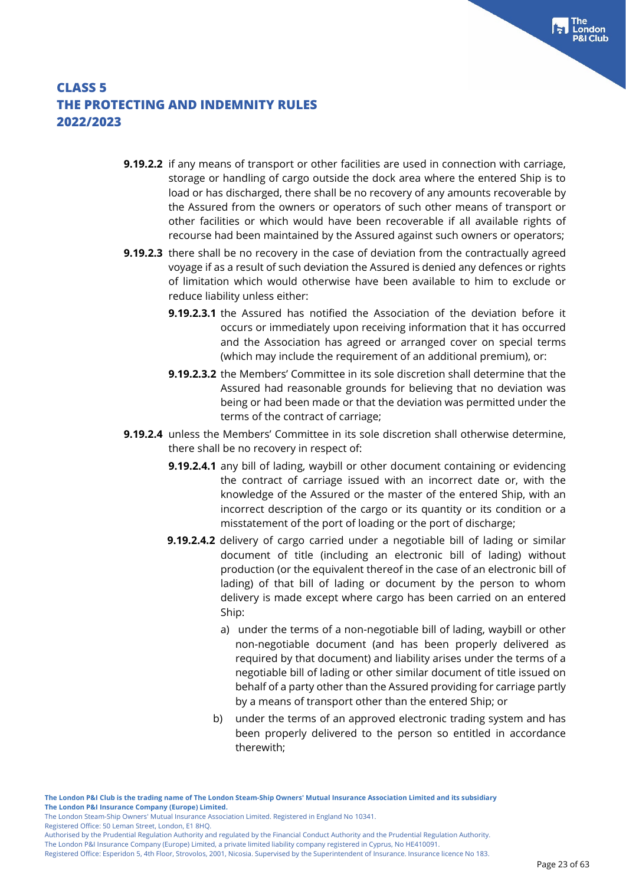- **9.19.2.2** if any means of transport or other facilities are used in connection with carriage, storage or handling of cargo outside the dock area where the entered Ship is to load or has discharged, there shall be no recovery of any amounts recoverable by the Assured from the owners or operators of such other means of transport or other facilities or which would have been recoverable if all available rights of recourse had been maintained by the Assured against such owners or operators;
- **9.19.2.3** there shall be no recovery in the case of deviation from the contractually agreed voyage if as a result of such deviation the Assured is denied any defences or rights of limitation which would otherwise have been available to him to exclude or reduce liability unless either:
	- **9.19.2.3.1** the Assured has notified the Association of the deviation before it occurs or immediately upon receiving information that it has occurred and the Association has agreed or arranged cover on special terms (which may include the requirement of an additional premium), or:
	- **9.19.2.3.2** the Members' Committee in its sole discretion shall determine that the Assured had reasonable grounds for believing that no deviation was being or had been made or that the deviation was permitted under the terms of the contract of carriage;
- **9.19.2.4** unless the Members' Committee in its sole discretion shall otherwise determine, there shall be no recovery in respect of:
	- **9.19.2.4.1** any bill of lading, waybill or other document containing or evidencing the contract of carriage issued with an incorrect date or, with the knowledge of the Assured or the master of the entered Ship, with an incorrect description of the cargo or its quantity or its condition or a misstatement of the port of loading or the port of discharge;
	- **9.19.2.4.2** delivery of cargo carried under a negotiable bill of lading or similar document of title (including an electronic bill of lading) without production (or the equivalent thereof in the case of an electronic bill of lading) of that bill of lading or document by the person to whom delivery is made except where cargo has been carried on an entered Ship:
		- a) under the terms of a non-negotiable bill of lading, waybill or other non-negotiable document (and has been properly delivered as required by that document) and liability arises under the terms of a negotiable bill of lading or other similar document of title issued on behalf of a party other than the Assured providing for carriage partly by a means of transport other than the entered Ship; or
		- b) under the terms of an approved electronic trading system and has been properly delivered to the person so entitled in accordance therewith;

The London Steam-Ship Owners' Mutual Insurance Association Limited. Registered in England No 10341.

Registered Office: 50 Leman Street, London, E1 8HQ.

Authorised by the Prudential Regulation Authority and regulated by the Financial Conduct Authority and the Prudential Regulation Authority. The London P&I Insurance Company (Europe) Limited, a private limited liability company registered in Cyprus, No HE410091.

Registered Office: Esperidon 5, 4th Floor, Strovolos, 2001, Nicosia. Supervised by the Superintendent of Insurance. Insurance licence No 183.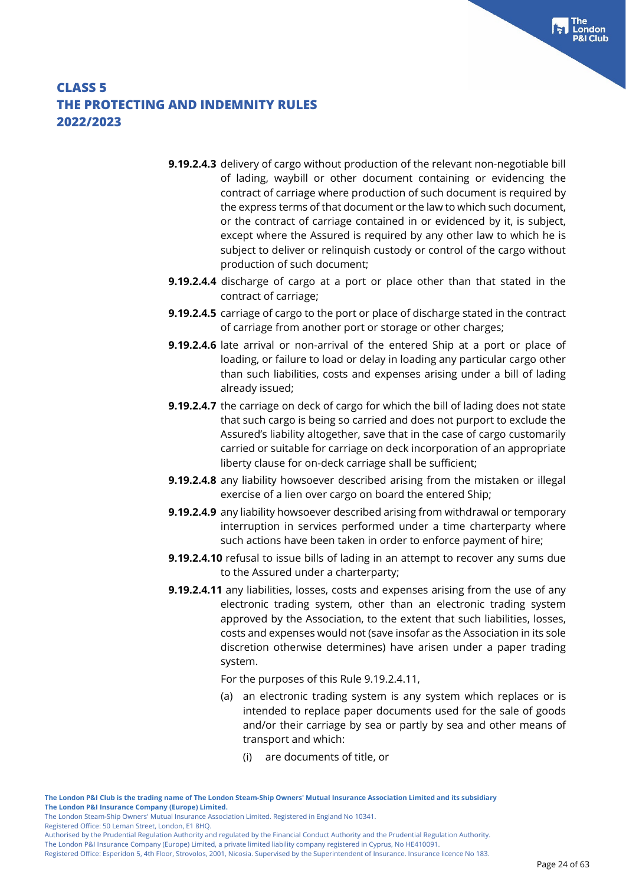- **9.19.2.4.3** delivery of cargo without production of the relevant non-negotiable bill of lading, waybill or other document containing or evidencing the contract of carriage where production of such document is required by the express terms of that document or the law to which such document, or the contract of carriage contained in or evidenced by it, is subject, except where the Assured is required by any other law to which he is subject to deliver or relinquish custody or control of the cargo without production of such document;
- **9.19.2.4.4** discharge of cargo at a port or place other than that stated in the contract of carriage;
- **9.19.2.4.5** carriage of cargo to the port or place of discharge stated in the contract of carriage from another port or storage or other charges;
- **9.19.2.4.6** late arrival or non-arrival of the entered Ship at a port or place of loading, or failure to load or delay in loading any particular cargo other than such liabilities, costs and expenses arising under a bill of lading already issued;
- **9.19.2.4.7** the carriage on deck of cargo for which the bill of lading does not state that such cargo is being so carried and does not purport to exclude the Assured's liability altogether, save that in the case of cargo customarily carried or suitable for carriage on deck incorporation of an appropriate liberty clause for on-deck carriage shall be sufficient;
- **9.19.2.4.8** any liability howsoever described arising from the mistaken or illegal exercise of a lien over cargo on board the entered Ship;
- **9.19.2.4.9** any liability howsoever described arising from withdrawal or temporary interruption in services performed under a time charterparty where such actions have been taken in order to enforce payment of hire;
- **9.19.2.4.10** refusal to issue bills of lading in an attempt to recover any sums due to the Assured under a charterparty;
- **9.19.2.4.11** any liabilities, losses, costs and expenses arising from the use of any electronic trading system, other than an electronic trading system approved by the Association, to the extent that such liabilities, losses, costs and expenses would not (save insofar as the Association in its sole discretion otherwise determines) have arisen under a paper trading system.

For the purposes of this Rule 9.19.2.4.11,

- (a) an electronic trading system is any system which replaces or is intended to replace paper documents used for the sale of goods and/or their carriage by sea or partly by sea and other means of transport and which:
	- (i) are documents of title, or

Registered Office: 50 Leman Street, London, E1 8HQ.

Authorised by the Prudential Regulation Authority and regulated by the Financial Conduct Authority and the Prudential Regulation Authority.

The London P&I Insurance Company (Europe) Limited, a private limited liability company registered in Cyprus, No HE410091. Registered Office: Esperidon 5, 4th Floor, Strovolos, 2001, Nicosia. Supervised by the Superintendent of Insurance. Insurance licence No 183.

The London Steam-Ship Owners' Mutual Insurance Association Limited. Registered in England No 10341.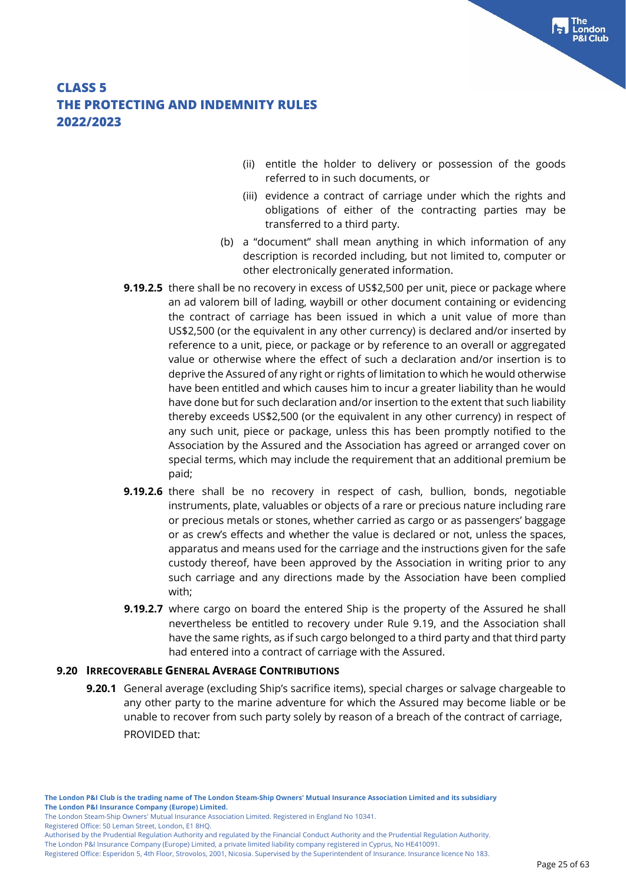- (ii) entitle the holder to delivery or possession of the goods referred to in such documents, or
- (iii) evidence a contract of carriage under which the rights and obligations of either of the contracting parties may be transferred to a third party.
- (b) a "document" shall mean anything in which information of any description is recorded including, but not limited to, computer or other electronically generated information.
- **9.19.2.5** there shall be no recovery in excess of US\$2,500 per unit, piece or package where an ad valorem bill of lading, waybill or other document containing or evidencing the contract of carriage has been issued in which a unit value of more than US\$2,500 (or the equivalent in any other currency) is declared and/or inserted by reference to a unit, piece, or package or by reference to an overall or aggregated value or otherwise where the effect of such a declaration and/or insertion is to deprive the Assured of any right or rights of limitation to which he would otherwise have been entitled and which causes him to incur a greater liability than he would have done but for such declaration and/or insertion to the extent that such liability thereby exceeds US\$2,500 (or the equivalent in any other currency) in respect of any such unit, piece or package, unless this has been promptly notified to the Association by the Assured and the Association has agreed or arranged cover on special terms, which may include the requirement that an additional premium be paid;
- **9.19.2.6** there shall be no recovery in respect of cash, bullion, bonds, negotiable instruments, plate, valuables or objects of a rare or precious nature including rare or precious metals or stones, whether carried as cargo or as passengers' baggage or as crew's effects and whether the value is declared or not, unless the spaces, apparatus and means used for the carriage and the instructions given for the safe custody thereof, have been approved by the Association in writing prior to any such carriage and any directions made by the Association have been complied with;
- **9.19.2.7** where cargo on board the entered Ship is the property of the Assured he shall nevertheless be entitled to recovery under Rule 9.19, and the Association shall have the same rights, as if such cargo belonged to a third party and that third party had entered into a contract of carriage with the Assured.

#### **9.20 IRRECOVERABLE GENERAL AVERAGE CONTRIBUTIONS**

**9.20.1** General average (excluding Ship's sacrifice items), special charges or salvage chargeable to any other party to the marine adventure for which the Assured may become liable or be unable to recover from such party solely by reason of a breach of the contract of carriage, PROVIDED that:

Registered Office: 50 Leman Street, London, E1 8HQ.

The London Steam-Ship Owners' Mutual Insurance Association Limited. Registered in England No 10341.

Authorised by the Prudential Regulation Authority and regulated by the Financial Conduct Authority and the Prudential Regulation Authority.

Registered Office: Esperidon 5, 4th Floor, Strovolos, 2001, Nicosia. Supervised by the Superintendent of Insurance. Insurance licence No 183.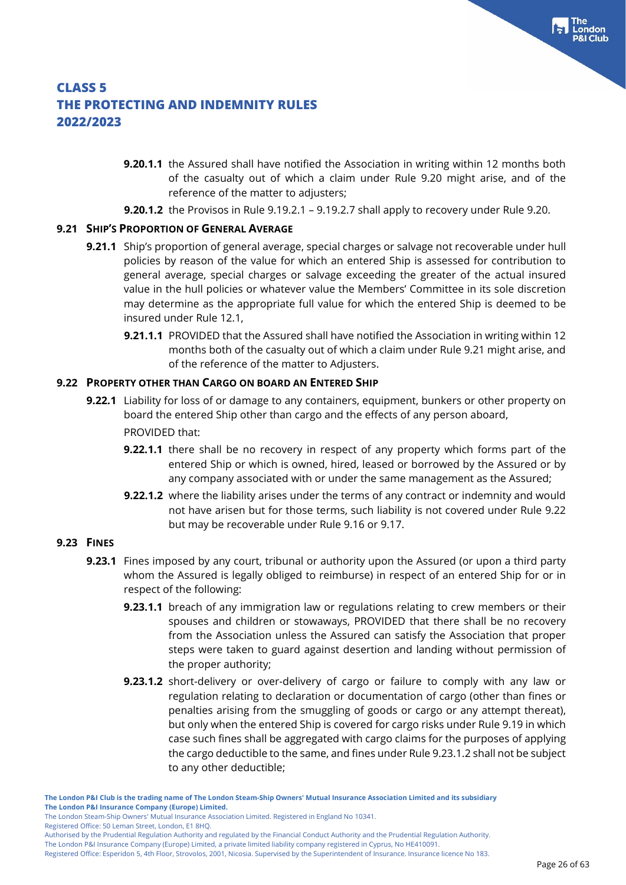- **9.20.1.1** the Assured shall have notified the Association in writing within 12 months both of the casualty out of which a claim under Rule 9.20 might arise, and of the reference of the matter to adjusters;
- **9.20.1.2** the Provisos in Rule 9.19.2.1 9.19.2.7 shall apply to recovery under Rule 9.20.

#### **9.21 SHIP'S PROPORTION OF GENERAL AVERAGE**

- **9.21.1** Ship's proportion of general average, special charges or salvage not recoverable under hull policies by reason of the value for which an entered Ship is assessed for contribution to general average, special charges or salvage exceeding the greater of the actual insured value in the hull policies or whatever value the Members' Committee in its sole discretion may determine as the appropriate full value for which the entered Ship is deemed to be insured under Rule 12.1,
	- **9.21.1.1** PROVIDED that the Assured shall have notified the Association in writing within 12 months both of the casualty out of which a claim under Rule 9.21 might arise, and of the reference of the matter to Adjusters.

#### **9.22 PROPERTY OTHER THAN CARGO ON BOARD AN ENTERED SHIP**

- **9.22.1** Liability for loss of or damage to any containers, equipment, bunkers or other property on board the entered Ship other than cargo and the effects of any person aboard, PROVIDED that:
	- **9.22.1.1** there shall be no recovery in respect of any property which forms part of the entered Ship or which is owned, hired, leased or borrowed by the Assured or by any company associated with or under the same management as the Assured;
	- **9.22.1.2** where the liability arises under the terms of any contract or indemnity and would not have arisen but for those terms, such liability is not covered under Rule 9.22 but may be recoverable under Rule 9.16 or 9.17.

#### **9.23 FINES**

- **9.23.1** Fines imposed by any court, tribunal or authority upon the Assured (or upon a third party whom the Assured is legally obliged to reimburse) in respect of an entered Ship for or in respect of the following:
	- **9.23.1.1** breach of any immigration law or regulations relating to crew members or their spouses and children or stowaways, PROVIDED that there shall be no recovery from the Association unless the Assured can satisfy the Association that proper steps were taken to guard against desertion and landing without permission of the proper authority;
	- **9.23.1.2** short-delivery or over-delivery of cargo or failure to comply with any law or regulation relating to declaration or documentation of cargo (other than fines or penalties arising from the smuggling of goods or cargo or any attempt thereat), but only when the entered Ship is covered for cargo risks under Rule 9.19 in which case such fines shall be aggregated with cargo claims for the purposes of applying the cargo deductible to the same, and fines under Rule 9.23.1.2 shall not be subject to any other deductible;

Registered Office: 50 Leman Street, London, E1 8HQ.

**The London P&I Club is the trading name of The London Steam-Ship Owners' Mutual Insurance Association Limited and its subsidiary The London P&I Insurance Company (Europe) Limited.**

The London Steam-Ship Owners' Mutual Insurance Association Limited. Registered in England No 10341.

Authorised by the Prudential Regulation Authority and regulated by the Financial Conduct Authority and the Prudential Regulation Authority.

Registered Office: Esperidon 5, 4th Floor, Strovolos, 2001, Nicosia. Supervised by the Superintendent of Insurance. Insurance licence No 183.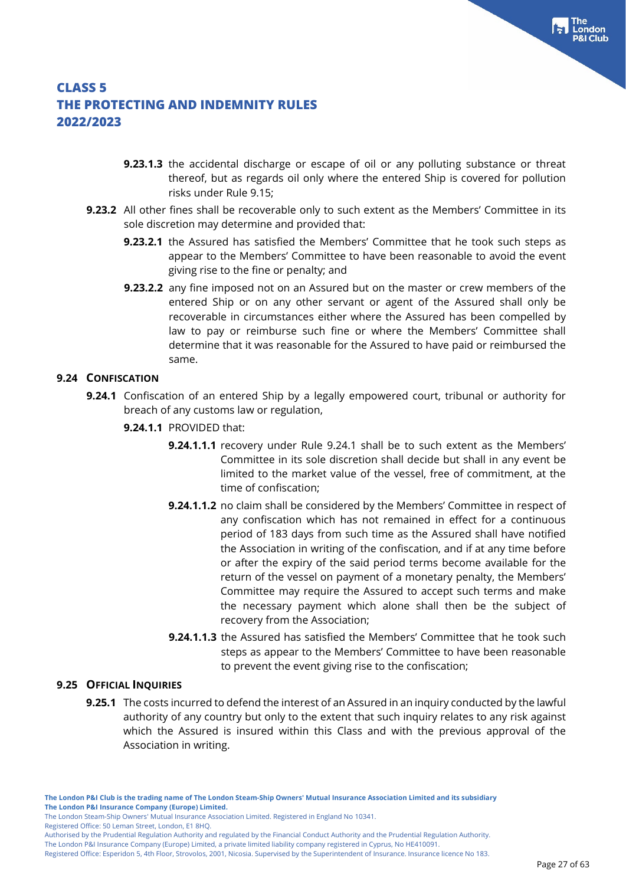- **9.23.1.3** the accidental discharge or escape of oil or any polluting substance or threat thereof, but as regards oil only where the entered Ship is covered for pollution risks under Rule 9.15;
- **9.23.2** All other fines shall be recoverable only to such extent as the Members' Committee in its sole discretion may determine and provided that:
	- **9.23.2.1** the Assured has satisfied the Members' Committee that he took such steps as appear to the Members' Committee to have been reasonable to avoid the event giving rise to the fine or penalty; and
	- **9.23.2.2** any fine imposed not on an Assured but on the master or crew members of the entered Ship or on any other servant or agent of the Assured shall only be recoverable in circumstances either where the Assured has been compelled by law to pay or reimburse such fine or where the Members' Committee shall determine that it was reasonable for the Assured to have paid or reimbursed the same.

### **9.24 CONFISCATION**

- **9.24.1** Confiscation of an entered Ship by a legally empowered court, tribunal or authority for breach of any customs law or regulation,
	- **9.24.1.1** PROVIDED that:
		- **9.24.1.1.1** recovery under Rule 9.24.1 shall be to such extent as the Members' Committee in its sole discretion shall decide but shall in any event be limited to the market value of the vessel, free of commitment, at the time of confiscation;
		- **9.24.1.1.2** no claim shall be considered by the Members' Committee in respect of any confiscation which has not remained in effect for a continuous period of 183 days from such time as the Assured shall have notified the Association in writing of the confiscation, and if at any time before or after the expiry of the said period terms become available for the return of the vessel on payment of a monetary penalty, the Members' Committee may require the Assured to accept such terms and make the necessary payment which alone shall then be the subject of recovery from the Association;
		- **9.24.1.1.3** the Assured has satisfied the Members' Committee that he took such steps as appear to the Members' Committee to have been reasonable to prevent the event giving rise to the confiscation;

### **9.25 OFFICIAL INQUIRIES**

**9.25.1** The costs incurred to defend the interest of an Assured in an inquiry conducted by the lawful authority of any country but only to the extent that such inquiry relates to any risk against which the Assured is insured within this Class and with the previous approval of the Association in writing.

**The London P&I Club is the trading name of The London Steam-Ship Owners' Mutual Insurance Association Limited and its subsidiary The London P&I Insurance Company (Europe) Limited.**

The London Steam-Ship Owners' Mutual Insurance Association Limited. Registered in England No 10341.

Registered Office: 50 Leman Street, London, E1 8HQ.

Authorised by the Prudential Regulation Authority and regulated by the Financial Conduct Authority and the Prudential Regulation Authority.

The London P&I Insurance Company (Europe) Limited, a private limited liability company registered in Cyprus, No HE410091.

Registered Office: Esperidon 5, 4th Floor, Strovolos, 2001, Nicosia. Supervised by the Superintendent of Insurance. Insurance licence No 183.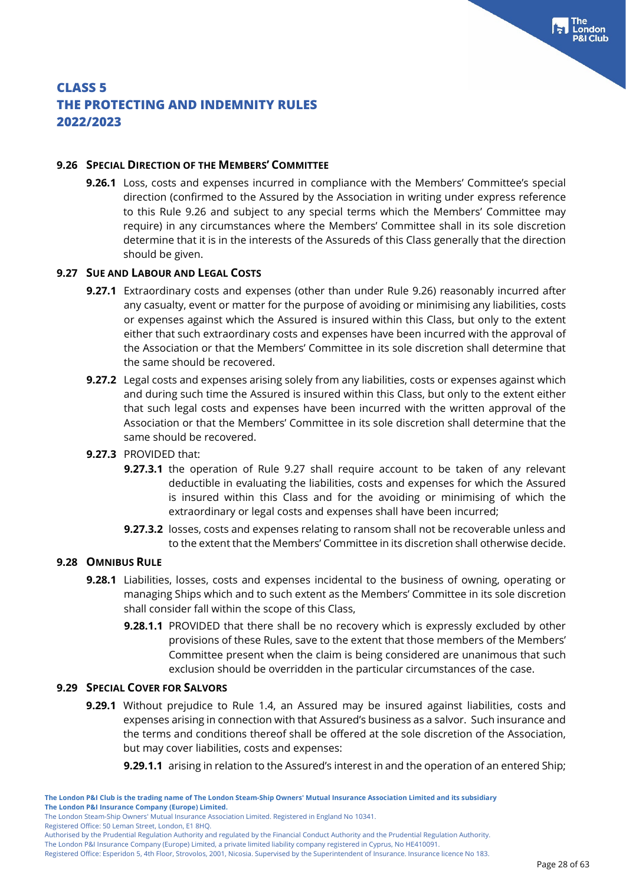#### **9.26 SPECIAL DIRECTION OF THE MEMBERS' COMMITTEE**

**9.26.1** Loss, costs and expenses incurred in compliance with the Members' Committee's special direction (confirmed to the Assured by the Association in writing under express reference to this Rule 9.26 and subject to any special terms which the Members' Committee may require) in any circumstances where the Members' Committee shall in its sole discretion determine that it is in the interests of the Assureds of this Class generally that the direction should be given.

### **9.27 SUE AND LABOUR AND LEGAL COSTS**

**CLASS 5**

- **9.27.1** Extraordinary costs and expenses (other than under Rule 9.26) reasonably incurred after any casualty, event or matter for the purpose of avoiding or minimising any liabilities, costs or expenses against which the Assured is insured within this Class, but only to the extent either that such extraordinary costs and expenses have been incurred with the approval of the Association or that the Members' Committee in its sole discretion shall determine that the same should be recovered.
- **9.27.2** Legal costs and expenses arising solely from any liabilities, costs or expenses against which and during such time the Assured is insured within this Class, but only to the extent either that such legal costs and expenses have been incurred with the written approval of the Association or that the Members' Committee in its sole discretion shall determine that the same should be recovered.

#### **9.27.3** PROVIDED that:

- **9.27.3.1** the operation of Rule 9.27 shall require account to be taken of any relevant deductible in evaluating the liabilities, costs and expenses for which the Assured is insured within this Class and for the avoiding or minimising of which the extraordinary or legal costs and expenses shall have been incurred;
- **9.27.3.2** losses, costs and expenses relating to ransom shall not be recoverable unless and to the extent that the Members' Committee in its discretion shall otherwise decide.

#### **9.28 OMNIBUS RULE**

- **9.28.1** Liabilities, losses, costs and expenses incidental to the business of owning, operating or managing Ships which and to such extent as the Members' Committee in its sole discretion shall consider fall within the scope of this Class,
	- **9.28.1.1** PROVIDED that there shall be no recovery which is expressly excluded by other provisions of these Rules, save to the extent that those members of the Members' Committee present when the claim is being considered are unanimous that such exclusion should be overridden in the particular circumstances of the case.

#### **9.29 SPECIAL COVER FOR SALVORS**

**9.29.1** Without prejudice to Rule 1.4, an Assured may be insured against liabilities, costs and expenses arising in connection with that Assured's business as a salvor. Such insurance and the terms and conditions thereof shall be offered at the sole discretion of the Association, but may cover liabilities, costs and expenses:

**9.29.1.1** arising in relation to the Assured's interest in and the operation of an entered Ship;

Registered Office: 50 Leman Street, London, E1 8HQ.

**THE PROTECTING AND INDEMNITY RULES 2022/2023**

The London Steam-Ship Owners' Mutual Insurance Association Limited. Registered in England No 10341.

Authorised by the Prudential Regulation Authority and regulated by the Financial Conduct Authority and the Prudential Regulation Authority.

Registered Office: Esperidon 5, 4th Floor, Strovolos, 2001, Nicosia. Supervised by the Superintendent of Insurance. Insurance licence No 183.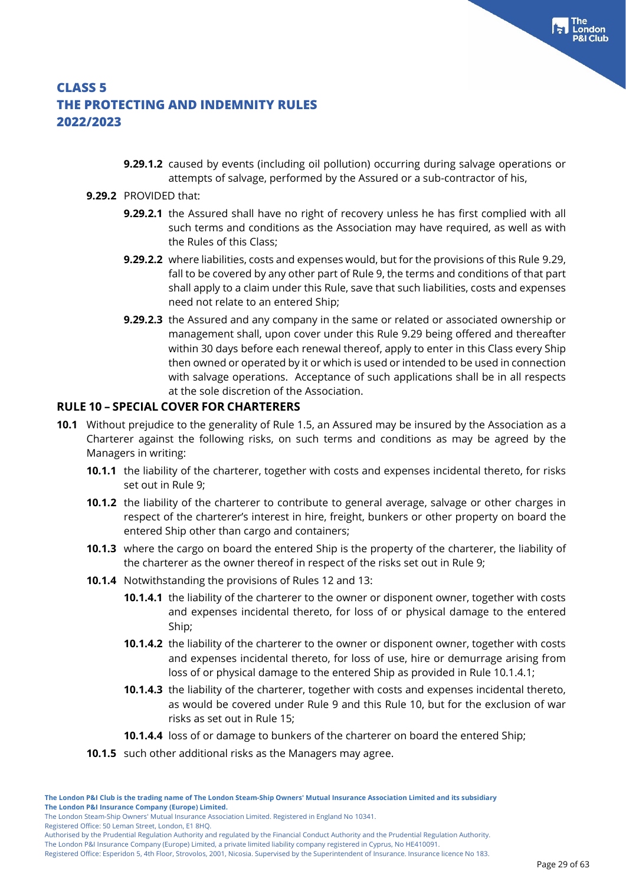**9.29.1.2** caused by events (including oil pollution) occurring during salvage operations or attempts of salvage, performed by the Assured or a sub-contractor of his,

#### **9.29.2** PROVIDED that:

- **9.29.2.1** the Assured shall have no right of recovery unless he has first complied with all such terms and conditions as the Association may have required, as well as with the Rules of this Class;
- **9.29.2.2** where liabilities, costs and expenses would, but for the provisions of this Rule 9.29, fall to be covered by any other part of Rule 9, the terms and conditions of that part shall apply to a claim under this Rule, save that such liabilities, costs and expenses need not relate to an entered Ship;
- **9.29.2.3** the Assured and any company in the same or related or associated ownership or management shall, upon cover under this Rule 9.29 being offered and thereafter within 30 days before each renewal thereof, apply to enter in this Class every Ship then owned or operated by it or which is used or intended to be used in connection with salvage operations. Acceptance of such applications shall be in all respects at the sole discretion of the Association.

### **RULE 10 – SPECIAL COVER FOR CHARTERERS**

- **10.1** Without prejudice to the generality of Rule 1.5, an Assured may be insured by the Association as a Charterer against the following risks, on such terms and conditions as may be agreed by the Managers in writing:
	- **10.1.1** the liability of the charterer, together with costs and expenses incidental thereto, for risks set out in Rule 9;
	- **10.1.2** the liability of the charterer to contribute to general average, salvage or other charges in respect of the charterer's interest in hire, freight, bunkers or other property on board the entered Ship other than cargo and containers;
	- **10.1.3** where the cargo on board the entered Ship is the property of the charterer, the liability of the charterer as the owner thereof in respect of the risks set out in Rule 9;
	- **10.1.4** Notwithstanding the provisions of Rules 12 and 13:
		- **10.1.4.1** the liability of the charterer to the owner or disponent owner, together with costs and expenses incidental thereto, for loss of or physical damage to the entered Ship;
		- **10.1.4.2** the liability of the charterer to the owner or disponent owner, together with costs and expenses incidental thereto, for loss of use, hire or demurrage arising from loss of or physical damage to the entered Ship as provided in Rule 10.1.4.1;
		- **10.1.4.3** the liability of the charterer, together with costs and expenses incidental thereto, as would be covered under Rule 9 and this Rule 10, but for the exclusion of war risks as set out in Rule 15;
		- **10.1.4.4** loss of or damage to bunkers of the charterer on board the entered Ship;
	- **10.1.5** such other additional risks as the Managers may agree.

Registered Office: 50 Leman Street, London, E1 8HQ.

The London P&I Insurance Company (Europe) Limited, a private limited liability company registered in Cyprus, No HE410091.

Registered Office: Esperidon 5, 4th Floor, Strovolos, 2001, Nicosia. Supervised by the Superintendent of Insurance. Insurance licence No 183.

The London Steam-Ship Owners' Mutual Insurance Association Limited. Registered in England No 10341.

Authorised by the Prudential Regulation Authority and regulated by the Financial Conduct Authority and the Prudential Regulation Authority.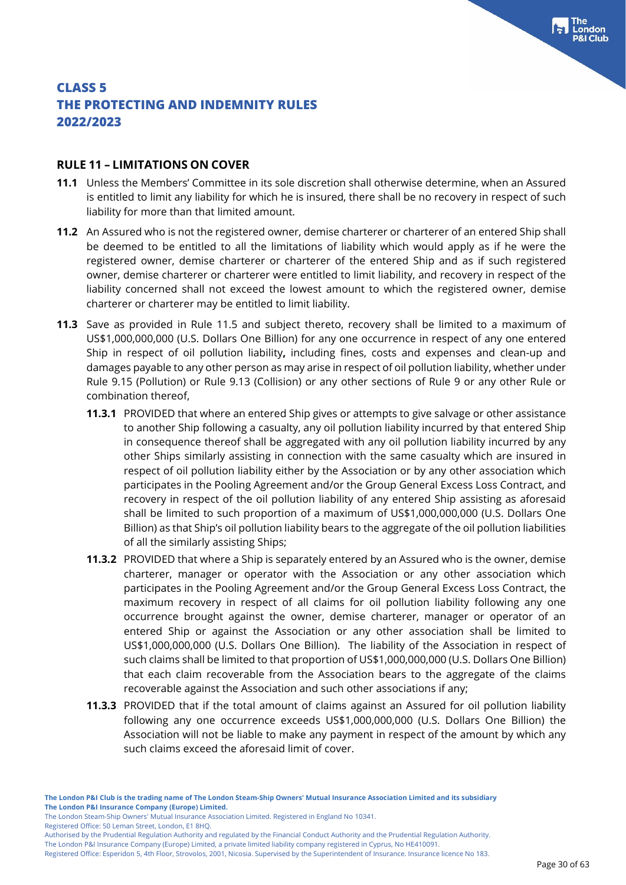#### **RULE 11 – LIMITATIONS ON COVER**

- **11.1** Unless the Members' Committee in its sole discretion shall otherwise determine, when an Assured is entitled to limit any liability for which he is insured, there shall be no recovery in respect of such liability for more than that limited amount.
- **11.2** An Assured who is not the registered owner, demise charterer or charterer of an entered Ship shall be deemed to be entitled to all the limitations of liability which would apply as if he were the registered owner, demise charterer or charterer of the entered Ship and as if such registered owner, demise charterer or charterer were entitled to limit liability, and recovery in respect of the liability concerned shall not exceed the lowest amount to which the registered owner, demise charterer or charterer may be entitled to limit liability.
- **11.3** Save as provided in Rule 11.5 and subject thereto, recovery shall be limited to a maximum of US\$1,000,000,000 (U.S. Dollars One Billion) for any one occurrence in respect of any one entered Ship in respect of oil pollution liability**,** including fines, costs and expenses and clean-up and damages payable to any other person as may arise in respect of oil pollution liability, whether under Rule 9.15 (Pollution) or Rule 9.13 (Collision) or any other sections of Rule 9 or any other Rule or combination thereof,
	- **11.3.1** PROVIDED that where an entered Ship gives or attempts to give salvage or other assistance to another Ship following a casualty, any oil pollution liability incurred by that entered Ship in consequence thereof shall be aggregated with any oil pollution liability incurred by any other Ships similarly assisting in connection with the same casualty which are insured in respect of oil pollution liability either by the Association or by any other association which participates in the Pooling Agreement and/or the Group General Excess Loss Contract, and recovery in respect of the oil pollution liability of any entered Ship assisting as aforesaid shall be limited to such proportion of a maximum of US\$1,000,000,000 (U.S. Dollars One Billion) as that Ship's oil pollution liability bears to the aggregate of the oil pollution liabilities of all the similarly assisting Ships;
	- **11.3.2** PROVIDED that where a Ship is separately entered by an Assured who is the owner, demise charterer, manager or operator with the Association or any other association which participates in the Pooling Agreement and/or the Group General Excess Loss Contract, the maximum recovery in respect of all claims for oil pollution liability following any one occurrence brought against the owner, demise charterer, manager or operator of an entered Ship or against the Association or any other association shall be limited to US\$1,000,000,000 (U.S. Dollars One Billion). The liability of the Association in respect of such claims shall be limited to that proportion of US\$1,000,000,000 (U.S. Dollars One Billion) that each claim recoverable from the Association bears to the aggregate of the claims recoverable against the Association and such other associations if any;
	- **11.3.3** PROVIDED that if the total amount of claims against an Assured for oil pollution liability following any one occurrence exceeds US\$1,000,000,000 (U.S. Dollars One Billion) the Association will not be liable to make any payment in respect of the amount by which any such claims exceed the aforesaid limit of cover.

Registered Office: 50 Leman Street, London, E1 8HQ.

The London Steam-Ship Owners' Mutual Insurance Association Limited. Registered in England No 10341.

Authorised by the Prudential Regulation Authority and regulated by the Financial Conduct Authority and the Prudential Regulation Authority.

Registered Office: Esperidon 5, 4th Floor, Strovolos, 2001, Nicosia. Supervised by the Superintendent of Insurance. Insurance licence No 183.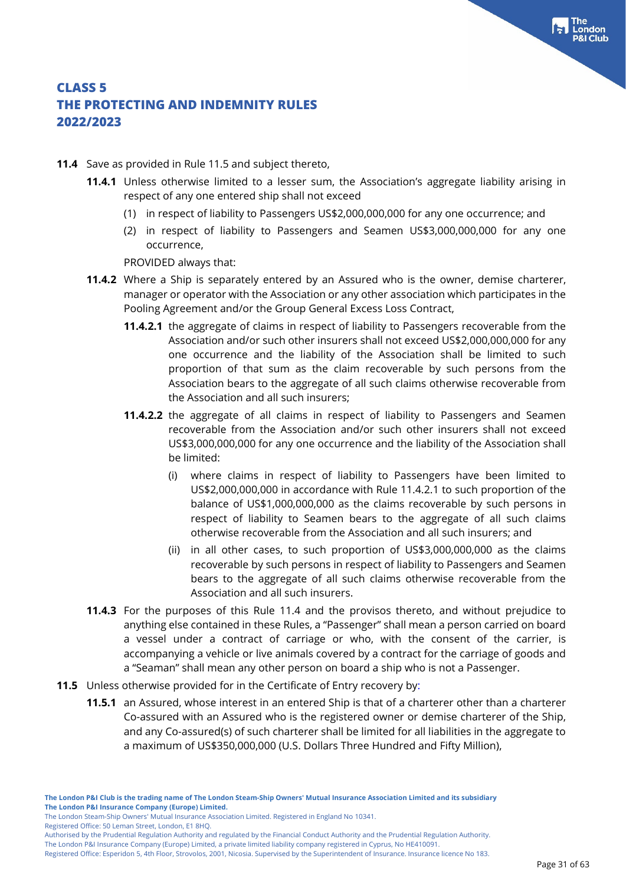- **11.4** Save as provided in Rule 11.5 and subject thereto,
	- **11.4.1** Unless otherwise limited to a lesser sum, the Association's aggregate liability arising in respect of any one entered ship shall not exceed
		- (1) in respect of liability to Passengers US\$2,000,000,000 for any one occurrence; and
		- (2) in respect of liability to Passengers and Seamen US\$3,000,000,000 for any one occurrence,

PROVIDED always that:

- **11.4.2** Where a Ship is separately entered by an Assured who is the owner, demise charterer, manager or operator with the Association or any other association which participates in the Pooling Agreement and/or the Group General Excess Loss Contract,
	- **11.4.2.1** the aggregate of claims in respect of liability to Passengers recoverable from the Association and/or such other insurers shall not exceed US\$2,000,000,000 for any one occurrence and the liability of the Association shall be limited to such proportion of that sum as the claim recoverable by such persons from the Association bears to the aggregate of all such claims otherwise recoverable from the Association and all such insurers;
	- **11.4.2.2** the aggregate of all claims in respect of liability to Passengers and Seamen recoverable from the Association and/or such other insurers shall not exceed US\$3,000,000,000 for any one occurrence and the liability of the Association shall be limited:
		- (i) where claims in respect of liability to Passengers have been limited to US\$2,000,000,000 in accordance with Rule 11.4.2.1 to such proportion of the balance of US\$1,000,000,000 as the claims recoverable by such persons in respect of liability to Seamen bears to the aggregate of all such claims otherwise recoverable from the Association and all such insurers; and
		- (ii) in all other cases, to such proportion of US\$3,000,000,000 as the claims recoverable by such persons in respect of liability to Passengers and Seamen bears to the aggregate of all such claims otherwise recoverable from the Association and all such insurers.
- **11.4.3** For the purposes of this Rule 11.4 and the provisos thereto, and without prejudice to anything else contained in these Rules, a "Passenger" shall mean a person carried on board a vessel under a contract of carriage or who, with the consent of the carrier, is accompanying a vehicle or live animals covered by a contract for the carriage of goods and a "Seaman" shall mean any other person on board a ship who is not a Passenger.
- **11.5** Unless otherwise provided for in the Certificate of Entry recovery by:
	- **11.5.1** an Assured, whose interest in an entered Ship is that of a charterer other than a charterer Co-assured with an Assured who is the registered owner or demise charterer of the Ship, and any Co-assured(s) of such charterer shall be limited for all liabilities in the aggregate to a maximum of US\$350,000,000 (U.S. Dollars Three Hundred and Fifty Million),

Registered Office: 50 Leman Street, London, E1 8HQ.

The London P&I Insurance Company (Europe) Limited, a private limited liability company registered in Cyprus, No HE410091. Registered Office: Esperidon 5, 4th Floor, Strovolos, 2001, Nicosia. Supervised by the Superintendent of Insurance. Insurance licence No 183.

The London Steam-Ship Owners' Mutual Insurance Association Limited. Registered in England No 10341.

Authorised by the Prudential Regulation Authority and regulated by the Financial Conduct Authority and the Prudential Regulation Authority.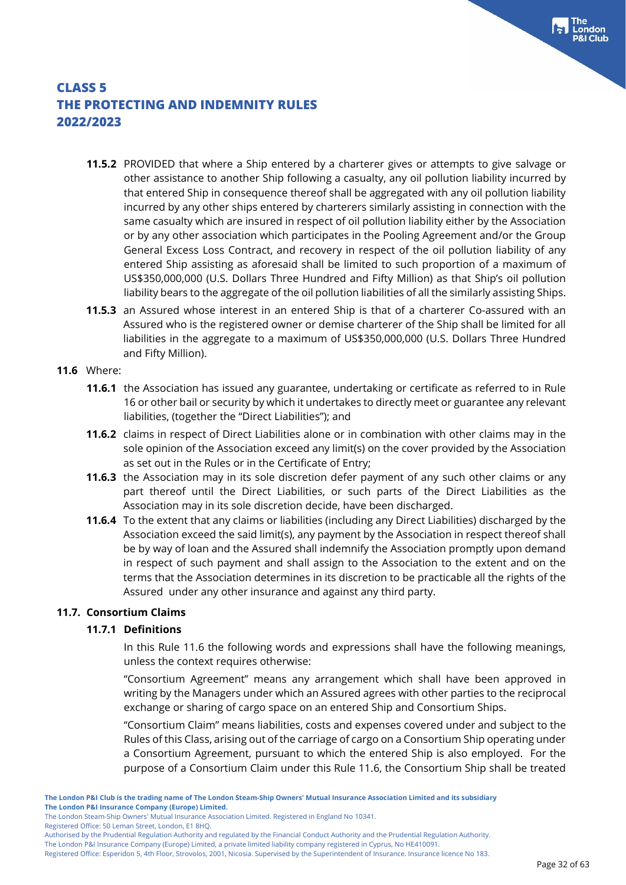- **11.5.2** PROVIDED that where a Ship entered by a charterer gives or attempts to give salvage or other assistance to another Ship following a casualty, any oil pollution liability incurred by that entered Ship in consequence thereof shall be aggregated with any oil pollution liability incurred by any other ships entered by charterers similarly assisting in connection with the same casualty which are insured in respect of oil pollution liability either by the Association or by any other association which participates in the Pooling Agreement and/or the Group General Excess Loss Contract, and recovery in respect of the oil pollution liability of any entered Ship assisting as aforesaid shall be limited to such proportion of a maximum of US\$350,000,000 (U.S. Dollars Three Hundred and Fifty Million) as that Ship's oil pollution liability bears to the aggregate of the oil pollution liabilities of all the similarly assisting Ships.
- **11.5.3** an Assured whose interest in an entered Ship is that of a charterer Co-assured with an Assured who is the registered owner or demise charterer of the Ship shall be limited for all liabilities in the aggregate to a maximum of US\$350,000,000 (U.S. Dollars Three Hundred and Fifty Million).

#### **11.6** Where:

- **11.6.1** the Association has issued any guarantee, undertaking or certificate as referred to in Rule 16 or other bail or security by which it undertakes to directly meet or guarantee any relevant liabilities, (together the "Direct Liabilities"); and
- **11.6.2** claims in respect of Direct Liabilities alone or in combination with other claims may in the sole opinion of the Association exceed any limit(s) on the cover provided by the Association as set out in the Rules or in the Certificate of Entry;
- **11.6.3** the Association may in its sole discretion defer payment of any such other claims or any part thereof until the Direct Liabilities, or such parts of the Direct Liabilities as the Association may in its sole discretion decide, have been discharged.
- **11.6.4** To the extent that any claims or liabilities (including any Direct Liabilities) discharged by the Association exceed the said limit(s), any payment by the Association in respect thereof shall be by way of loan and the Assured shall indemnify the Association promptly upon demand in respect of such payment and shall assign to the Association to the extent and on the terms that the Association determines in its discretion to be practicable all the rights of the Assured under any other insurance and against any third party.

#### **11.7. Consortium Claims**

#### **11.7.1 Definitions**

In this Rule 11.6 the following words and expressions shall have the following meanings, unless the context requires otherwise:

"Consortium Agreement" means any arrangement which shall have been approved in writing by the Managers under which an Assured agrees with other parties to the reciprocal exchange or sharing of cargo space on an entered Ship and Consortium Ships.

"Consortium Claim" means liabilities, costs and expenses covered under and subject to the Rules of this Class, arising out of the carriage of cargo on a Consortium Ship operating under a Consortium Agreement, pursuant to which the entered Ship is also employed. For the purpose of a Consortium Claim under this Rule 11.6, the Consortium Ship shall be treated

The London P&I Insurance Company (Europe) Limited, a private limited liability company registered in Cyprus, No HE410091.

The London Steam-Ship Owners' Mutual Insurance Association Limited. Registered in England No 10341.

Registered Office: 50 Leman Street, London, E1 8HQ.

Authorised by the Prudential Regulation Authority and regulated by the Financial Conduct Authority and the Prudential Regulation Authority.

Registered Office: Esperidon 5, 4th Floor, Strovolos, 2001, Nicosia. Supervised by the Superintendent of Insurance. Insurance licence No 183.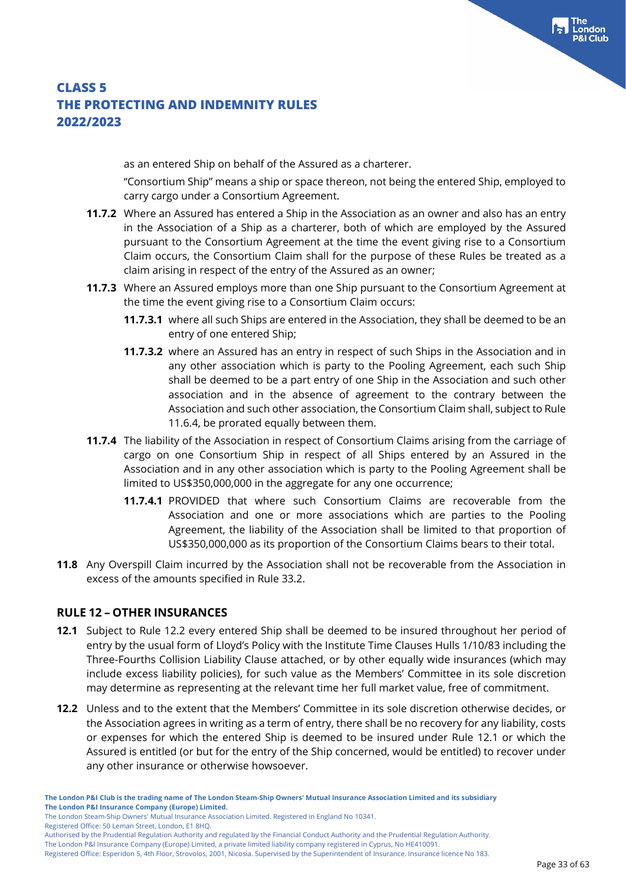as an entered Ship on behalf of the Assured as a charterer.

"Consortium Ship" means a ship or space thereon, not being the entered Ship, employed to carry cargo under a Consortium Agreement.

- **11.7.2** Where an Assured has entered a Ship in the Association as an owner and also has an entry in the Association of a Ship as a charterer, both of which are employed by the Assured pursuant to the Consortium Agreement at the time the event giving rise to a Consortium Claim occurs, the Consortium Claim shall for the purpose of these Rules be treated as a claim arising in respect of the entry of the Assured as an owner;
- **11.7.3** Where an Assured employs more than one Ship pursuant to the Consortium Agreement at the time the event giving rise to a Consortium Claim occurs:
	- **11.7.3.1** where all such Ships are entered in the Association, they shall be deemed to be an entry of one entered Ship;
	- **11.7.3.2** where an Assured has an entry in respect of such Ships in the Association and in any other association which is party to the Pooling Agreement, each such Ship shall be deemed to be a part entry of one Ship in the Association and such other association and in the absence of agreement to the contrary between the Association and such other association, the Consortium Claim shall, subject to Rule 11.6.4, be prorated equally between them.
- **11.7.4** The liability of the Association in respect of Consortium Claims arising from the carriage of cargo on one Consortium Ship in respect of all Ships entered by an Assured in the Association and in any other association which is party to the Pooling Agreement shall be limited to US\$350,000,000 in the aggregate for any one occurrence;
	- **11.7.4.1** PROVIDED that where such Consortium Claims are recoverable from the Association and one or more associations which are parties to the Pooling Agreement, the liability of the Association shall be limited to that proportion of US\$350,000,000 as its proportion of the Consortium Claims bears to their total.
- **11.8** Any Overspill Claim incurred by the Association shall not be recoverable from the Association in excess of the amounts specified in Rule 33.2.

### **RULE 12 – OTHER INSURANCES**

- **12.1** Subject to Rule 12.2 every entered Ship shall be deemed to be insured throughout her period of entry by the usual form of Lloyd's Policy with the Institute Time Clauses Hulls 1/10/83 including the Three-Fourths Collision Liability Clause attached, or by other equally wide insurances (which may include excess liability policies), for such value as the Members' Committee in its sole discretion may determine as representing at the relevant time her full market value, free of commitment.
- **12.2** Unless and to the extent that the Members' Committee in its sole discretion otherwise decides, or the Association agrees in writing as a term of entry, there shall be no recovery for any liability, costs or expenses for which the entered Ship is deemed to be insured under Rule 12.1 or which the Assured is entitled (or but for the entry of the Ship concerned, would be entitled) to recover under any other insurance or otherwise howsoever.

Registered Office: 50 Leman Street, London, E1 8HQ.

**The London P&I Club is the trading name of The London Steam-Ship Owners' Mutual Insurance Association Limited and its subsidiary The London P&I Insurance Company (Europe) Limited.**

The London Steam-Ship Owners' Mutual Insurance Association Limited. Registered in England No 10341.

Authorised by the Prudential Regulation Authority and regulated by the Financial Conduct Authority and the Prudential Regulation Authority.

Registered Office: Esperidon 5, 4th Floor, Strovolos, 2001, Nicosia. Supervised by the Superintendent of Insurance. Insurance licence No 183.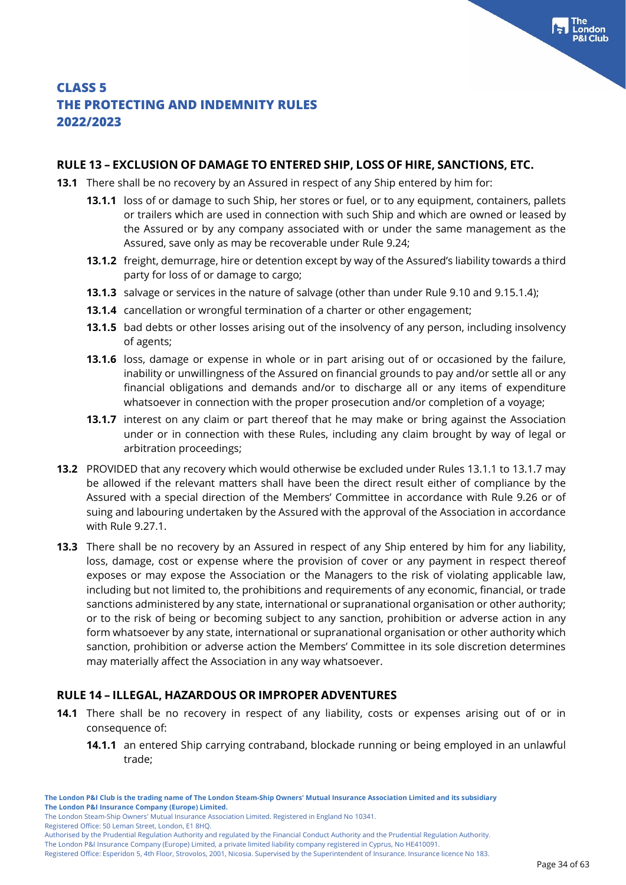#### Page 34 of 63

ondon

### **CLASS 5 THE PROTECTING AND INDEMNITY RULES 2022/2023**

#### **RULE 13 – EXCLUSION OF DAMAGE TO ENTERED SHIP, LOSS OF HIRE, SANCTIONS, ETC.**

- **13.1** There shall be no recovery by an Assured in respect of any Ship entered by him for:
	- **13.1.1** loss of or damage to such Ship, her stores or fuel, or to any equipment, containers, pallets or trailers which are used in connection with such Ship and which are owned or leased by the Assured or by any company associated with or under the same management as the Assured, save only as may be recoverable under Rule 9.24;
	- **13.1.2** freight, demurrage, hire or detention except by way of the Assured's liability towards a third party for loss of or damage to cargo;
	- **13.1.3** salvage or services in the nature of salvage (other than under Rule 9.10 and 9.15.1.4);
	- **13.1.4** cancellation or wrongful termination of a charter or other engagement;
	- **13.1.5** bad debts or other losses arising out of the insolvency of any person, including insolvency of agents;
	- **13.1.6** loss, damage or expense in whole or in part arising out of or occasioned by the failure, inability or unwillingness of the Assured on financial grounds to pay and/or settle all or any financial obligations and demands and/or to discharge all or any items of expenditure whatsoever in connection with the proper prosecution and/or completion of a voyage;
	- **13.1.7** interest on any claim or part thereof that he may make or bring against the Association under or in connection with these Rules, including any claim brought by way of legal or arbitration proceedings;
- **13.2** PROVIDED that any recovery which would otherwise be excluded under Rules 13.1.1 to 13.1.7 may be allowed if the relevant matters shall have been the direct result either of compliance by the Assured with a special direction of the Members' Committee in accordance with Rule 9.26 or of suing and labouring undertaken by the Assured with the approval of the Association in accordance with Rule 9.27.1.
- **13.3** There shall be no recovery by an Assured in respect of any Ship entered by him for any liability, loss, damage, cost or expense where the provision of cover or any payment in respect thereof exposes or may expose the Association or the Managers to the risk of violating applicable law, including but not limited to, the prohibitions and requirements of any economic, financial, or trade sanctions administered by any state, international or supranational organisation or other authority; or to the risk of being or becoming subject to any sanction, prohibition or adverse action in any form whatsoever by any state, international or supranational organisation or other authority which sanction, prohibition or adverse action the Members' Committee in its sole discretion determines may materially affect the Association in any way whatsoever.

#### **RULE 14 – ILLEGAL, HAZARDOUS OR IMPROPER ADVENTURES**

- **14.1** There shall be no recovery in respect of any liability, costs or expenses arising out of or in consequence of:
	- **14.1.1** an entered Ship carrying contraband, blockade running or being employed in an unlawful trade;

Registered Office: 50 Leman Street, London, E1 8HQ.

The London P&I Insurance Company (Europe) Limited, a private limited liability company registered in Cyprus, No HE410091.

Registered Office: Esperidon 5, 4th Floor, Strovolos, 2001, Nicosia. Supervised by the Superintendent of Insurance. Insurance licence No 183.

The London Steam-Ship Owners' Mutual Insurance Association Limited. Registered in England No 10341.

Authorised by the Prudential Regulation Authority and regulated by the Financial Conduct Authority and the Prudential Regulation Authority.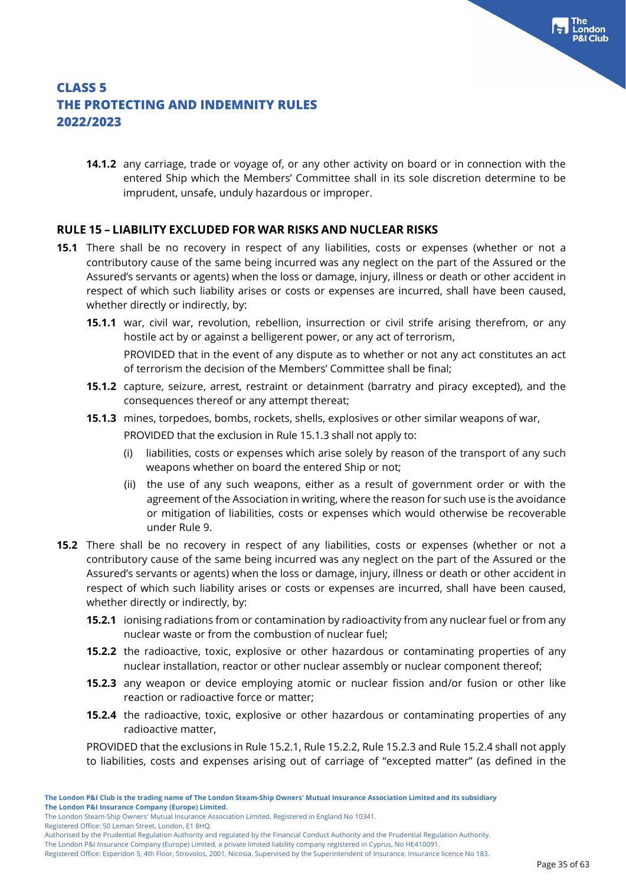**14.1.2** any carriage, trade or voyage of, or any other activity on board or in connection with the entered Ship which the Members' Committee shall in its sole discretion determine to be imprudent, unsafe, unduly hazardous or improper.

### **RULE 15 – LIABILITY EXCLUDED FOR WAR RISKS AND NUCLEAR RISKS**

- **15.1** There shall be no recovery in respect of any liabilities, costs or expenses (whether or not a contributory cause of the same being incurred was any neglect on the part of the Assured or the Assured's servants or agents) when the loss or damage, injury, illness or death or other accident in respect of which such liability arises or costs or expenses are incurred, shall have been caused, whether directly or indirectly, by:
	- **15.1.1** war, civil war, revolution, rebellion, insurrection or civil strife arising therefrom, or any hostile act by or against a belligerent power, or any act of terrorism,

PROVIDED that in the event of any dispute as to whether or not any act constitutes an act of terrorism the decision of the Members' Committee shall be final;

- **15.1.2** capture, seizure, arrest, restraint or detainment (barratry and piracy excepted), and the consequences thereof or any attempt thereat;
- **15.1.3** mines, torpedoes, bombs, rockets, shells, explosives or other similar weapons of war, PROVIDED that the exclusion in Rule 15.1.3 shall not apply to:
	- (i) liabilities, costs or expenses which arise solely by reason of the transport of any such weapons whether on board the entered Ship or not;
	- (ii) the use of any such weapons, either as a result of government order or with the agreement of the Association in writing, where the reason for such use is the avoidance or mitigation of liabilities, costs or expenses which would otherwise be recoverable under Rule 9.
- **15.2** There shall be no recovery in respect of any liabilities, costs or expenses (whether or not a contributory cause of the same being incurred was any neglect on the part of the Assured or the Assured's servants or agents) when the loss or damage, injury, illness or death or other accident in respect of which such liability arises or costs or expenses are incurred, shall have been caused, whether directly or indirectly, by:
	- **15.2.1** ionising radiations from or contamination by radioactivity from any nuclear fuel or from any nuclear waste or from the combustion of nuclear fuel;
	- **15.2.2** the radioactive, toxic, explosive or other hazardous or contaminating properties of any nuclear installation, reactor or other nuclear assembly or nuclear component thereof;
	- **15.2.3** any weapon or device employing atomic or nuclear fission and/or fusion or other like reaction or radioactive force or matter;
	- **15.2.4** the radioactive, toxic, explosive or other hazardous or contaminating properties of any radioactive matter,

PROVIDED that the exclusions in Rule 15.2.1, Rule 15.2.2, Rule 15.2.3 and Rule 15.2.4 shall not apply to liabilities, costs and expenses arising out of carriage of "excepted matter" (as defined in the

Registered Office: 50 Leman Street, London, E1 8HQ.

The London Steam-Ship Owners' Mutual Insurance Association Limited. Registered in England No 10341.

Authorised by the Prudential Regulation Authority and regulated by the Financial Conduct Authority and the Prudential Regulation Authority.

Registered Office: Esperidon 5, 4th Floor, Strovolos, 2001, Nicosia. Supervised by the Superintendent of Insurance. Insurance licence No 183.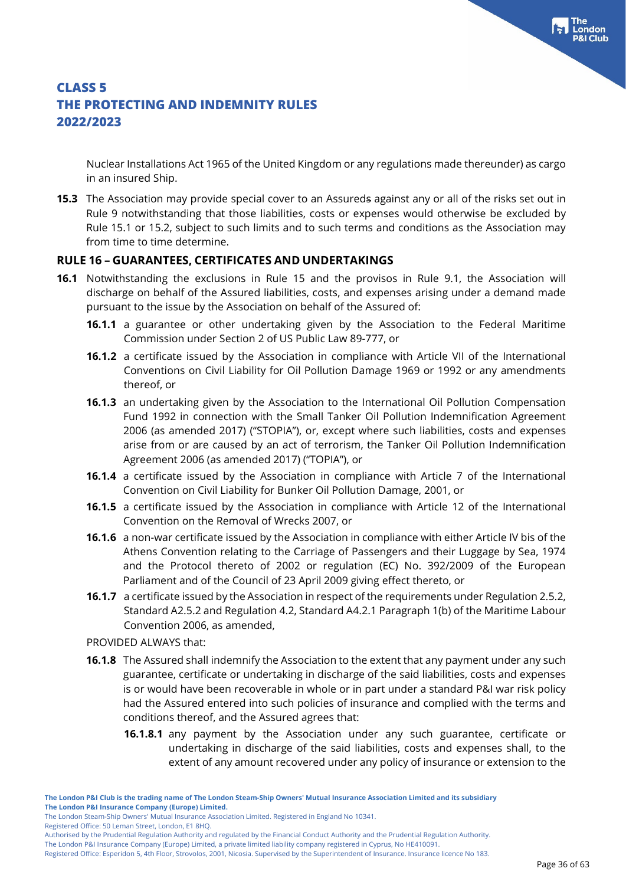Nuclear Installations Act 1965 of the United Kingdom or any regulations made thereunder) as cargo in an insured Ship.

**15.3** The Association may provide special cover to an Assureds against any or all of the risks set out in Rule 9 notwithstanding that those liabilities, costs or expenses would otherwise be excluded by Rule 15.1 or 15.2, subject to such limits and to such terms and conditions as the Association may from time to time determine.

#### **RULE 16 – GUARANTEES, CERTIFICATES AND UNDERTAKINGS**

- **16.1** Notwithstanding the exclusions in Rule 15 and the provisos in Rule 9.1, the Association will discharge on behalf of the Assured liabilities, costs, and expenses arising under a demand made pursuant to the issue by the Association on behalf of the Assured of:
	- **16.1.1** a guarantee or other undertaking given by the Association to the Federal Maritime Commission under Section 2 of US Public Law 89-777, or
	- **16.1.2** a certificate issued by the Association in compliance with Article VII of the International Conventions on Civil Liability for Oil Pollution Damage 1969 or 1992 or any amendments thereof, or
	- **16.1.3** an undertaking given by the Association to the International Oil Pollution Compensation Fund 1992 in connection with the Small Tanker Oil Pollution Indemnification Agreement 2006 (as amended 2017) ("STOPIA"), or, except where such liabilities, costs and expenses arise from or are caused by an act of terrorism, the Tanker Oil Pollution Indemnification Agreement 2006 (as amended 2017) ("TOPIA"), or
	- **16.1.4** a certificate issued by the Association in compliance with Article 7 of the International Convention on Civil Liability for Bunker Oil Pollution Damage, 2001, or
	- **16.1.5** a certificate issued by the Association in compliance with Article 12 of the International Convention on the Removal of Wrecks 2007, or
	- **16.1.6** a non-war certificate issued by the Association in compliance with either Article IV bis of the Athens Convention relating to the Carriage of Passengers and their Luggage by Sea, 1974 and the Protocol thereto of 2002 or regulation (EC) No. 392/2009 of the European Parliament and of the Council of 23 April 2009 giving effect thereto, or
	- **16.1.7** a certificate issued by the Association in respect of the requirements under Regulation 2.5.2, Standard A2.5.2 and Regulation 4.2, Standard A4.2.1 Paragraph 1(b) of the Maritime Labour Convention 2006, as amended,

PROVIDED ALWAYS that:

- **16.1.8** The Assured shall indemnify the Association to the extent that any payment under any such guarantee, certificate or undertaking in discharge of the said liabilities, costs and expenses is or would have been recoverable in whole or in part under a standard P&I war risk policy had the Assured entered into such policies of insurance and complied with the terms and conditions thereof, and the Assured agrees that:
	- **16.1.8.1** any payment by the Association under any such guarantee, certificate or undertaking in discharge of the said liabilities, costs and expenses shall, to the extent of any amount recovered under any policy of insurance or extension to the

Registered Office: 50 Leman Street, London, E1 8HQ.

**The London P&I Club is the trading name of The London Steam-Ship Owners' Mutual Insurance Association Limited and its subsidiary The London P&I Insurance Company (Europe) Limited.**

The London Steam-Ship Owners' Mutual Insurance Association Limited. Registered in England No 10341.

Authorised by the Prudential Regulation Authority and regulated by the Financial Conduct Authority and the Prudential Regulation Authority.

Registered Office: Esperidon 5, 4th Floor, Strovolos, 2001, Nicosia. Supervised by the Superintendent of Insurance. Insurance licence No 183.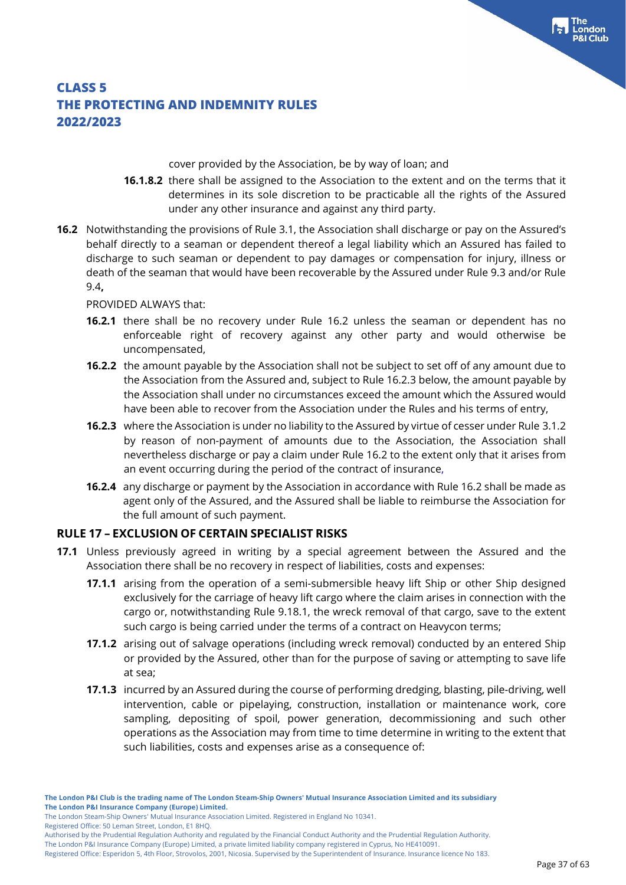cover provided by the Association, be by way of loan; and

- **16.1.8.2** there shall be assigned to the Association to the extent and on the terms that it determines in its sole discretion to be practicable all the rights of the Assured under any other insurance and against any third party.
- **16.2** Notwithstanding the provisions of Rule 3.1, the Association shall discharge or pay on the Assured's behalf directly to a seaman or dependent thereof a legal liability which an Assured has failed to discharge to such seaman or dependent to pay damages or compensation for injury, illness or death of the seaman that would have been recoverable by the Assured under Rule 9.3 and/or Rule 9.4**,**

#### PROVIDED ALWAYS that:

- **16.2.1** there shall be no recovery under Rule 16.2 unless the seaman or dependent has no enforceable right of recovery against any other party and would otherwise be uncompensated,
- **16.2.2** the amount payable by the Association shall not be subject to set off of any amount due to the Association from the Assured and, subject to Rule 16.2.3 below, the amount payable by the Association shall under no circumstances exceed the amount which the Assured would have been able to recover from the Association under the Rules and his terms of entry,
- **16.2.3** where the Association is under no liability to the Assured by virtue of cesser under Rule 3.1.2 by reason of non-payment of amounts due to the Association, the Association shall nevertheless discharge or pay a claim under Rule 16.2 to the extent only that it arises from an event occurring during the period of the contract of insurance,
- **16.2.4** any discharge or payment by the Association in accordance with Rule 16.2 shall be made as agent only of the Assured, and the Assured shall be liable to reimburse the Association for the full amount of such payment.

### **RULE 17 – EXCLUSION OF CERTAIN SPECIALIST RISKS**

- **17.1** Unless previously agreed in writing by a special agreement between the Assured and the Association there shall be no recovery in respect of liabilities, costs and expenses:
	- **17.1.1** arising from the operation of a semi-submersible heavy lift Ship or other Ship designed exclusively for the carriage of heavy lift cargo where the claim arises in connection with the cargo or, notwithstanding Rule 9.18.1, the wreck removal of that cargo, save to the extent such cargo is being carried under the terms of a contract on Heavycon terms;
	- **17.1.2** arising out of salvage operations (including wreck removal) conducted by an entered Ship or provided by the Assured, other than for the purpose of saving or attempting to save life at sea;
	- **17.1.3** incurred by an Assured during the course of performing dredging, blasting, pile-driving, well intervention, cable or pipelaying, construction, installation or maintenance work, core sampling, depositing of spoil, power generation, decommissioning and such other operations as the Association may from time to time determine in writing to the extent that such liabilities, costs and expenses arise as a consequence of:

Registered Office: 50 Leman Street, London, E1 8HQ.

The London P&I Insurance Company (Europe) Limited, a private limited liability company registered in Cyprus, No HE410091. Registered Office: Esperidon 5, 4th Floor, Strovolos, 2001, Nicosia. Supervised by the Superintendent of Insurance. Insurance licence No 183.

The London Steam-Ship Owners' Mutual Insurance Association Limited. Registered in England No 10341.

Authorised by the Prudential Regulation Authority and regulated by the Financial Conduct Authority and the Prudential Regulation Authority.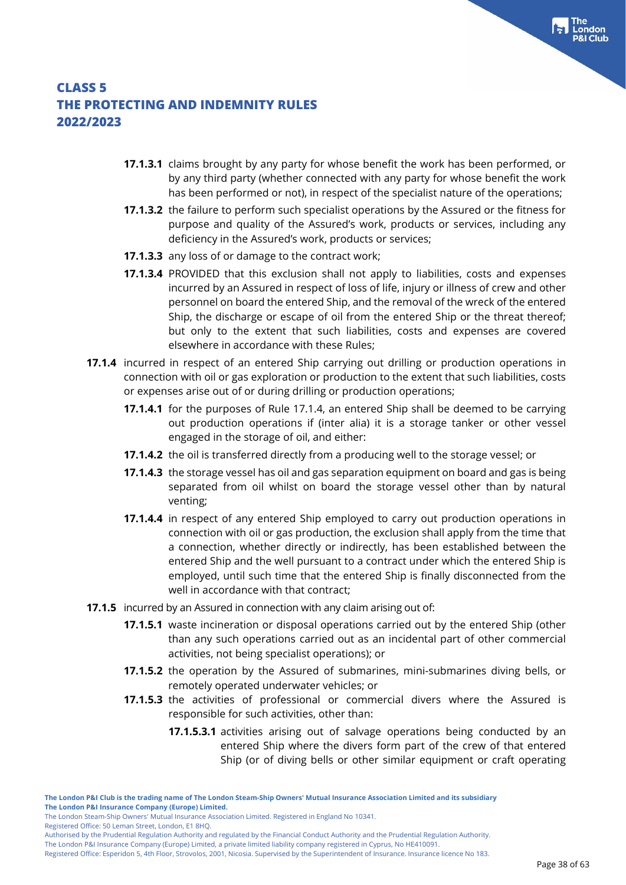- **17.1.3.1** claims brought by any party for whose benefit the work has been performed, or by any third party (whether connected with any party for whose benefit the work has been performed or not), in respect of the specialist nature of the operations;
- **17.1.3.2** the failure to perform such specialist operations by the Assured or the fitness for purpose and quality of the Assured's work, products or services, including any deficiency in the Assured's work, products or services;
- **17.1.3.3** any loss of or damage to the contract work;
- **17.1.3.4** PROVIDED that this exclusion shall not apply to liabilities, costs and expenses incurred by an Assured in respect of loss of life, injury or illness of crew and other personnel on board the entered Ship, and the removal of the wreck of the entered Ship, the discharge or escape of oil from the entered Ship or the threat thereof; but only to the extent that such liabilities, costs and expenses are covered elsewhere in accordance with these Rules;
- **17.1.4** incurred in respect of an entered Ship carrying out drilling or production operations in connection with oil or gas exploration or production to the extent that such liabilities, costs or expenses arise out of or during drilling or production operations;
	- **17.1.4.1** for the purposes of Rule 17.1.4, an entered Ship shall be deemed to be carrying out production operations if (inter alia) it is a storage tanker or other vessel engaged in the storage of oil, and either:
	- **17.1.4.2** the oil is transferred directly from a producing well to the storage vessel; or
	- **17.1.4.3** the storage vessel has oil and gas separation equipment on board and gas is being separated from oil whilst on board the storage vessel other than by natural venting;
	- **17.1.4.4** in respect of any entered Ship employed to carry out production operations in connection with oil or gas production, the exclusion shall apply from the time that a connection, whether directly or indirectly, has been established between the entered Ship and the well pursuant to a contract under which the entered Ship is employed, until such time that the entered Ship is finally disconnected from the well in accordance with that contract;
- **17.1.5** incurred by an Assured in connection with any claim arising out of:
	- **17.1.5.1** waste incineration or disposal operations carried out by the entered Ship (other than any such operations carried out as an incidental part of other commercial activities, not being specialist operations); or
	- **17.1.5.2** the operation by the Assured of submarines, mini-submarines diving bells, or remotely operated underwater vehicles; or
	- **17.1.5.3** the activities of professional or commercial divers where the Assured is responsible for such activities, other than:
		- **17.1.5.3.1** activities arising out of salvage operations being conducted by an entered Ship where the divers form part of the crew of that entered Ship (or of diving bells or other similar equipment or craft operating

Registered Office: 50 Leman Street, London, E1 8HQ.

The London P&I Insurance Company (Europe) Limited, a private limited liability company registered in Cyprus, No HE410091.

Registered Office: Esperidon 5, 4th Floor, Strovolos, 2001, Nicosia. Supervised by the Superintendent of Insurance. Insurance licence No 183.

The London Steam-Ship Owners' Mutual Insurance Association Limited. Registered in England No 10341.

Authorised by the Prudential Regulation Authority and regulated by the Financial Conduct Authority and the Prudential Regulation Authority.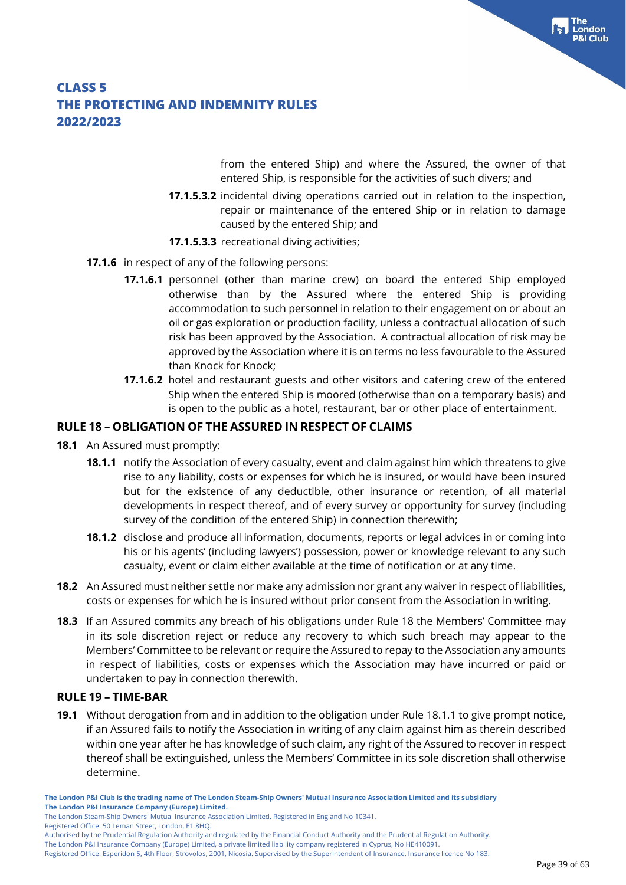from the entered Ship) and where the Assured, the owner of that entered Ship, is responsible for the activities of such divers; and

- **17.1.5.3.2** incidental diving operations carried out in relation to the inspection, repair or maintenance of the entered Ship or in relation to damage caused by the entered Ship; and
- **17.1.5.3.3** recreational diving activities;
- **17.1.6** in respect of any of the following persons:
	- **17.1.6.1** personnel (other than marine crew) on board the entered Ship employed otherwise than by the Assured where the entered Ship is providing accommodation to such personnel in relation to their engagement on or about an oil or gas exploration or production facility, unless a contractual allocation of such risk has been approved by the Association. A contractual allocation of risk may be approved by the Association where it is on terms no less favourable to the Assured than Knock for Knock;
	- **17.1.6.2** hotel and restaurant guests and other visitors and catering crew of the entered Ship when the entered Ship is moored (otherwise than on a temporary basis) and is open to the public as a hotel, restaurant, bar or other place of entertainment.

#### **RULE 18 – OBLIGATION OF THE ASSURED IN RESPECT OF CLAIMS**

- **18.1** An Assured must promptly:
	- **18.1.1** notify the Association of every casualty, event and claim against him which threatens to give rise to any liability, costs or expenses for which he is insured, or would have been insured but for the existence of any deductible, other insurance or retention, of all material developments in respect thereof, and of every survey or opportunity for survey (including survey of the condition of the entered Ship) in connection therewith;
	- **18.1.2** disclose and produce all information, documents, reports or legal advices in or coming into his or his agents' (including lawyers') possession, power or knowledge relevant to any such casualty, event or claim either available at the time of notification or at any time.
- **18.2** An Assured must neither settle nor make any admission nor grant any waiver in respect of liabilities, costs or expenses for which he is insured without prior consent from the Association in writing.
- **18.3** If an Assured commits any breach of his obligations under Rule 18 the Members' Committee may in its sole discretion reject or reduce any recovery to which such breach may appear to the Members' Committee to be relevant or require the Assured to repay to the Association any amounts in respect of liabilities, costs or expenses which the Association may have incurred or paid or undertaken to pay in connection therewith.

#### **RULE 19 – TIME-BAR**

**19.1** Without derogation from and in addition to the obligation under Rule 18.1.1 to give prompt notice, if an Assured fails to notify the Association in writing of any claim against him as therein described within one year after he has knowledge of such claim, any right of the Assured to recover in respect thereof shall be extinguished, unless the Members' Committee in its sole discretion shall otherwise determine.

Registered Office: 50 Leman Street, London, E1 8HQ.

**The London P&I Club is the trading name of The London Steam-Ship Owners' Mutual Insurance Association Limited and its subsidiary The London P&I Insurance Company (Europe) Limited.**

The London Steam-Ship Owners' Mutual Insurance Association Limited. Registered in England No 10341.

Authorised by the Prudential Regulation Authority and regulated by the Financial Conduct Authority and the Prudential Regulation Authority.

Registered Office: Esperidon 5, 4th Floor, Strovolos, 2001, Nicosia. Supervised by the Superintendent of Insurance. Insurance licence No 183.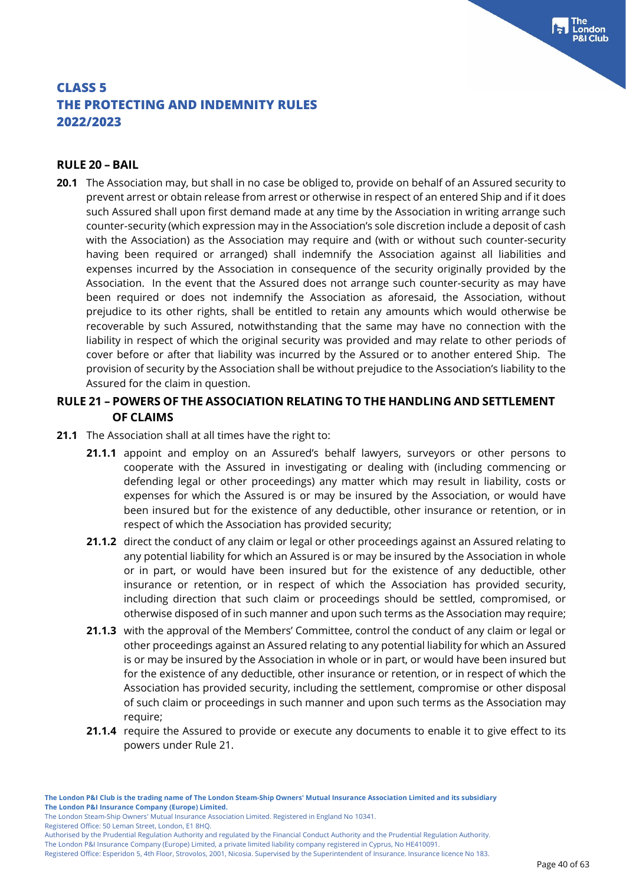#### **RULE 20 – BAIL**

**20.1** The Association may, but shall in no case be obliged to, provide on behalf of an Assured security to prevent arrest or obtain release from arrest or otherwise in respect of an entered Ship and if it does such Assured shall upon first demand made at any time by the Association in writing arrange such counter-security (which expression may in the Association's sole discretion include a deposit of cash with the Association) as the Association may require and (with or without such counter-security having been required or arranged) shall indemnify the Association against all liabilities and expenses incurred by the Association in consequence of the security originally provided by the Association. In the event that the Assured does not arrange such counter-security as may have been required or does not indemnify the Association as aforesaid, the Association, without prejudice to its other rights, shall be entitled to retain any amounts which would otherwise be recoverable by such Assured, notwithstanding that the same may have no connection with the liability in respect of which the original security was provided and may relate to other periods of cover before or after that liability was incurred by the Assured or to another entered Ship. The provision of security by the Association shall be without prejudice to the Association's liability to the Assured for the claim in question.

#### **RULE 21 – POWERS OF THE ASSOCIATION RELATING TO THE HANDLING AND SETTLEMENT OF CLAIMS**

- **21.1** The Association shall at all times have the right to:
	- **21.1.1** appoint and employ on an Assured's behalf lawyers, surveyors or other persons to cooperate with the Assured in investigating or dealing with (including commencing or defending legal or other proceedings) any matter which may result in liability, costs or expenses for which the Assured is or may be insured by the Association, or would have been insured but for the existence of any deductible, other insurance or retention, or in respect of which the Association has provided security;
	- **21.1.2** direct the conduct of any claim or legal or other proceedings against an Assured relating to any potential liability for which an Assured is or may be insured by the Association in whole or in part, or would have been insured but for the existence of any deductible, other insurance or retention, or in respect of which the Association has provided security, including direction that such claim or proceedings should be settled, compromised, or otherwise disposed of in such manner and upon such terms as the Association may require;
	- **21.1.3** with the approval of the Members' Committee, control the conduct of any claim or legal or other proceedings against an Assured relating to any potential liability for which an Assured is or may be insured by the Association in whole or in part, or would have been insured but for the existence of any deductible, other insurance or retention, or in respect of which the Association has provided security, including the settlement, compromise or other disposal of such claim or proceedings in such manner and upon such terms as the Association may require;
	- **21.1.4** require the Assured to provide or execute any documents to enable it to give effect to its powers under Rule 21.

The London Steam-Ship Owners' Mutual Insurance Association Limited. Registered in England No 10341.

Registered Office: 50 Leman Street, London, E1 8HQ.

Authorised by the Prudential Regulation Authority and regulated by the Financial Conduct Authority and the Prudential Regulation Authority.

The London P&I Insurance Company (Europe) Limited, a private limited liability company registered in Cyprus, No HE410091.

Registered Office: Esperidon 5, 4th Floor, Strovolos, 2001, Nicosia. Supervised by the Superintendent of Insurance. Insurance licence No 183.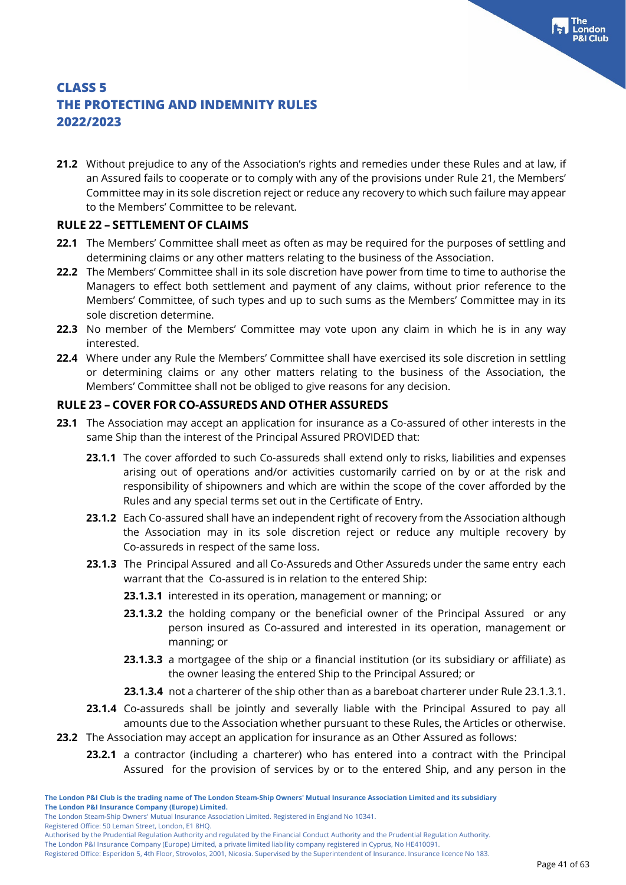**21.2** Without prejudice to any of the Association's rights and remedies under these Rules and at law, if an Assured fails to cooperate or to comply with any of the provisions under Rule 21, the Members' Committee may in its sole discretion reject or reduce any recovery to which such failure may appear to the Members' Committee to be relevant.

### **RULE 22 – SETTLEMENT OF CLAIMS**

- **22.1** The Members' Committee shall meet as often as may be required for the purposes of settling and determining claims or any other matters relating to the business of the Association.
- **22.2** The Members' Committee shall in its sole discretion have power from time to time to authorise the Managers to effect both settlement and payment of any claims, without prior reference to the Members' Committee, of such types and up to such sums as the Members' Committee may in its sole discretion determine.
- **22.3** No member of the Members' Committee may vote upon any claim in which he is in any way interested.
- **22.4** Where under any Rule the Members' Committee shall have exercised its sole discretion in settling or determining claims or any other matters relating to the business of the Association, the Members' Committee shall not be obliged to give reasons for any decision.

### **RULE 23 – COVER FOR CO-ASSUREDS AND OTHER ASSUREDS**

- **23.1** The Association may accept an application for insurance as a Co-assured of other interests in the same Ship than the interest of the Principal Assured PROVIDED that:
	- **23.1.1** The cover afforded to such Co-assureds shall extend only to risks, liabilities and expenses arising out of operations and/or activities customarily carried on by or at the risk and responsibility of shipowners and which are within the scope of the cover afforded by the Rules and any special terms set out in the Certificate of Entry.
	- **23.1.2** Each Co-assured shall have an independent right of recovery from the Association although the Association may in its sole discretion reject or reduce any multiple recovery by Co-assureds in respect of the same loss.
	- **23.1.3** The Principal Assured and all Co-Assureds and Other Assureds under the same entry each warrant that the Co-assured is in relation to the entered Ship:
		- **23.1.3.1** interested in its operation, management or manning; or
		- **23.1.3.2** the holding company or the beneficial owner of the Principal Assured or any person insured as Co-assured and interested in its operation, management or manning; or
		- **23.1.3.3** a mortgagee of the ship or a financial institution (or its subsidiary or affiliate) as the owner leasing the entered Ship to the Principal Assured; or
		- **23.1.3.4** not a charterer of the ship other than as a bareboat charterer under Rule 23.1.3.1.
	- **23.1.4** Co-assureds shall be jointly and severally liable with the Principal Assured to pay all amounts due to the Association whether pursuant to these Rules, the Articles or otherwise.
- **23.2** The Association may accept an application for insurance as an Other Assured as follows:
	- **23.2.1** a contractor (including a charterer) who has entered into a contract with the Principal Assured for the provision of services by or to the entered Ship, and any person in the

The London Steam-Ship Owners' Mutual Insurance Association Limited. Registered in England No 10341.

Registered Office: 50 Leman Street, London, E1 8HQ.

The London P&I Insurance Company (Europe) Limited, a private limited liability company registered in Cyprus, No HE410091.

Authorised by the Prudential Regulation Authority and regulated by the Financial Conduct Authority and the Prudential Regulation Authority.

Registered Office: Esperidon 5, 4th Floor, Strovolos, 2001, Nicosia. Supervised by the Superintendent of Insurance. Insurance licence No 183.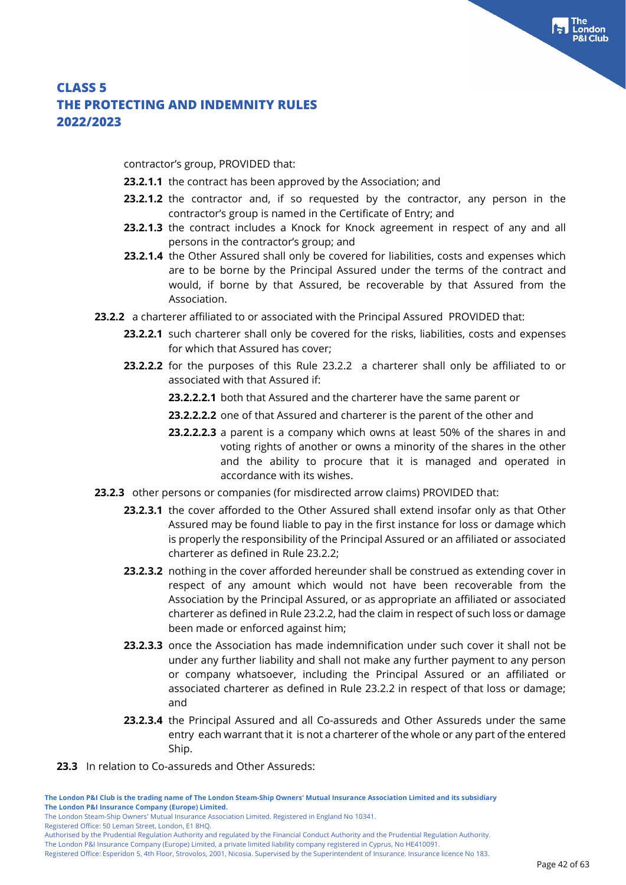contractor's group, PROVIDED that:

- **23.2.1.1** the contract has been approved by the Association; and
- **23.2.1.2** the contractor and, if so requested by the contractor, any person in the contractor's group is named in the Certificate of Entry; and
- **23.2.1.3** the contract includes a Knock for Knock agreement in respect of any and all persons in the contractor's group; and
- **23.2.1.4** the Other Assured shall only be covered for liabilities, costs and expenses which are to be borne by the Principal Assured under the terms of the contract and would, if borne by that Assured, be recoverable by that Assured from the Association.
- **23.2.2** a charterer affiliated to or associated with the Principal Assured PROVIDED that:
	- **23.2.2.1** such charterer shall only be covered for the risks, liabilities, costs and expenses for which that Assured has cover;
	- **23.2.2.2** for the purposes of this Rule 23.2.2 a charterer shall only be affiliated to or associated with that Assured if:
		- **23.2.2.2.1** both that Assured and the charterer have the same parent or
		- **23.2.2.2.2** one of that Assured and charterer is the parent of the other and
		- **23.2.2.2.3** a parent is a company which owns at least 50% of the shares in and voting rights of another or owns a minority of the shares in the other and the ability to procure that it is managed and operated in accordance with its wishes.
- **23.2.3** other persons or companies (for misdirected arrow claims) PROVIDED that:
	- **23.2.3.1** the cover afforded to the Other Assured shall extend insofar only as that Other Assured may be found liable to pay in the first instance for loss or damage which is properly the responsibility of the Principal Assured or an affiliated or associated charterer as defined in Rule 23.2.2;
	- **23.2.3.2** nothing in the cover afforded hereunder shall be construed as extending cover in respect of any amount which would not have been recoverable from the Association by the Principal Assured, or as appropriate an affiliated or associated charterer as defined in Rule 23.2.2, had the claim in respect of such loss or damage been made or enforced against him;
	- **23.2.3.3** once the Association has made indemnification under such cover it shall not be under any further liability and shall not make any further payment to any person or company whatsoever, including the Principal Assured or an affiliated or associated charterer as defined in Rule 23.2.2 in respect of that loss or damage; and
	- **23.2.3.4** the Principal Assured and all Co-assureds and Other Assureds under the same entry each warrant that it is not a charterer of the whole or any part of the entered Ship.
- **23.3** In relation to Co-assureds and Other Assureds:

**The London P&I Club is the trading name of The London Steam-Ship Owners' Mutual Insurance Association Limited and its subsidiary The London P&I Insurance Company (Europe) Limited.**

Registered Office: 50 Leman Street, London, E1 8HQ.

The London P&I Insurance Company (Europe) Limited, a private limited liability company registered in Cyprus, No HE410091.

The London Steam-Ship Owners' Mutual Insurance Association Limited. Registered in England No 10341.

Authorised by the Prudential Regulation Authority and regulated by the Financial Conduct Authority and the Prudential Regulation Authority.

Registered Office: Esperidon 5, 4th Floor, Strovolos, 2001, Nicosia. Supervised by the Superintendent of Insurance. Insurance licence No 183.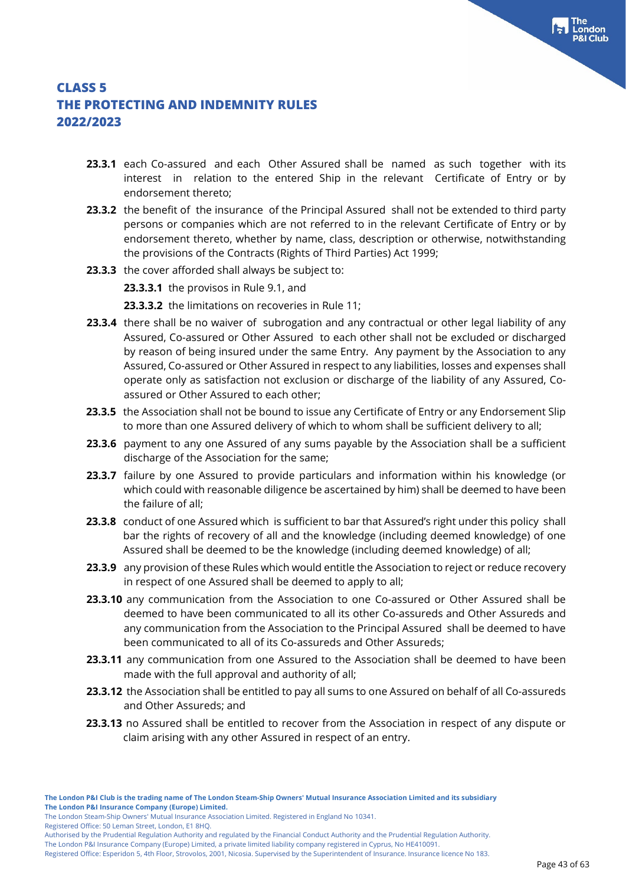- **23.3.1** each Co-assured and each Other Assured shall be named as such together with its interest in relation to the entered Ship in the relevant Certificate of Entry or by endorsement thereto;
- **23.3.2** the benefit of the insurance of the Principal Assured shall not be extended to third party persons or companies which are not referred to in the relevant Certificate of Entry or by endorsement thereto, whether by name, class, description or otherwise, notwithstanding the provisions of the Contracts (Rights of Third Parties) Act 1999;
- **23.3.3** the cover afforded shall always be subject to:

**23.3.3.1** the provisos in Rule 9.1, and

**23.3.3.2** the limitations on recoveries in Rule 11;

- **23.3.4** there shall be no waiver of subrogation and any contractual or other legal liability of any Assured, Co-assured or Other Assured to each other shall not be excluded or discharged by reason of being insured under the same Entry. Any payment by the Association to any Assured, Co-assured or Other Assured in respect to any liabilities, losses and expenses shall operate only as satisfaction not exclusion or discharge of the liability of any Assured, Coassured or Other Assured to each other;
- **23.3.5** the Association shall not be bound to issue any Certificate of Entry or any Endorsement Slip to more than one Assured delivery of which to whom shall be sufficient delivery to all;
- **23.3.6** payment to any one Assured of any sums payable by the Association shall be a sufficient discharge of the Association for the same;
- **23.3.7** failure by one Assured to provide particulars and information within his knowledge (or which could with reasonable diligence be ascertained by him) shall be deemed to have been the failure of all;
- **23.3.8** conduct of one Assured which is sufficient to bar that Assured's right under this policy shall bar the rights of recovery of all and the knowledge (including deemed knowledge) of one Assured shall be deemed to be the knowledge (including deemed knowledge) of all;
- **23.3.9** any provision of these Rules which would entitle the Association to reject or reduce recovery in respect of one Assured shall be deemed to apply to all;
- **23.3.10** any communication from the Association to one Co-assured or Other Assured shall be deemed to have been communicated to all its other Co-assureds and Other Assureds and any communication from the Association to the Principal Assured shall be deemed to have been communicated to all of its Co-assureds and Other Assureds;
- 23.3.11 any communication from one Assured to the Association shall be deemed to have been made with the full approval and authority of all;
- **23.3.12** the Association shall be entitled to pay all sums to one Assured on behalf of all Co-assureds and Other Assureds; and
- **23.3.13** no Assured shall be entitled to recover from the Association in respect of any dispute or claim arising with any other Assured in respect of an entry.

The London Steam-Ship Owners' Mutual Insurance Association Limited. Registered in England No 10341.

Registered Office: 50 Leman Street, London, E1 8HQ.

The London P&I Insurance Company (Europe) Limited, a private limited liability company registered in Cyprus, No HE410091.

Registered Office: Esperidon 5, 4th Floor, Strovolos, 2001, Nicosia. Supervised by the Superintendent of Insurance. Insurance licence No 183.

Authorised by the Prudential Regulation Authority and regulated by the Financial Conduct Authority and the Prudential Regulation Authority.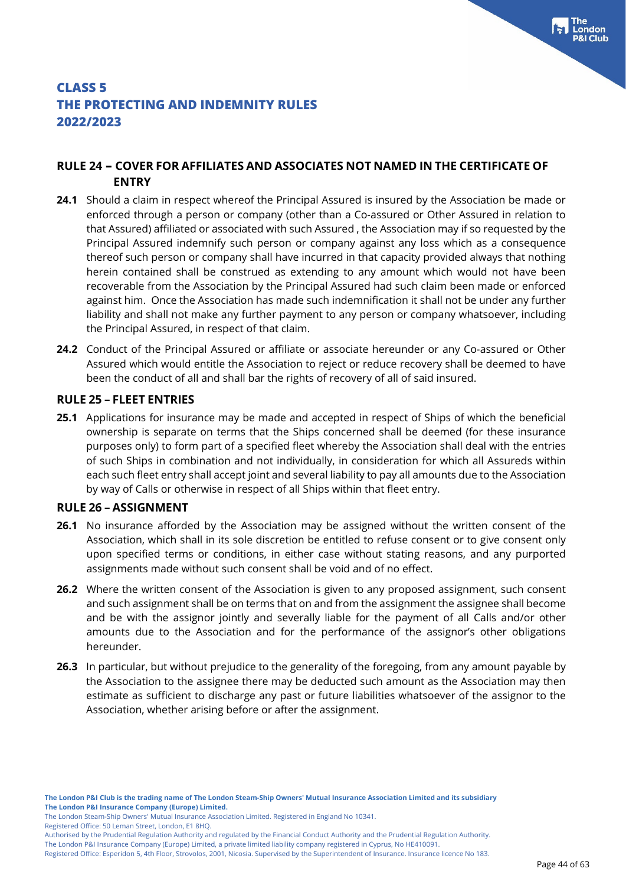### **RULE 24 – COVER FOR AFFILIATES AND ASSOCIATES NOT NAMED IN THE CERTIFICATE OF ENTRY**

- **24.1** Should a claim in respect whereof the Principal Assured is insured by the Association be made or enforced through a person or company (other than a Co-assured or Other Assured in relation to that Assured) affiliated or associated with such Assured , the Association may if so requested by the Principal Assured indemnify such person or company against any loss which as a consequence thereof such person or company shall have incurred in that capacity provided always that nothing herein contained shall be construed as extending to any amount which would not have been recoverable from the Association by the Principal Assured had such claim been made or enforced against him. Once the Association has made such indemnification it shall not be under any further liability and shall not make any further payment to any person or company whatsoever, including the Principal Assured, in respect of that claim.
- **24.2** Conduct of the Principal Assured or affiliate or associate hereunder or any Co-assured or Other Assured which would entitle the Association to reject or reduce recovery shall be deemed to have been the conduct of all and shall bar the rights of recovery of all of said insured.

#### **RULE 25 – FLEET ENTRIES**

**25.1** Applications for insurance may be made and accepted in respect of Ships of which the beneficial ownership is separate on terms that the Ships concerned shall be deemed (for these insurance purposes only) to form part of a specified fleet whereby the Association shall deal with the entries of such Ships in combination and not individually, in consideration for which all Assureds within each such fleet entry shall accept joint and several liability to pay all amounts due to the Association by way of Calls or otherwise in respect of all Ships within that fleet entry.

#### **RULE 26 – ASSIGNMENT**

- **26.1** No insurance afforded by the Association may be assigned without the written consent of the Association, which shall in its sole discretion be entitled to refuse consent or to give consent only upon specified terms or conditions, in either case without stating reasons, and any purported assignments made without such consent shall be void and of no effect.
- **26.2** Where the written consent of the Association is given to any proposed assignment, such consent and such assignment shall be on terms that on and from the assignment the assignee shall become and be with the assignor jointly and severally liable for the payment of all Calls and/or other amounts due to the Association and for the performance of the assignor's other obligations hereunder.
- **26.3** In particular, but without prejudice to the generality of the foregoing, from any amount payable by the Association to the assignee there may be deducted such amount as the Association may then estimate as sufficient to discharge any past or future liabilities whatsoever of the assignor to the Association, whether arising before or after the assignment.

Registered Office: 50 Leman Street, London, E1 8HQ.

The London P&I Insurance Company (Europe) Limited, a private limited liability company registered in Cyprus, No HE410091.

Registered Office: Esperidon 5, 4th Floor, Strovolos, 2001, Nicosia. Supervised by the Superintendent of Insurance. Insurance licence No 183.

The London Steam-Ship Owners' Mutual Insurance Association Limited. Registered in England No 10341.

Authorised by the Prudential Regulation Authority and regulated by the Financial Conduct Authority and the Prudential Regulation Authority.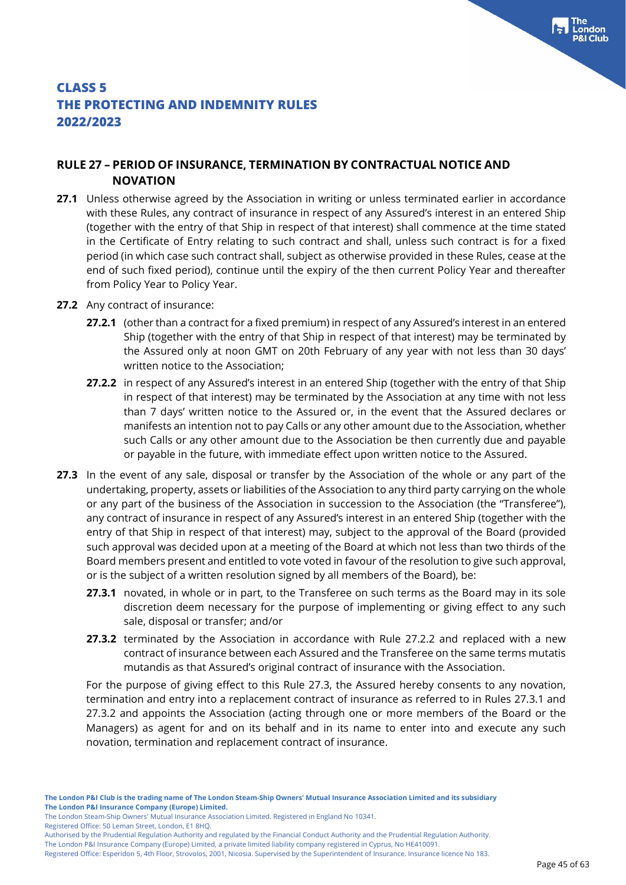### **RULE 27 – PERIOD OF INSURANCE, TERMINATION BY CONTRACTUAL NOTICE AND NOVATION**

- **27.1** Unless otherwise agreed by the Association in writing or unless terminated earlier in accordance with these Rules, any contract of insurance in respect of any Assured's interest in an entered Ship (together with the entry of that Ship in respect of that interest) shall commence at the time stated in the Certificate of Entry relating to such contract and shall, unless such contract is for a fixed period (in which case such contract shall, subject as otherwise provided in these Rules, cease at the end of such fixed period), continue until the expiry of the then current Policy Year and thereafter from Policy Year to Policy Year.
- **27.2** Any contract of insurance:
	- **27.2.1** (other than a contract for a fixed premium) in respect of any Assured's interest in an entered Ship (together with the entry of that Ship in respect of that interest) may be terminated by the Assured only at noon GMT on 20th February of any year with not less than 30 days' written notice to the Association;
	- **27.2.2** in respect of any Assured's interest in an entered Ship (together with the entry of that Ship in respect of that interest) may be terminated by the Association at any time with not less than 7 days' written notice to the Assured or, in the event that the Assured declares or manifests an intention not to pay Calls or any other amount due to the Association, whether such Calls or any other amount due to the Association be then currently due and payable or payable in the future, with immediate effect upon written notice to the Assured.
- **27.3** In the event of any sale, disposal or transfer by the Association of the whole or any part of the undertaking, property, assets or liabilities of the Association to any third party carrying on the whole or any part of the business of the Association in succession to the Association (the "Transferee"), any contract of insurance in respect of any Assured's interest in an entered Ship (together with the entry of that Ship in respect of that interest) may, subject to the approval of the Board (provided such approval was decided upon at a meeting of the Board at which not less than two thirds of the Board members present and entitled to vote voted in favour of the resolution to give such approval, or is the subject of a written resolution signed by all members of the Board), be:
	- **27.3.1** novated, in whole or in part, to the Transferee on such terms as the Board may in its sole discretion deem necessary for the purpose of implementing or giving effect to any such sale, disposal or transfer; and/or
	- **27.3.2** terminated by the Association in accordance with Rule 27.2.2 and replaced with a new contract of insurance between each Assured and the Transferee on the same terms mutatis mutandis as that Assured's original contract of insurance with the Association.

For the purpose of giving effect to this Rule 27.3, the Assured hereby consents to any novation, termination and entry into a replacement contract of insurance as referred to in Rules 27.3.1 and 27.3.2 and appoints the Association (acting through one or more members of the Board or the Managers) as agent for and on its behalf and in its name to enter into and execute any such novation, termination and replacement contract of insurance.

The London Steam-Ship Owners' Mutual Insurance Association Limited. Registered in England No 10341.

Registered Office: 50 Leman Street, London, E1 8HQ.

Authorised by the Prudential Regulation Authority and regulated by the Financial Conduct Authority and the Prudential Regulation Authority.

Registered Office: Esperidon 5, 4th Floor, Strovolos, 2001, Nicosia. Supervised by the Superintendent of Insurance. Insurance licence No 183.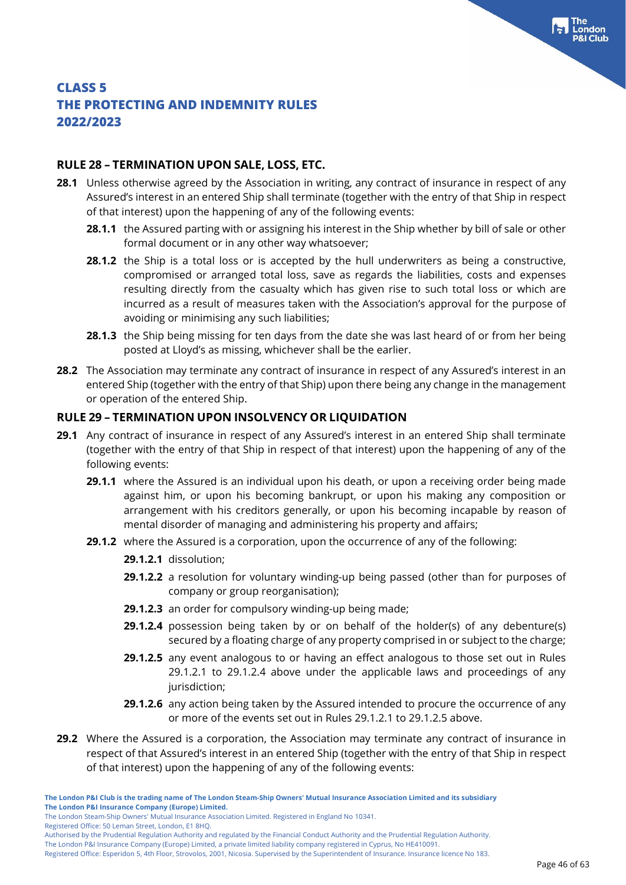### **RULE 28 – TERMINATION UPON SALE, LOSS, ETC.**

- **28.1** Unless otherwise agreed by the Association in writing, any contract of insurance in respect of any Assured's interest in an entered Ship shall terminate (together with the entry of that Ship in respect of that interest) upon the happening of any of the following events:
	- **28.1.1** the Assured parting with or assigning his interest in the Ship whether by bill of sale or other formal document or in any other way whatsoever;
	- **28.1.2** the Ship is a total loss or is accepted by the hull underwriters as being a constructive, compromised or arranged total loss, save as regards the liabilities, costs and expenses resulting directly from the casualty which has given rise to such total loss or which are incurred as a result of measures taken with the Association's approval for the purpose of avoiding or minimising any such liabilities;
	- **28.1.3** the Ship being missing for ten days from the date she was last heard of or from her being posted at Lloyd's as missing, whichever shall be the earlier.
- **28.2** The Association may terminate any contract of insurance in respect of any Assured's interest in an entered Ship (together with the entry of that Ship) upon there being any change in the management or operation of the entered Ship.

### **RULE 29 – TERMINATION UPON INSOLVENCY OR LIQUIDATION**

- **29.1** Any contract of insurance in respect of any Assured's interest in an entered Ship shall terminate (together with the entry of that Ship in respect of that interest) upon the happening of any of the following events:
	- **29.1.1** where the Assured is an individual upon his death, or upon a receiving order being made against him, or upon his becoming bankrupt, or upon his making any composition or arrangement with his creditors generally, or upon his becoming incapable by reason of mental disorder of managing and administering his property and affairs;
	- **29.1.2** where the Assured is a corporation, upon the occurrence of any of the following:
		- **29.1.2.1** dissolution;
		- **29.1.2.2** a resolution for voluntary winding-up being passed (other than for purposes of company or group reorganisation);
		- **29.1.2.3** an order for compulsory winding-up being made;
		- **29.1.2.4** possession being taken by or on behalf of the holder(s) of any debenture(s) secured by a floating charge of any property comprised in or subject to the charge;
		- **29.1.2.5** any event analogous to or having an effect analogous to those set out in Rules 29.1.2.1 to 29.1.2.4 above under the applicable laws and proceedings of any jurisdiction;
		- **29.1.2.6** any action being taken by the Assured intended to procure the occurrence of any or more of the events set out in Rules 29.1.2.1 to 29.1.2.5 above.
- **29.2** Where the Assured is a corporation, the Association may terminate any contract of insurance in respect of that Assured's interest in an entered Ship (together with the entry of that Ship in respect of that interest) upon the happening of any of the following events:

The London Steam-Ship Owners' Mutual Insurance Association Limited. Registered in England No 10341.

Registered Office: 50 Leman Street, London, E1 8HQ.

The London P&I Insurance Company (Europe) Limited, a private limited liability company registered in Cyprus, No HE410091.

Registered Office: Esperidon 5, 4th Floor, Strovolos, 2001, Nicosia. Supervised by the Superintendent of Insurance. Insurance licence No 183.

Authorised by the Prudential Regulation Authority and regulated by the Financial Conduct Authority and the Prudential Regulation Authority.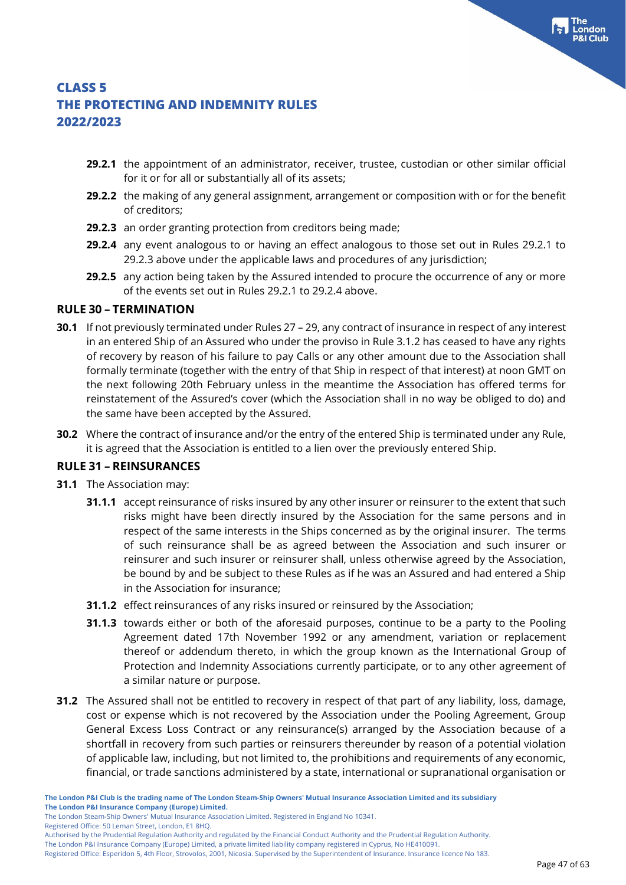- **29.2.1** the appointment of an administrator, receiver, trustee, custodian or other similar official for it or for all or substantially all of its assets;
- **29.2.2** the making of any general assignment, arrangement or composition with or for the benefit of creditors;
- **29.2.3** an order granting protection from creditors being made;
- **29.2.4** any event analogous to or having an effect analogous to those set out in Rules 29.2.1 to 29.2.3 above under the applicable laws and procedures of any jurisdiction;
- **29.2.5** any action being taken by the Assured intended to procure the occurrence of any or more of the events set out in Rules 29.2.1 to 29.2.4 above.

### **RULE 30 – TERMINATION**

- **30.1** If not previously terminated under Rules 27 29, any contract of insurance in respect of any interest in an entered Ship of an Assured who under the proviso in Rule 3.1.2 has ceased to have any rights of recovery by reason of his failure to pay Calls or any other amount due to the Association shall formally terminate (together with the entry of that Ship in respect of that interest) at noon GMT on the next following 20th February unless in the meantime the Association has offered terms for reinstatement of the Assured's cover (which the Association shall in no way be obliged to do) and the same have been accepted by the Assured.
- **30.2** Where the contract of insurance and/or the entry of the entered Ship is terminated under any Rule, it is agreed that the Association is entitled to a lien over the previously entered Ship.

### **RULE 31 – REINSURANCES**

- **31.1** The Association may:
	- **31.1.1** accept reinsurance of risks insured by any other insurer or reinsurer to the extent that such risks might have been directly insured by the Association for the same persons and in respect of the same interests in the Ships concerned as by the original insurer. The terms of such reinsurance shall be as agreed between the Association and such insurer or reinsurer and such insurer or reinsurer shall, unless otherwise agreed by the Association, be bound by and be subject to these Rules as if he was an Assured and had entered a Ship in the Association for insurance;
	- **31.1.2** effect reinsurances of any risks insured or reinsured by the Association;
	- **31.1.3** towards either or both of the aforesaid purposes, continue to be a party to the Pooling Agreement dated 17th November 1992 or any amendment, variation or replacement thereof or addendum thereto, in which the group known as the International Group of Protection and Indemnity Associations currently participate, or to any other agreement of a similar nature or purpose.
- **31.2** The Assured shall not be entitled to recovery in respect of that part of any liability, loss, damage, cost or expense which is not recovered by the Association under the Pooling Agreement, Group General Excess Loss Contract or any reinsurance(s) arranged by the Association because of a shortfall in recovery from such parties or reinsurers thereunder by reason of a potential violation of applicable law, including, but not limited to, the prohibitions and requirements of any economic, financial, or trade sanctions administered by a state, international or supranational organisation or

Registered Office: 50 Leman Street, London, E1 8HQ.

The London Steam-Ship Owners' Mutual Insurance Association Limited. Registered in England No 10341.

Authorised by the Prudential Regulation Authority and regulated by the Financial Conduct Authority and the Prudential Regulation Authority.

The London P&I Insurance Company (Europe) Limited, a private limited liability company registered in Cyprus, No HE410091.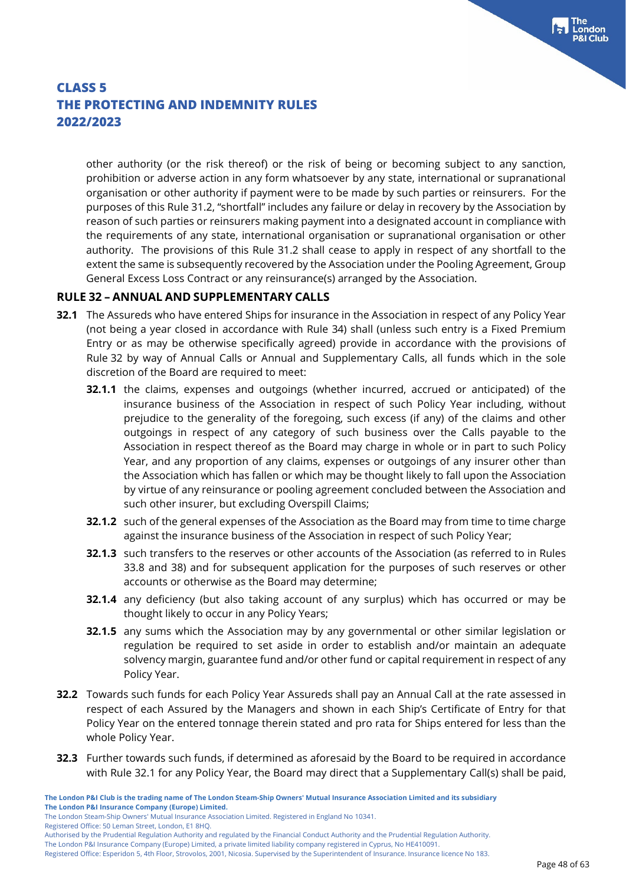other authority (or the risk thereof) or the risk of being or becoming subject to any sanction, prohibition or adverse action in any form whatsoever by any state, international or supranational organisation or other authority if payment were to be made by such parties or reinsurers. For the purposes of this Rule 31.2, "shortfall" includes any failure or delay in recovery by the Association by reason of such parties or reinsurers making payment into a designated account in compliance with the requirements of any state, international organisation or supranational organisation or other authority. The provisions of this Rule 31.2 shall cease to apply in respect of any shortfall to the extent the same is subsequently recovered by the Association under the Pooling Agreement, Group General Excess Loss Contract or any reinsurance(s) arranged by the Association.

### **RULE 32 – ANNUAL AND SUPPLEMENTARY CALLS**

- **32.1** The Assureds who have entered Ships for insurance in the Association in respect of any Policy Year (not being a year closed in accordance with Rule 34) shall (unless such entry is a Fixed Premium Entry or as may be otherwise specifically agreed) provide in accordance with the provisions of Rule 32 by way of Annual Calls or Annual and Supplementary Calls, all funds which in the sole discretion of the Board are required to meet:
	- **32.1.1** the claims, expenses and outgoings (whether incurred, accrued or anticipated) of the insurance business of the Association in respect of such Policy Year including, without prejudice to the generality of the foregoing, such excess (if any) of the claims and other outgoings in respect of any category of such business over the Calls payable to the Association in respect thereof as the Board may charge in whole or in part to such Policy Year, and any proportion of any claims, expenses or outgoings of any insurer other than the Association which has fallen or which may be thought likely to fall upon the Association by virtue of any reinsurance or pooling agreement concluded between the Association and such other insurer, but excluding Overspill Claims;
	- **32.1.2** such of the general expenses of the Association as the Board may from time to time charge against the insurance business of the Association in respect of such Policy Year;
	- **32.1.3** such transfers to the reserves or other accounts of the Association (as referred to in Rules 33.8 and 38) and for subsequent application for the purposes of such reserves or other accounts or otherwise as the Board may determine;
	- **32.1.4** any deficiency (but also taking account of any surplus) which has occurred or may be thought likely to occur in any Policy Years;
	- **32.1.5** any sums which the Association may by any governmental or other similar legislation or regulation be required to set aside in order to establish and/or maintain an adequate solvency margin, guarantee fund and/or other fund or capital requirement in respect of any Policy Year.
- **32.2** Towards such funds for each Policy Year Assureds shall pay an Annual Call at the rate assessed in respect of each Assured by the Managers and shown in each Ship's Certificate of Entry for that Policy Year on the entered tonnage therein stated and pro rata for Ships entered for less than the whole Policy Year.
- **32.3** Further towards such funds, if determined as aforesaid by the Board to be required in accordance with Rule 32.1 for any Policy Year, the Board may direct that a Supplementary Call(s) shall be paid,

The London Steam-Ship Owners' Mutual Insurance Association Limited. Registered in England No 10341.

Registered Office: 50 Leman Street, London, E1 8HQ.

The London P&I Insurance Company (Europe) Limited, a private limited liability company registered in Cyprus, No HE410091.

Registered Office: Esperidon 5, 4th Floor, Strovolos, 2001, Nicosia. Supervised by the Superintendent of Insurance. Insurance licence No 183.

Authorised by the Prudential Regulation Authority and regulated by the Financial Conduct Authority and the Prudential Regulation Authority.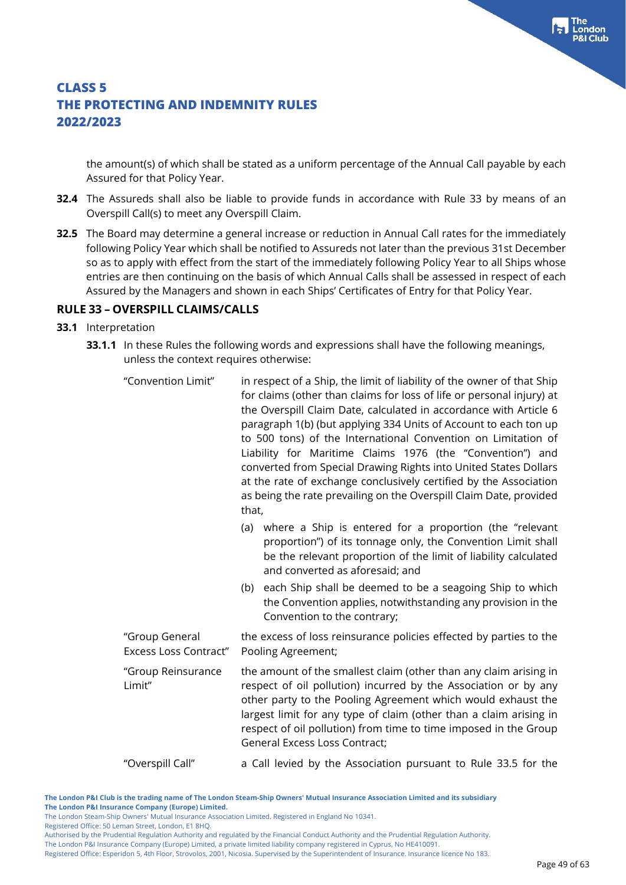the amount(s) of which shall be stated as a uniform percentage of the Annual Call payable by each Assured for that Policy Year.

- **32.4** The Assureds shall also be liable to provide funds in accordance with Rule 33 by means of an Overspill Call(s) to meet any Overspill Claim.
- **32.5** The Board may determine a general increase or reduction in Annual Call rates for the immediately following Policy Year which shall be notified to Assureds not later than the previous 31st December so as to apply with effect from the start of the immediately following Policy Year to all Ships whose entries are then continuing on the basis of which Annual Calls shall be assessed in respect of each Assured by the Managers and shown in each Ships' Certificates of Entry for that Policy Year.

#### **RULE 33 – OVERSPILL CLAIMS/CALLS**

- **33.1** Interpretation
	- **33.1.1** In these Rules the following words and expressions shall have the following meanings, unless the context requires otherwise:

| "Convention Limit"                             | that, | in respect of a Ship, the limit of liability of the owner of that Ship<br>for claims (other than claims for loss of life or personal injury) at<br>the Overspill Claim Date, calculated in accordance with Article 6<br>paragraph 1(b) (but applying 334 Units of Account to each ton up<br>to 500 tons) of the International Convention on Limitation of<br>Liability for Maritime Claims 1976 (the "Convention") and<br>converted from Special Drawing Rights into United States Dollars<br>at the rate of exchange conclusively certified by the Association<br>as being the rate prevailing on the Overspill Claim Date, provided |
|------------------------------------------------|-------|---------------------------------------------------------------------------------------------------------------------------------------------------------------------------------------------------------------------------------------------------------------------------------------------------------------------------------------------------------------------------------------------------------------------------------------------------------------------------------------------------------------------------------------------------------------------------------------------------------------------------------------|
|                                                | (a)   | where a Ship is entered for a proportion (the "relevant<br>proportion") of its tonnage only, the Convention Limit shall<br>be the relevant proportion of the limit of liability calculated<br>and converted as aforesaid; and                                                                                                                                                                                                                                                                                                                                                                                                         |
|                                                |       | (b) each Ship shall be deemed to be a seagoing Ship to which<br>the Convention applies, notwithstanding any provision in the<br>Convention to the contrary;                                                                                                                                                                                                                                                                                                                                                                                                                                                                           |
| "Group General<br><b>Excess Loss Contract"</b> |       | the excess of loss reinsurance policies effected by parties to the<br>Pooling Agreement;                                                                                                                                                                                                                                                                                                                                                                                                                                                                                                                                              |
| "Group Reinsurance<br>Limit"                   |       | the amount of the smallest claim (other than any claim arising in<br>respect of oil pollution) incurred by the Association or by any<br>other party to the Pooling Agreement which would exhaust the<br>largest limit for any type of claim (other than a claim arising in<br>respect of oil pollution) from time to time imposed in the Group<br>General Excess Loss Contract;                                                                                                                                                                                                                                                       |
| "Overspill Call"                               |       | a Call levied by the Association pursuant to Rule 33.5 for the                                                                                                                                                                                                                                                                                                                                                                                                                                                                                                                                                                        |

**The London P&I Club is the trading name of The London Steam-Ship Owners' Mutual Insurance Association Limited and its subsidiary The London P&I Insurance Company (Europe) Limited.**

The London Steam-Ship Owners' Mutual Insurance Association Limited. Registered in England No 10341.

Registered Office: 50 Leman Street, London, E1 8HQ.

Authorised by the Prudential Regulation Authority and regulated by the Financial Conduct Authority and the Prudential Regulation Authority.

The London P&I Insurance Company (Europe) Limited, a private limited liability company registered in Cyprus, No HE410091. Registered Office: Esperidon 5, 4th Floor, Strovolos, 2001, Nicosia. Supervised by the Superintendent of Insurance. Insurance licence No 183.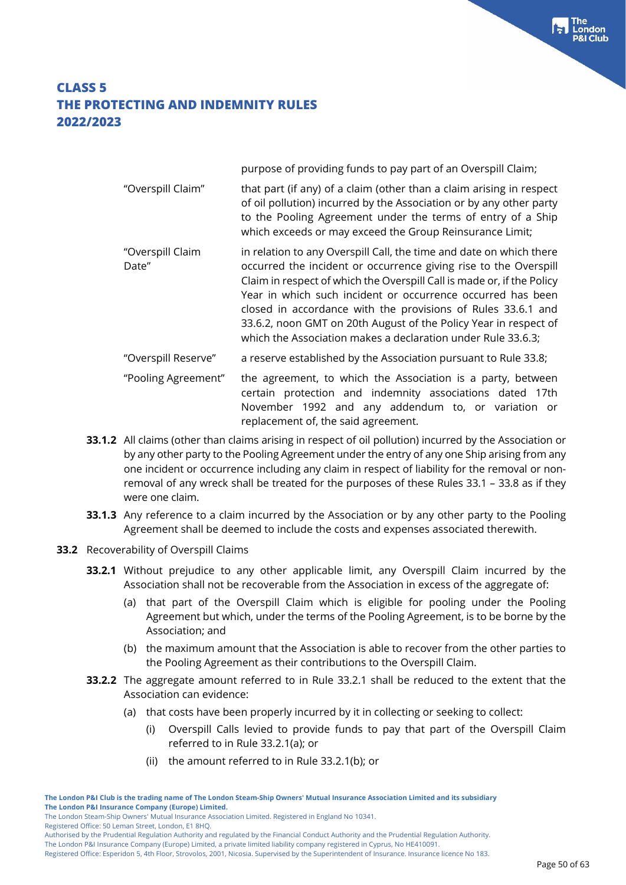|                           | purpose of providing funds to pay part of an Overspill Claim;                                                                                                                                                                                                                                                                                                                                                                                                                        |
|---------------------------|--------------------------------------------------------------------------------------------------------------------------------------------------------------------------------------------------------------------------------------------------------------------------------------------------------------------------------------------------------------------------------------------------------------------------------------------------------------------------------------|
| "Overspill Claim"         | that part (if any) of a claim (other than a claim arising in respect<br>of oil pollution) incurred by the Association or by any other party<br>to the Pooling Agreement under the terms of entry of a Ship<br>which exceeds or may exceed the Group Reinsurance Limit;                                                                                                                                                                                                               |
| "Overspill Claim<br>Date" | in relation to any Overspill Call, the time and date on which there<br>occurred the incident or occurrence giving rise to the Overspill<br>Claim in respect of which the Overspill Call is made or, if the Policy<br>Year in which such incident or occurrence occurred has been<br>closed in accordance with the provisions of Rules 33.6.1 and<br>33.6.2, noon GMT on 20th August of the Policy Year in respect of<br>which the Association makes a declaration under Rule 33.6.3; |
| "Overspill Reserve"       | a reserve established by the Association pursuant to Rule 33.8;                                                                                                                                                                                                                                                                                                                                                                                                                      |
| "Pooling Agreement"       | the agreement, to which the Association is a party, between<br>certain protection and indemnity associations dated 17th<br>November 1992 and any addendum to, or variation or                                                                                                                                                                                                                                                                                                        |

**33.1.2** All claims (other than claims arising in respect of oil pollution) incurred by the Association or by any other party to the Pooling Agreement under the entry of any one Ship arising from any one incident or occurrence including any claim in respect of liability for the removal or nonremoval of any wreck shall be treated for the purposes of these Rules 33.1 – 33.8 as if they were one claim.

replacement of, the said agreement.

- **33.1.3** Any reference to a claim incurred by the Association or by any other party to the Pooling Agreement shall be deemed to include the costs and expenses associated therewith.
- **33.2** Recoverability of Overspill Claims
	- **33.2.1** Without prejudice to any other applicable limit, any Overspill Claim incurred by the Association shall not be recoverable from the Association in excess of the aggregate of:
		- (a) that part of the Overspill Claim which is eligible for pooling under the Pooling Agreement but which, under the terms of the Pooling Agreement, is to be borne by the Association; and
		- (b) the maximum amount that the Association is able to recover from the other parties to the Pooling Agreement as their contributions to the Overspill Claim.
	- **33.2.2** The aggregate amount referred to in Rule 33.2.1 shall be reduced to the extent that the Association can evidence:
		- (a) that costs have been properly incurred by it in collecting or seeking to collect:
			- (i) Overspill Calls levied to provide funds to pay that part of the Overspill Claim referred to in Rule 33.2.1(a); or
			- (ii) the amount referred to in Rule 33.2.1(b); or

Registered Office: 50 Leman Street, London, E1 8HQ.

The London Steam-Ship Owners' Mutual Insurance Association Limited. Registered in England No 10341.

Authorised by the Prudential Regulation Authority and regulated by the Financial Conduct Authority and the Prudential Regulation Authority.

Registered Office: Esperidon 5, 4th Floor, Strovolos, 2001, Nicosia. Supervised by the Superintendent of Insurance. Insurance licence No 183.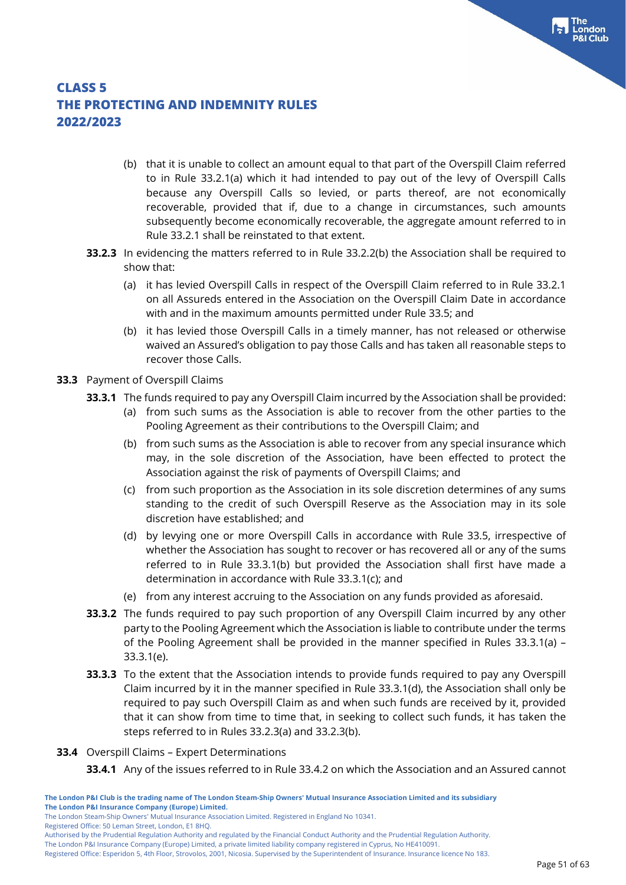- (b) that it is unable to collect an amount equal to that part of the Overspill Claim referred to in Rule 33.2.1(a) which it had intended to pay out of the levy of Overspill Calls because any Overspill Calls so levied, or parts thereof, are not economically recoverable, provided that if, due to a change in circumstances, such amounts subsequently become economically recoverable, the aggregate amount referred to in Rule 33.2.1 shall be reinstated to that extent.
- **33.2.3** In evidencing the matters referred to in Rule 33.2.2(b) the Association shall be required to show that:
	- (a) it has levied Overspill Calls in respect of the Overspill Claim referred to in Rule 33.2.1 on all Assureds entered in the Association on the Overspill Claim Date in accordance with and in the maximum amounts permitted under Rule 33.5; and
	- (b) it has levied those Overspill Calls in a timely manner, has not released or otherwise waived an Assured's obligation to pay those Calls and has taken all reasonable steps to recover those Calls.
- **33.3** Payment of Overspill Claims
	- **33.3.1** The funds required to pay any Overspill Claim incurred by the Association shall be provided:
		- (a) from such sums as the Association is able to recover from the other parties to the Pooling Agreement as their contributions to the Overspill Claim; and
		- (b) from such sums as the Association is able to recover from any special insurance which may, in the sole discretion of the Association, have been effected to protect the Association against the risk of payments of Overspill Claims; and
		- (c) from such proportion as the Association in its sole discretion determines of any sums standing to the credit of such Overspill Reserve as the Association may in its sole discretion have established; and
		- (d) by levying one or more Overspill Calls in accordance with Rule 33.5, irrespective of whether the Association has sought to recover or has recovered all or any of the sums referred to in Rule 33.3.1(b) but provided the Association shall first have made a determination in accordance with Rule 33.3.1(c); and
		- (e) from any interest accruing to the Association on any funds provided as aforesaid.
	- **33.3.2** The funds required to pay such proportion of any Overspill Claim incurred by any other party to the Pooling Agreement which the Association is liable to contribute under the terms of the Pooling Agreement shall be provided in the manner specified in Rules 33.3.1(a) – 33.3.1(e).
	- **33.3.3** To the extent that the Association intends to provide funds required to pay any Overspill Claim incurred by it in the manner specified in Rule 33.3.1(d), the Association shall only be required to pay such Overspill Claim as and when such funds are received by it, provided that it can show from time to time that, in seeking to collect such funds, it has taken the steps referred to in Rules 33.2.3(a) and 33.2.3(b).
- **33.4** Overspill Claims Expert Determinations
	- **33.4.1** Any of the issues referred to in Rule 33.4.2 on which the Association and an Assured cannot

Registered Office: 50 Leman Street, London, E1 8HQ.

Authorised by the Prudential Regulation Authority and regulated by the Financial Conduct Authority and the Prudential Regulation Authority.

Registered Office: Esperidon 5, 4th Floor, Strovolos, 2001, Nicosia. Supervised by the Superintendent of Insurance. Insurance licence No 183.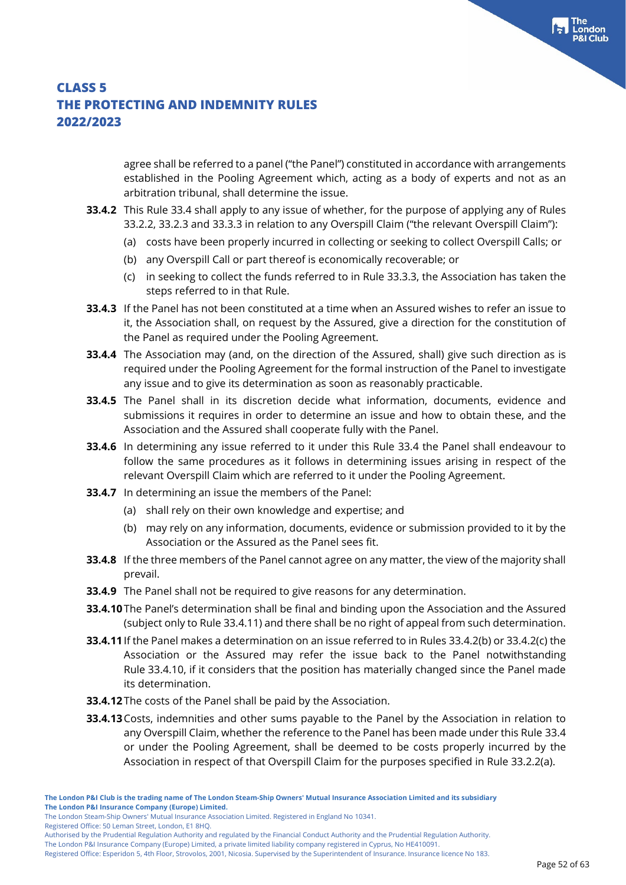agree shall be referred to a panel ("the Panel") constituted in accordance with arrangements established in the Pooling Agreement which, acting as a body of experts and not as an arbitration tribunal, shall determine the issue.

- **33.4.2** This Rule 33.4 shall apply to any issue of whether, for the purpose of applying any of Rules 33.2.2, 33.2.3 and 33.3.3 in relation to any Overspill Claim ("the relevant Overspill Claim"):
	- (a) costs have been properly incurred in collecting or seeking to collect Overspill Calls; or
	- (b) any Overspill Call or part thereof is economically recoverable; or
	- (c) in seeking to collect the funds referred to in Rule 33.3.3, the Association has taken the steps referred to in that Rule.
- **33.4.3** If the Panel has not been constituted at a time when an Assured wishes to refer an issue to it, the Association shall, on request by the Assured, give a direction for the constitution of the Panel as required under the Pooling Agreement.
- **33.4.4** The Association may (and, on the direction of the Assured, shall) give such direction as is required under the Pooling Agreement for the formal instruction of the Panel to investigate any issue and to give its determination as soon as reasonably practicable.
- **33.4.5** The Panel shall in its discretion decide what information, documents, evidence and submissions it requires in order to determine an issue and how to obtain these, and the Association and the Assured shall cooperate fully with the Panel.
- **33.4.6** In determining any issue referred to it under this Rule 33.4 the Panel shall endeavour to follow the same procedures as it follows in determining issues arising in respect of the relevant Overspill Claim which are referred to it under the Pooling Agreement.
- **33.4.7** In determining an issue the members of the Panel:
	- (a) shall rely on their own knowledge and expertise; and
	- (b) may rely on any information, documents, evidence or submission provided to it by the Association or the Assured as the Panel sees fit.
- **33.4.8** If the three members of the Panel cannot agree on any matter, the view of the majority shall prevail.
- **33.4.9** The Panel shall not be required to give reasons for any determination.
- **33.4.10**The Panel's determination shall be final and binding upon the Association and the Assured (subject only to Rule 33.4.11) and there shall be no right of appeal from such determination.
- **33.4.11**If the Panel makes a determination on an issue referred to in Rules 33.4.2(b) or 33.4.2(c) the Association or the Assured may refer the issue back to the Panel notwithstanding Rule 33.4.10, if it considers that the position has materially changed since the Panel made its determination.
- **33.4.12**The costs of the Panel shall be paid by the Association.
- **33.4.13**Costs, indemnities and other sums payable to the Panel by the Association in relation to any Overspill Claim, whether the reference to the Panel has been made under this Rule 33.4 or under the Pooling Agreement, shall be deemed to be costs properly incurred by the Association in respect of that Overspill Claim for the purposes specified in Rule 33.2.2(a).

Registered Office: 50 Leman Street, London, E1 8HQ.

The London Steam-Ship Owners' Mutual Insurance Association Limited. Registered in England No 10341.

Authorised by the Prudential Regulation Authority and regulated by the Financial Conduct Authority and the Prudential Regulation Authority.

Registered Office: Esperidon 5, 4th Floor, Strovolos, 2001, Nicosia. Supervised by the Superintendent of Insurance. Insurance licence No 183.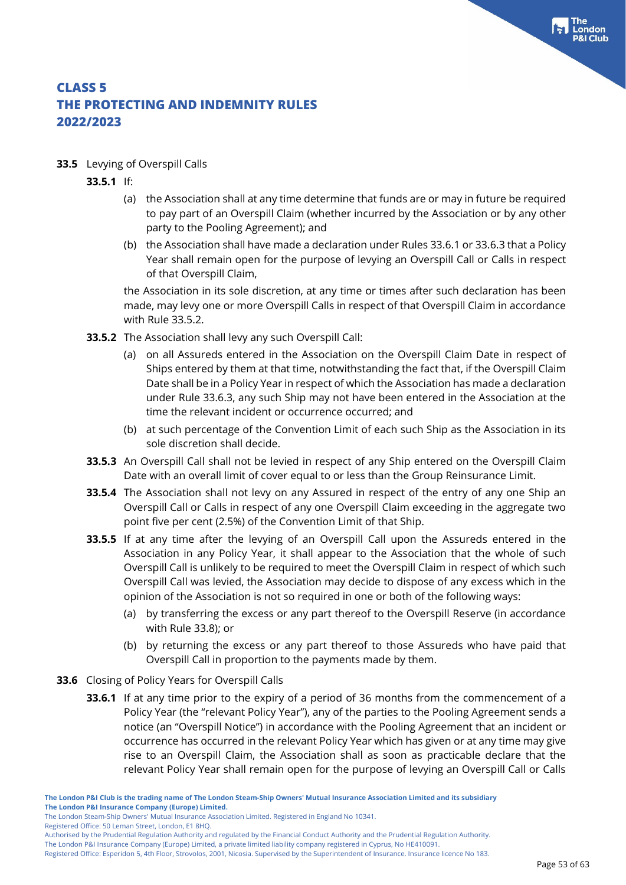- **33.5** Levying of Overspill Calls
	- **33.5.1** If:
		- (a) the Association shall at any time determine that funds are or may in future be required to pay part of an Overspill Claim (whether incurred by the Association or by any other party to the Pooling Agreement); and
		- (b) the Association shall have made a declaration under Rules 33.6.1 or 33.6.3 that a Policy Year shall remain open for the purpose of levying an Overspill Call or Calls in respect of that Overspill Claim,

the Association in its sole discretion, at any time or times after such declaration has been made, may levy one or more Overspill Calls in respect of that Overspill Claim in accordance with Rule 33.5.2.

- **33.5.2** The Association shall levy any such Overspill Call:
	- (a) on all Assureds entered in the Association on the Overspill Claim Date in respect of Ships entered by them at that time, notwithstanding the fact that, if the Overspill Claim Date shall be in a Policy Year in respect of which the Association has made a declaration under Rule 33.6.3, any such Ship may not have been entered in the Association at the time the relevant incident or occurrence occurred; and
	- (b) at such percentage of the Convention Limit of each such Ship as the Association in its sole discretion shall decide.
- **33.5.3** An Overspill Call shall not be levied in respect of any Ship entered on the Overspill Claim Date with an overall limit of cover equal to or less than the Group Reinsurance Limit.
- **33.5.4** The Association shall not levy on any Assured in respect of the entry of any one Ship an Overspill Call or Calls in respect of any one Overspill Claim exceeding in the aggregate two point five per cent (2.5%) of the Convention Limit of that Ship.
- **33.5.5** If at any time after the levying of an Overspill Call upon the Assureds entered in the Association in any Policy Year, it shall appear to the Association that the whole of such Overspill Call is unlikely to be required to meet the Overspill Claim in respect of which such Overspill Call was levied, the Association may decide to dispose of any excess which in the opinion of the Association is not so required in one or both of the following ways:
	- (a) by transferring the excess or any part thereof to the Overspill Reserve (in accordance with Rule 33.8); or
	- (b) by returning the excess or any part thereof to those Assureds who have paid that Overspill Call in proportion to the payments made by them.
- **33.6** Closing of Policy Years for Overspill Calls
	- **33.6.1** If at any time prior to the expiry of a period of 36 months from the commencement of a Policy Year (the "relevant Policy Year"), any of the parties to the Pooling Agreement sends a notice (an "Overspill Notice") in accordance with the Pooling Agreement that an incident or occurrence has occurred in the relevant Policy Year which has given or at any time may give rise to an Overspill Claim, the Association shall as soon as practicable declare that the relevant Policy Year shall remain open for the purpose of levying an Overspill Call or Calls

The London Steam-Ship Owners' Mutual Insurance Association Limited. Registered in England No 10341.

Registered Office: 50 Leman Street, London, E1 8HQ.

Authorised by the Prudential Regulation Authority and regulated by the Financial Conduct Authority and the Prudential Regulation Authority.

The London P&I Insurance Company (Europe) Limited, a private limited liability company registered in Cyprus, No HE410091.

Registered Office: Esperidon 5, 4th Floor, Strovolos, 2001, Nicosia. Supervised by the Superintendent of Insurance. Insurance licence No 183.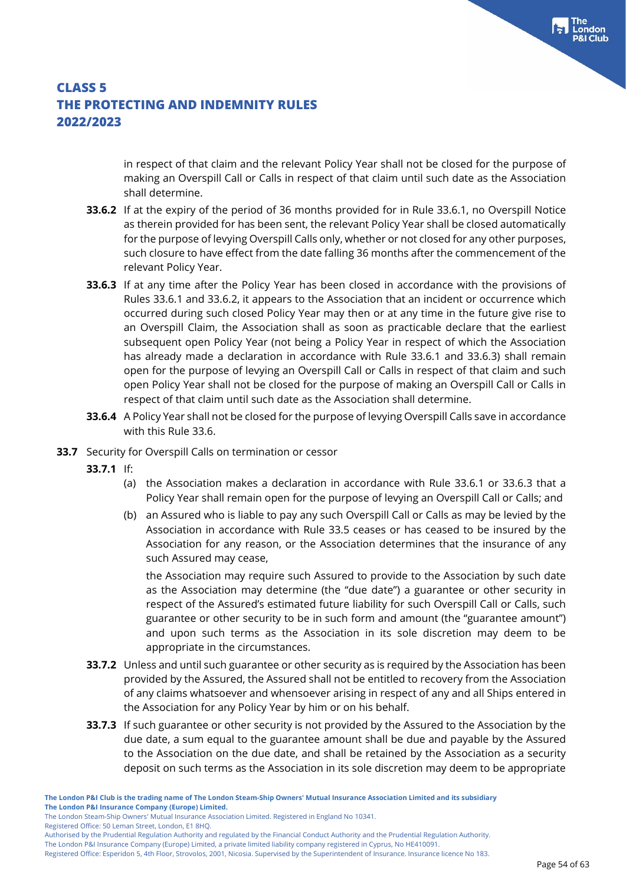in respect of that claim and the relevant Policy Year shall not be closed for the purpose of making an Overspill Call or Calls in respect of that claim until such date as the Association shall determine.

- **33.6.2** If at the expiry of the period of 36 months provided for in Rule 33.6.1, no Overspill Notice as therein provided for has been sent, the relevant Policy Year shall be closed automatically for the purpose of levying Overspill Calls only, whether or not closed for any other purposes, such closure to have effect from the date falling 36 months after the commencement of the relevant Policy Year.
- **33.6.3** If at any time after the Policy Year has been closed in accordance with the provisions of Rules 33.6.1 and 33.6.2, it appears to the Association that an incident or occurrence which occurred during such closed Policy Year may then or at any time in the future give rise to an Overspill Claim, the Association shall as soon as practicable declare that the earliest subsequent open Policy Year (not being a Policy Year in respect of which the Association has already made a declaration in accordance with Rule 33.6.1 and 33.6.3) shall remain open for the purpose of levying an Overspill Call or Calls in respect of that claim and such open Policy Year shall not be closed for the purpose of making an Overspill Call or Calls in respect of that claim until such date as the Association shall determine.
- **33.6.4** A Policy Year shall not be closed for the purpose of levying Overspill Calls save in accordance with this Rule 33.6.
- **33.7** Security for Overspill Calls on termination or cessor
	- **33.7.1** If:
		- (a) the Association makes a declaration in accordance with Rule 33.6.1 or 33.6.3 that a Policy Year shall remain open for the purpose of levying an Overspill Call or Calls; and
		- (b) an Assured who is liable to pay any such Overspill Call or Calls as may be levied by the Association in accordance with Rule 33.5 ceases or has ceased to be insured by the Association for any reason, or the Association determines that the insurance of any such Assured may cease,

the Association may require such Assured to provide to the Association by such date as the Association may determine (the "due date") a guarantee or other security in respect of the Assured's estimated future liability for such Overspill Call or Calls, such guarantee or other security to be in such form and amount (the "guarantee amount") and upon such terms as the Association in its sole discretion may deem to be appropriate in the circumstances.

- **33.7.2** Unless and until such guarantee or other security as is required by the Association has been provided by the Assured, the Assured shall not be entitled to recovery from the Association of any claims whatsoever and whensoever arising in respect of any and all Ships entered in the Association for any Policy Year by him or on his behalf.
- **33.7.3** If such guarantee or other security is not provided by the Assured to the Association by the due date, a sum equal to the guarantee amount shall be due and payable by the Assured to the Association on the due date, and shall be retained by the Association as a security deposit on such terms as the Association in its sole discretion may deem to be appropriate

Registered Office: 50 Leman Street, London, E1 8HQ.

The London Steam-Ship Owners' Mutual Insurance Association Limited. Registered in England No 10341.

Authorised by the Prudential Regulation Authority and regulated by the Financial Conduct Authority and the Prudential Regulation Authority.

Registered Office: Esperidon 5, 4th Floor, Strovolos, 2001, Nicosia. Supervised by the Superintendent of Insurance. Insurance licence No 183.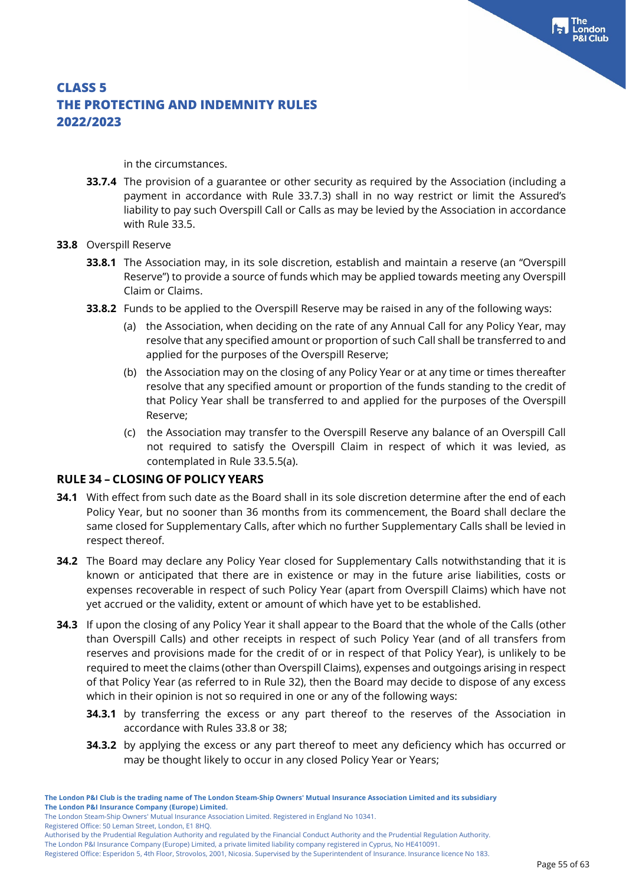in the circumstances.

**33.7.4** The provision of a guarantee or other security as required by the Association (including a payment in accordance with Rule 33.7.3) shall in no way restrict or limit the Assured's liability to pay such Overspill Call or Calls as may be levied by the Association in accordance with Rule 33.5.

#### **33.8** Overspill Reserve

- **33.8.1** The Association may, in its sole discretion, establish and maintain a reserve (an "Overspill Reserve") to provide a source of funds which may be applied towards meeting any Overspill Claim or Claims.
- **33.8.2** Funds to be applied to the Overspill Reserve may be raised in any of the following ways:
	- (a) the Association, when deciding on the rate of any Annual Call for any Policy Year, may resolve that any specified amount or proportion of such Call shall be transferred to and applied for the purposes of the Overspill Reserve;
	- (b) the Association may on the closing of any Policy Year or at any time or times thereafter resolve that any specified amount or proportion of the funds standing to the credit of that Policy Year shall be transferred to and applied for the purposes of the Overspill Reserve;
	- (c) the Association may transfer to the Overspill Reserve any balance of an Overspill Call not required to satisfy the Overspill Claim in respect of which it was levied, as contemplated in Rule 33.5.5(a).

### **RULE 34 – CLOSING OF POLICY YEARS**

- **34.1** With effect from such date as the Board shall in its sole discretion determine after the end of each Policy Year, but no sooner than 36 months from its commencement, the Board shall declare the same closed for Supplementary Calls, after which no further Supplementary Calls shall be levied in respect thereof.
- **34.2** The Board may declare any Policy Year closed for Supplementary Calls notwithstanding that it is known or anticipated that there are in existence or may in the future arise liabilities, costs or expenses recoverable in respect of such Policy Year (apart from Overspill Claims) which have not yet accrued or the validity, extent or amount of which have yet to be established.
- **34.3** If upon the closing of any Policy Year it shall appear to the Board that the whole of the Calls (other than Overspill Calls) and other receipts in respect of such Policy Year (and of all transfers from reserves and provisions made for the credit of or in respect of that Policy Year), is unlikely to be required to meet the claims (other than Overspill Claims), expenses and outgoings arising in respect of that Policy Year (as referred to in Rule 32), then the Board may decide to dispose of any excess which in their opinion is not so required in one or any of the following ways:
	- **34.3.1** by transferring the excess or any part thereof to the reserves of the Association in accordance with Rules 33.8 or 38;
	- **34.3.2** by applying the excess or any part thereof to meet any deficiency which has occurred or may be thought likely to occur in any closed Policy Year or Years;

Registered Office: 50 Leman Street, London, E1 8HQ.

The London P&I Insurance Company (Europe) Limited, a private limited liability company registered in Cyprus, No HE410091. Registered Office: Esperidon 5, 4th Floor, Strovolos, 2001, Nicosia. Supervised by the Superintendent of Insurance. Insurance licence No 183.

The London Steam-Ship Owners' Mutual Insurance Association Limited. Registered in England No 10341.

Authorised by the Prudential Regulation Authority and regulated by the Financial Conduct Authority and the Prudential Regulation Authority.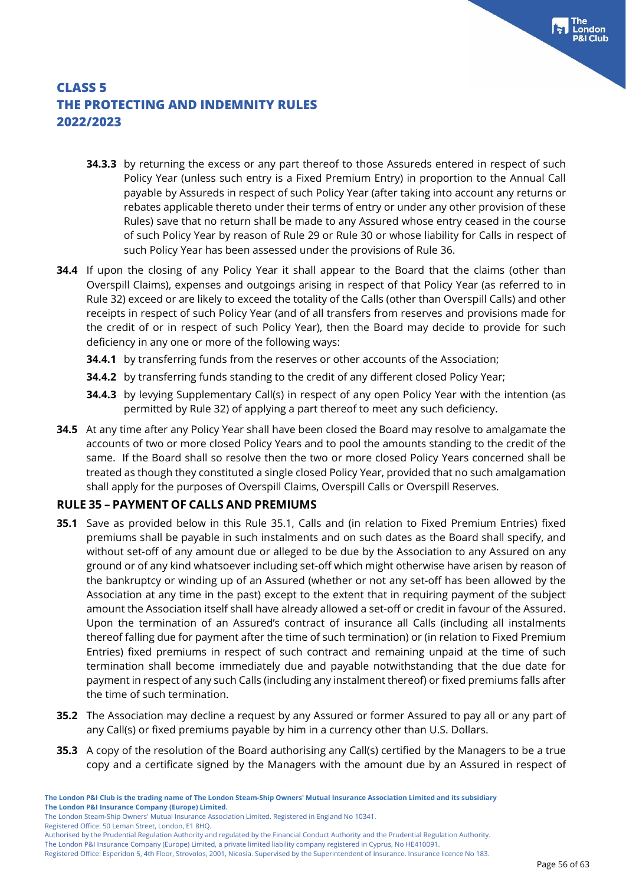- **34.3.3** by returning the excess or any part thereof to those Assureds entered in respect of such Policy Year (unless such entry is a Fixed Premium Entry) in proportion to the Annual Call payable by Assureds in respect of such Policy Year (after taking into account any returns or rebates applicable thereto under their terms of entry or under any other provision of these Rules) save that no return shall be made to any Assured whose entry ceased in the course of such Policy Year by reason of Rule 29 or Rule 30 or whose liability for Calls in respect of such Policy Year has been assessed under the provisions of Rule 36.
- **34.4** If upon the closing of any Policy Year it shall appear to the Board that the claims (other than Overspill Claims), expenses and outgoings arising in respect of that Policy Year (as referred to in Rule 32) exceed or are likely to exceed the totality of the Calls (other than Overspill Calls) and other receipts in respect of such Policy Year (and of all transfers from reserves and provisions made for the credit of or in respect of such Policy Year), then the Board may decide to provide for such deficiency in any one or more of the following ways:
	- **34.4.1** by transferring funds from the reserves or other accounts of the Association;
	- **34.4.2** by transferring funds standing to the credit of any different closed Policy Year;
	- **34.4.3** by levying Supplementary Call(s) in respect of any open Policy Year with the intention (as permitted by Rule 32) of applying a part thereof to meet any such deficiency.
- **34.5** At any time after any Policy Year shall have been closed the Board may resolve to amalgamate the accounts of two or more closed Policy Years and to pool the amounts standing to the credit of the same. If the Board shall so resolve then the two or more closed Policy Years concerned shall be treated as though they constituted a single closed Policy Year, provided that no such amalgamation shall apply for the purposes of Overspill Claims, Overspill Calls or Overspill Reserves.

#### **RULE 35 – PAYMENT OF CALLS AND PREMIUMS**

- **35.1** Save as provided below in this Rule 35.1, Calls and (in relation to Fixed Premium Entries) fixed premiums shall be payable in such instalments and on such dates as the Board shall specify, and without set-off of any amount due or alleged to be due by the Association to any Assured on any ground or of any kind whatsoever including set-off which might otherwise have arisen by reason of the bankruptcy or winding up of an Assured (whether or not any set-off has been allowed by the Association at any time in the past) except to the extent that in requiring payment of the subject amount the Association itself shall have already allowed a set-off or credit in favour of the Assured. Upon the termination of an Assured's contract of insurance all Calls (including all instalments thereof falling due for payment after the time of such termination) or (in relation to Fixed Premium Entries) fixed premiums in respect of such contract and remaining unpaid at the time of such termination shall become immediately due and payable notwithstanding that the due date for payment in respect of any such Calls (including any instalment thereof) or fixed premiums falls after the time of such termination.
- **35.2** The Association may decline a request by any Assured or former Assured to pay all or any part of any Call(s) or fixed premiums payable by him in a currency other than U.S. Dollars.
- **35.3** A copy of the resolution of the Board authorising any Call(s) certified by the Managers to be a true copy and a certificate signed by the Managers with the amount due by an Assured in respect of

The London Steam-Ship Owners' Mutual Insurance Association Limited. Registered in England No 10341.

Registered Office: 50 Leman Street, London, E1 8HQ.

Authorised by the Prudential Regulation Authority and regulated by the Financial Conduct Authority and the Prudential Regulation Authority.

The London P&I Insurance Company (Europe) Limited, a private limited liability company registered in Cyprus, No HE410091.

Registered Office: Esperidon 5, 4th Floor, Strovolos, 2001, Nicosia. Supervised by the Superintendent of Insurance. Insurance licence No 183.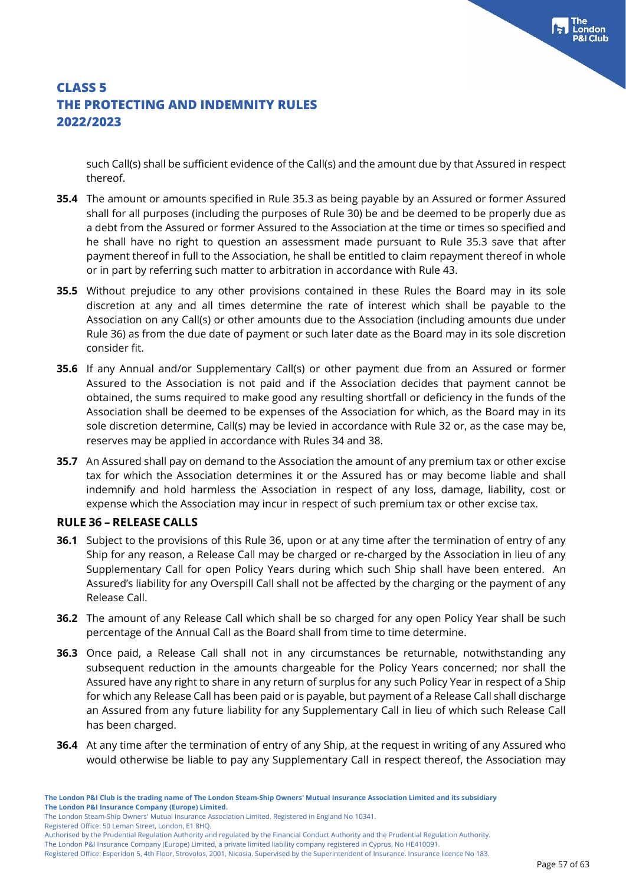such Call(s) shall be sufficient evidence of the Call(s) and the amount due by that Assured in respect thereof.

- **35.4** The amount or amounts specified in Rule 35.3 as being payable by an Assured or former Assured shall for all purposes (including the purposes of Rule 30) be and be deemed to be properly due as a debt from the Assured or former Assured to the Association at the time or times so specified and he shall have no right to question an assessment made pursuant to Rule 35.3 save that after payment thereof in full to the Association, he shall be entitled to claim repayment thereof in whole or in part by referring such matter to arbitration in accordance with Rule 43.
- **35.5** Without prejudice to any other provisions contained in these Rules the Board may in its sole discretion at any and all times determine the rate of interest which shall be payable to the Association on any Call(s) or other amounts due to the Association (including amounts due under Rule 36) as from the due date of payment or such later date as the Board may in its sole discretion consider fit.
- **35.6** If any Annual and/or Supplementary Call(s) or other payment due from an Assured or former Assured to the Association is not paid and if the Association decides that payment cannot be obtained, the sums required to make good any resulting shortfall or deficiency in the funds of the Association shall be deemed to be expenses of the Association for which, as the Board may in its sole discretion determine, Call(s) may be levied in accordance with Rule 32 or, as the case may be, reserves may be applied in accordance with Rules 34 and 38.
- **35.7** An Assured shall pay on demand to the Association the amount of any premium tax or other excise tax for which the Association determines it or the Assured has or may become liable and shall indemnify and hold harmless the Association in respect of any loss, damage, liability, cost or expense which the Association may incur in respect of such premium tax or other excise tax.

#### **RULE 36 – RELEASE CALLS**

- **36.1** Subject to the provisions of this Rule 36, upon or at any time after the termination of entry of any Ship for any reason, a Release Call may be charged or re-charged by the Association in lieu of any Supplementary Call for open Policy Years during which such Ship shall have been entered. An Assured's liability for any Overspill Call shall not be affected by the charging or the payment of any Release Call.
- **36.2** The amount of any Release Call which shall be so charged for any open Policy Year shall be such percentage of the Annual Call as the Board shall from time to time determine.
- **36.3** Once paid, a Release Call shall not in any circumstances be returnable, notwithstanding any subsequent reduction in the amounts chargeable for the Policy Years concerned; nor shall the Assured have any right to share in any return of surplus for any such Policy Year in respect of a Ship for which any Release Call has been paid or is payable, but payment of a Release Call shall discharge an Assured from any future liability for any Supplementary Call in lieu of which such Release Call has been charged.
- **36.4** At any time after the termination of entry of any Ship, at the request in writing of any Assured who would otherwise be liable to pay any Supplementary Call in respect thereof, the Association may

The London Steam-Ship Owners' Mutual Insurance Association Limited. Registered in England No 10341.

Registered Office: 50 Leman Street, London, E1 8HQ.

Authorised by the Prudential Regulation Authority and regulated by the Financial Conduct Authority and the Prudential Regulation Authority.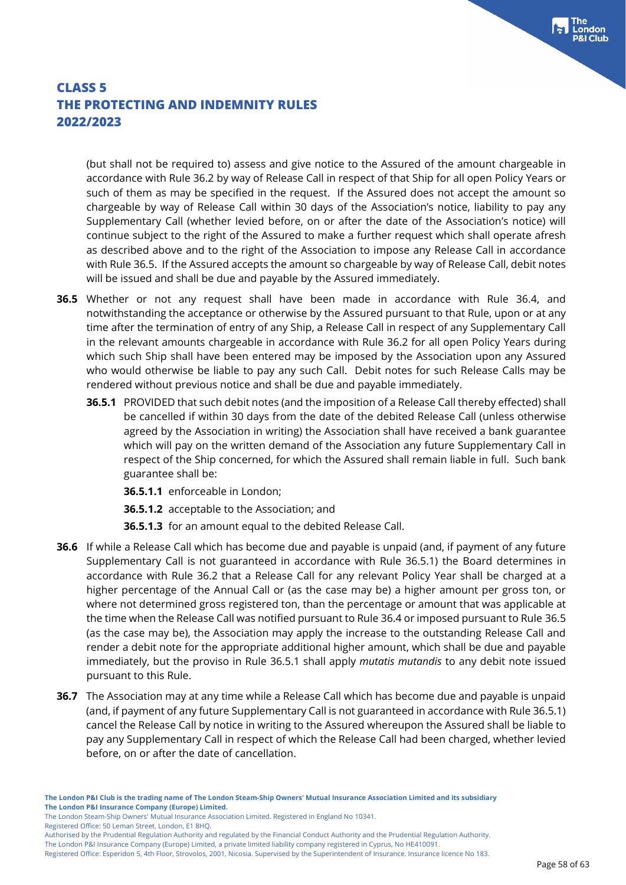(but shall not be required to) assess and give notice to the Assured of the amount chargeable in accordance with Rule 36.2 by way of Release Call in respect of that Ship for all open Policy Years or such of them as may be specified in the request. If the Assured does not accept the amount so chargeable by way of Release Call within 30 days of the Association's notice, liability to pay any Supplementary Call (whether levied before, on or after the date of the Association's notice) will continue subject to the right of the Assured to make a further request which shall operate afresh as described above and to the right of the Association to impose any Release Call in accordance with Rule 36.5. If the Assured accepts the amount so chargeable by way of Release Call, debit notes will be issued and shall be due and payable by the Assured immediately.

- **36.5** Whether or not any request shall have been made in accordance with Rule 36.4, and notwithstanding the acceptance or otherwise by the Assured pursuant to that Rule, upon or at any time after the termination of entry of any Ship, a Release Call in respect of any Supplementary Call in the relevant amounts chargeable in accordance with Rule 36.2 for all open Policy Years during which such Ship shall have been entered may be imposed by the Association upon any Assured who would otherwise be liable to pay any such Call. Debit notes for such Release Calls may be rendered without previous notice and shall be due and payable immediately.
	- **36.5.1** PROVIDED that such debit notes (and the imposition of a Release Call thereby effected) shall be cancelled if within 30 days from the date of the debited Release Call (unless otherwise agreed by the Association in writing) the Association shall have received a bank guarantee which will pay on the written demand of the Association any future Supplementary Call in respect of the Ship concerned, for which the Assured shall remain liable in full. Such bank guarantee shall be:
		- **36.5.1.1** enforceable in London;
		- **36.5.1.2** acceptable to the Association; and
		- **36.5.1.3** for an amount equal to the debited Release Call.
- **36.6** If while a Release Call which has become due and payable is unpaid (and, if payment of any future Supplementary Call is not guaranteed in accordance with Rule 36.5.1) the Board determines in accordance with Rule 36.2 that a Release Call for any relevant Policy Year shall be charged at a higher percentage of the Annual Call or (as the case may be) a higher amount per gross ton, or where not determined gross registered ton, than the percentage or amount that was applicable at the time when the Release Call was notified pursuant to Rule 36.4 or imposed pursuant to Rule 36.5 (as the case may be), the Association may apply the increase to the outstanding Release Call and render a debit note for the appropriate additional higher amount, which shall be due and payable immediately, but the proviso in Rule 36.5.1 shall apply *mutatis mutandis* to any debit note issued pursuant to this Rule.
- **36.7** The Association may at any time while a Release Call which has become due and payable is unpaid (and, if payment of any future Supplementary Call is not guaranteed in accordance with Rule 36.5.1) cancel the Release Call by notice in writing to the Assured whereupon the Assured shall be liable to pay any Supplementary Call in respect of which the Release Call had been charged, whether levied before, on or after the date of cancellation.

The London Steam-Ship Owners' Mutual Insurance Association Limited. Registered in England No 10341.

Registered Office: 50 Leman Street, London, E1 8HQ.

Authorised by the Prudential Regulation Authority and regulated by the Financial Conduct Authority and the Prudential Regulation Authority.

The London P&I Insurance Company (Europe) Limited, a private limited liability company registered in Cyprus, No HE410091. Registered Office: Esperidon 5, 4th Floor, Strovolos, 2001, Nicosia. Supervised by the Superintendent of Insurance. Insurance licence No 183.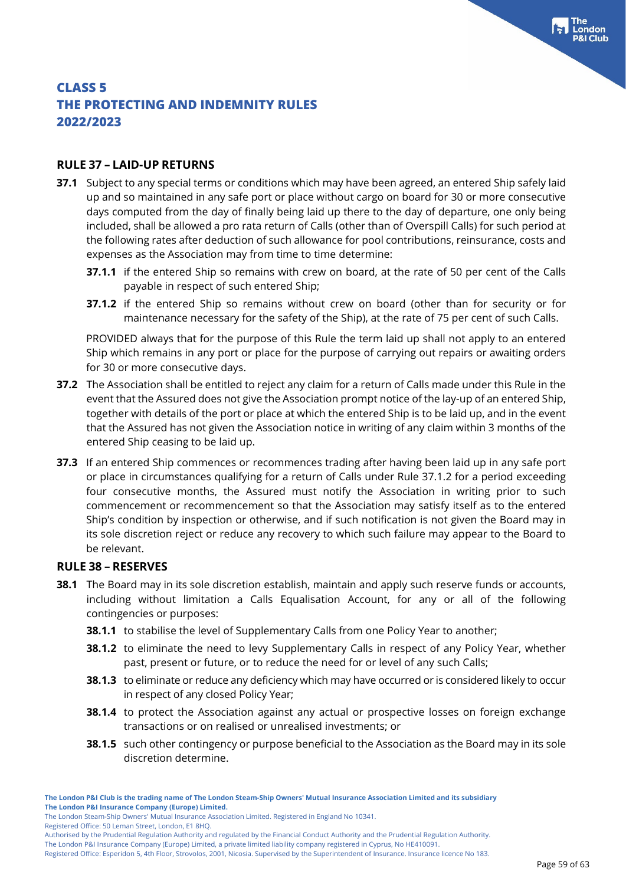### **RULE 37 – LAID-UP RETURNS**

- **37.1** Subject to any special terms or conditions which may have been agreed, an entered Ship safely laid up and so maintained in any safe port or place without cargo on board for 30 or more consecutive days computed from the day of finally being laid up there to the day of departure, one only being included, shall be allowed a pro rata return of Calls (other than of Overspill Calls) for such period at the following rates after deduction of such allowance for pool contributions, reinsurance, costs and expenses as the Association may from time to time determine:
	- **37.1.1** if the entered Ship so remains with crew on board, at the rate of 50 per cent of the Calls payable in respect of such entered Ship;
	- **37.1.2** if the entered Ship so remains without crew on board (other than for security or for maintenance necessary for the safety of the Ship), at the rate of 75 per cent of such Calls.

PROVIDED always that for the purpose of this Rule the term laid up shall not apply to an entered Ship which remains in any port or place for the purpose of carrying out repairs or awaiting orders for 30 or more consecutive days.

- **37.2** The Association shall be entitled to reject any claim for a return of Calls made under this Rule in the event that the Assured does not give the Association prompt notice of the lay-up of an entered Ship, together with details of the port or place at which the entered Ship is to be laid up, and in the event that the Assured has not given the Association notice in writing of any claim within 3 months of the entered Ship ceasing to be laid up.
- **37.3** If an entered Ship commences or recommences trading after having been laid up in any safe port or place in circumstances qualifying for a return of Calls under Rule 37.1.2 for a period exceeding four consecutive months, the Assured must notify the Association in writing prior to such commencement or recommencement so that the Association may satisfy itself as to the entered Ship's condition by inspection or otherwise, and if such notification is not given the Board may in its sole discretion reject or reduce any recovery to which such failure may appear to the Board to be relevant.

#### **RULE 38 – RESERVES**

- **38.1** The Board may in its sole discretion establish, maintain and apply such reserve funds or accounts, including without limitation a Calls Equalisation Account, for any or all of the following contingencies or purposes:
	- **38.1.1** to stabilise the level of Supplementary Calls from one Policy Year to another;
	- **38.1.2** to eliminate the need to levy Supplementary Calls in respect of any Policy Year, whether past, present or future, or to reduce the need for or level of any such Calls;
	- **38.1.3** to eliminate or reduce any deficiency which may have occurred or is considered likely to occur in respect of any closed Policy Year;
	- **38.1.4** to protect the Association against any actual or prospective losses on foreign exchange transactions or on realised or unrealised investments; or
	- **38.1.5** such other contingency or purpose beneficial to the Association as the Board may in its sole discretion determine.

Registered Office: 50 Leman Street, London, E1 8HQ.

The London P&I Insurance Company (Europe) Limited, a private limited liability company registered in Cyprus, No HE410091.

Registered Office: Esperidon 5, 4th Floor, Strovolos, 2001, Nicosia. Supervised by the Superintendent of Insurance. Insurance licence No 183.

**The London P&I Club is the trading name of The London Steam-Ship Owners' Mutual Insurance Association Limited and its subsidiary The London P&I Insurance Company (Europe) Limited.**

The London Steam-Ship Owners' Mutual Insurance Association Limited. Registered in England No 10341.

Authorised by the Prudential Regulation Authority and regulated by the Financial Conduct Authority and the Prudential Regulation Authority.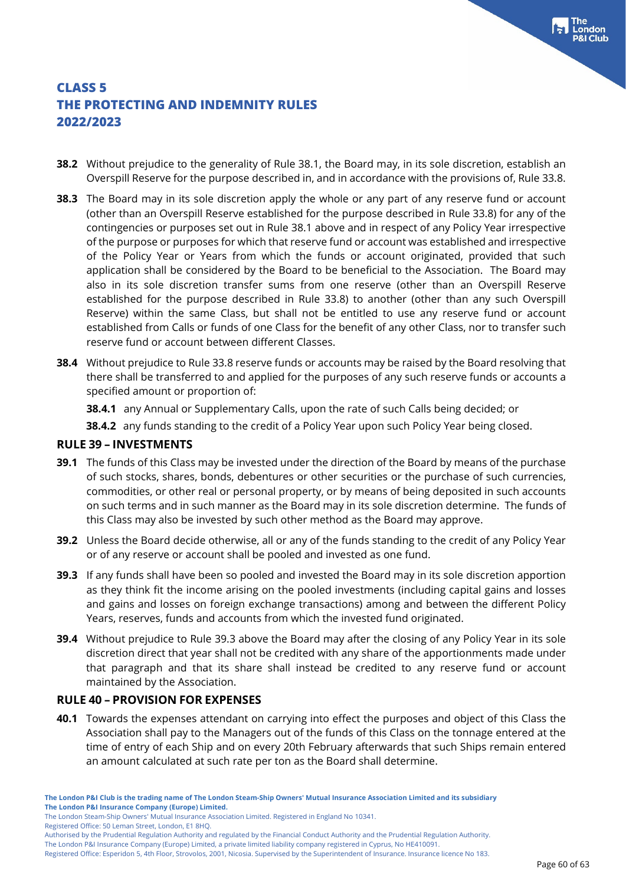- **38.2** Without prejudice to the generality of Rule 38.1, the Board may, in its sole discretion, establish an Overspill Reserve for the purpose described in, and in accordance with the provisions of, Rule 33.8.
- **38.3** The Board may in its sole discretion apply the whole or any part of any reserve fund or account (other than an Overspill Reserve established for the purpose described in Rule 33.8) for any of the contingencies or purposes set out in Rule 38.1 above and in respect of any Policy Year irrespective of the purpose or purposes for which that reserve fund or account was established and irrespective of the Policy Year or Years from which the funds or account originated, provided that such application shall be considered by the Board to be beneficial to the Association. The Board may also in its sole discretion transfer sums from one reserve (other than an Overspill Reserve established for the purpose described in Rule 33.8) to another (other than any such Overspill Reserve) within the same Class, but shall not be entitled to use any reserve fund or account established from Calls or funds of one Class for the benefit of any other Class, nor to transfer such reserve fund or account between different Classes.
- **38.4** Without prejudice to Rule 33.8 reserve funds or accounts may be raised by the Board resolving that there shall be transferred to and applied for the purposes of any such reserve funds or accounts a specified amount or proportion of:
	- **38.4.1** any Annual or Supplementary Calls, upon the rate of such Calls being decided; or
	- **38.4.2** any funds standing to the credit of a Policy Year upon such Policy Year being closed.

#### **RULE 39 – INVESTMENTS**

- **39.1** The funds of this Class may be invested under the direction of the Board by means of the purchase of such stocks, shares, bonds, debentures or other securities or the purchase of such currencies, commodities, or other real or personal property, or by means of being deposited in such accounts on such terms and in such manner as the Board may in its sole discretion determine. The funds of this Class may also be invested by such other method as the Board may approve.
- **39.2** Unless the Board decide otherwise, all or any of the funds standing to the credit of any Policy Year or of any reserve or account shall be pooled and invested as one fund.
- **39.3** If any funds shall have been so pooled and invested the Board may in its sole discretion apportion as they think fit the income arising on the pooled investments (including capital gains and losses and gains and losses on foreign exchange transactions) among and between the different Policy Years, reserves, funds and accounts from which the invested fund originated.
- **39.4** Without prejudice to Rule 39.3 above the Board may after the closing of any Policy Year in its sole discretion direct that year shall not be credited with any share of the apportionments made under that paragraph and that its share shall instead be credited to any reserve fund or account maintained by the Association.

#### **RULE 40 – PROVISION FOR EXPENSES**

**40.1** Towards the expenses attendant on carrying into effect the purposes and object of this Class the Association shall pay to the Managers out of the funds of this Class on the tonnage entered at the time of entry of each Ship and on every 20th February afterwards that such Ships remain entered an amount calculated at such rate per ton as the Board shall determine.

Registered Office: 50 Leman Street, London, E1 8HQ.

The London P&I Insurance Company (Europe) Limited, a private limited liability company registered in Cyprus, No HE410091.

The London Steam-Ship Owners' Mutual Insurance Association Limited. Registered in England No 10341.

Authorised by the Prudential Regulation Authority and regulated by the Financial Conduct Authority and the Prudential Regulation Authority.

Registered Office: Esperidon 5, 4th Floor, Strovolos, 2001, Nicosia. Supervised by the Superintendent of Insurance. Insurance licence No 183.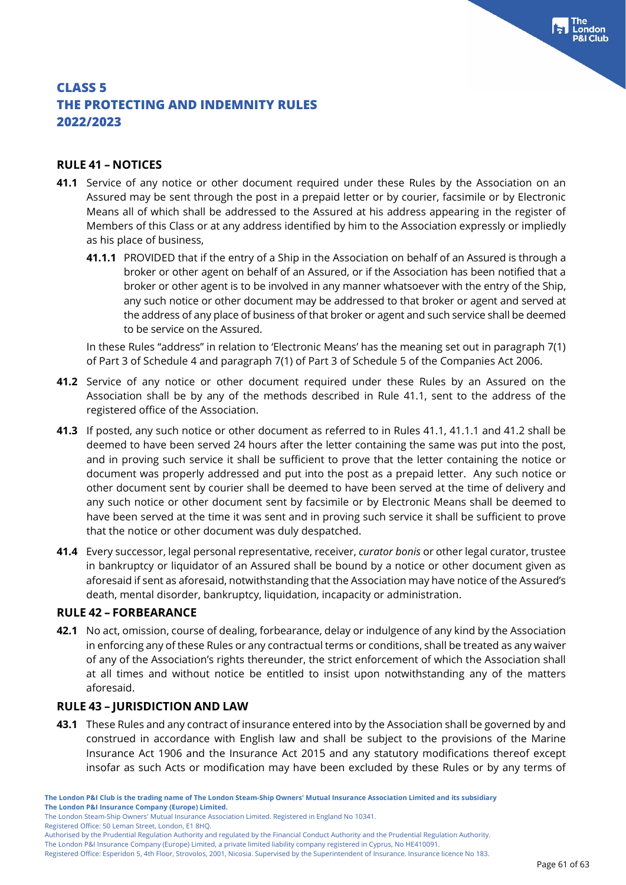### **RULE 41 – NOTICES**

- **41.1** Service of any notice or other document required under these Rules by the Association on an Assured may be sent through the post in a prepaid letter or by courier, facsimile or by Electronic Means all of which shall be addressed to the Assured at his address appearing in the register of Members of this Class or at any address identified by him to the Association expressly or impliedly as his place of business,
	- **41.1.1** PROVIDED that if the entry of a Ship in the Association on behalf of an Assured is through a broker or other agent on behalf of an Assured, or if the Association has been notified that a broker or other agent is to be involved in any manner whatsoever with the entry of the Ship, any such notice or other document may be addressed to that broker or agent and served at the address of any place of business of that broker or agent and such service shall be deemed to be service on the Assured.

In these Rules "address" in relation to 'Electronic Means' has the meaning set out in paragraph 7(1) of Part 3 of Schedule 4 and paragraph 7(1) of Part 3 of Schedule 5 of the Companies Act 2006.

- **41.2** Service of any notice or other document required under these Rules by an Assured on the Association shall be by any of the methods described in Rule 41.1, sent to the address of the registered office of the Association.
- **41.3** If posted, any such notice or other document as referred to in Rules 41.1, 41.1.1 and 41.2 shall be deemed to have been served 24 hours after the letter containing the same was put into the post, and in proving such service it shall be sufficient to prove that the letter containing the notice or document was properly addressed and put into the post as a prepaid letter. Any such notice or other document sent by courier shall be deemed to have been served at the time of delivery and any such notice or other document sent by facsimile or by Electronic Means shall be deemed to have been served at the time it was sent and in proving such service it shall be sufficient to prove that the notice or other document was duly despatched.
- **41.4** Every successor, legal personal representative, receiver, *curator bonis* or other legal curator, trustee in bankruptcy or liquidator of an Assured shall be bound by a notice or other document given as aforesaid if sent as aforesaid, notwithstanding that the Association may have notice of the Assured's death, mental disorder, bankruptcy, liquidation, incapacity or administration.

#### **RULE 42 – FORBEARANCE**

**42.1** No act, omission, course of dealing, forbearance, delay or indulgence of any kind by the Association in enforcing any of these Rules or any contractual terms or conditions, shall be treated as any waiver of any of the Association's rights thereunder, the strict enforcement of which the Association shall at all times and without notice be entitled to insist upon notwithstanding any of the matters aforesaid.

#### **RULE 43 – JURISDICTION AND LAW**

**43.1** These Rules and any contract of insurance entered into by the Association shall be governed by and construed in accordance with English law and shall be subject to the provisions of the Marine Insurance Act 1906 and the Insurance Act 2015 and any statutory modifications thereof except insofar as such Acts or modification may have been excluded by these Rules or by any terms of

Registered Office: 50 Leman Street, London, E1 8HQ.

The London P&I Insurance Company (Europe) Limited, a private limited liability company registered in Cyprus, No HE410091.

The London Steam-Ship Owners' Mutual Insurance Association Limited. Registered in England No 10341.

Authorised by the Prudential Regulation Authority and regulated by the Financial Conduct Authority and the Prudential Regulation Authority.

Registered Office: Esperidon 5, 4th Floor, Strovolos, 2001, Nicosia. Supervised by the Superintendent of Insurance. Insurance licence No 183.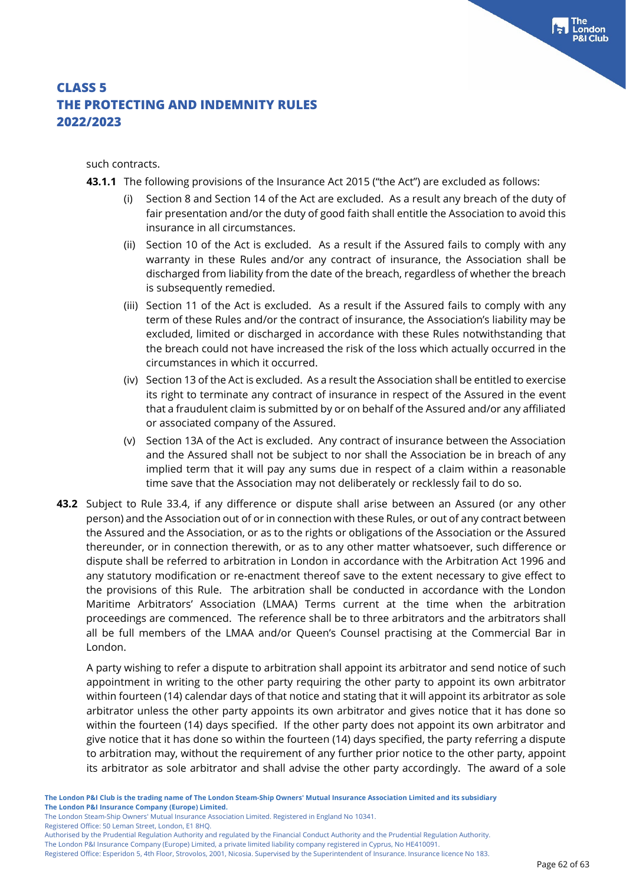such contracts.

**43.1.1** The following provisions of the Insurance Act 2015 ("the Act") are excluded as follows:

- Section 8 and Section 14 of the Act are excluded. As a result any breach of the duty of fair presentation and/or the duty of good faith shall entitle the Association to avoid this insurance in all circumstances.
- (ii) Section 10 of the Act is excluded. As a result if the Assured fails to comply with any warranty in these Rules and/or any contract of insurance, the Association shall be discharged from liability from the date of the breach, regardless of whether the breach is subsequently remedied.
- (iii) Section 11 of the Act is excluded. As a result if the Assured fails to comply with any term of these Rules and/or the contract of insurance, the Association's liability may be excluded, limited or discharged in accordance with these Rules notwithstanding that the breach could not have increased the risk of the loss which actually occurred in the circumstances in which it occurred.
- (iv) Section 13 of the Act is excluded. As a result the Association shall be entitled to exercise its right to terminate any contract of insurance in respect of the Assured in the event that a fraudulent claim is submitted by or on behalf of the Assured and/or any affiliated or associated company of the Assured.
- (v) Section 13A of the Act is excluded. Any contract of insurance between the Association and the Assured shall not be subject to nor shall the Association be in breach of any implied term that it will pay any sums due in respect of a claim within a reasonable time save that the Association may not deliberately or recklessly fail to do so.
- **43.2** Subject to Rule 33.4, if any difference or dispute shall arise between an Assured (or any other person) and the Association out of or in connection with these Rules, or out of any contract between the Assured and the Association, or as to the rights or obligations of the Association or the Assured thereunder, or in connection therewith, or as to any other matter whatsoever, such difference or dispute shall be referred to arbitration in London in accordance with the Arbitration Act 1996 and any statutory modification or re-enactment thereof save to the extent necessary to give effect to the provisions of this Rule. The arbitration shall be conducted in accordance with the London Maritime Arbitrators' Association (LMAA) Terms current at the time when the arbitration proceedings are commenced. The reference shall be to three arbitrators and the arbitrators shall all be full members of the LMAA and/or Queen's Counsel practising at the Commercial Bar in London.

A party wishing to refer a dispute to arbitration shall appoint its arbitrator and send notice of such appointment in writing to the other party requiring the other party to appoint its own arbitrator within fourteen (14) calendar days of that notice and stating that it will appoint its arbitrator as sole arbitrator unless the other party appoints its own arbitrator and gives notice that it has done so within the fourteen (14) days specified. If the other party does not appoint its own arbitrator and give notice that it has done so within the fourteen (14) days specified, the party referring a dispute to arbitration may, without the requirement of any further prior notice to the other party, appoint its arbitrator as sole arbitrator and shall advise the other party accordingly. The award of a sole

Registered Office: 50 Leman Street, London, E1 8HQ.

The London P&I Insurance Company (Europe) Limited, a private limited liability company registered in Cyprus, No HE410091.

The London Steam-Ship Owners' Mutual Insurance Association Limited. Registered in England No 10341.

Authorised by the Prudential Regulation Authority and regulated by the Financial Conduct Authority and the Prudential Regulation Authority.

Registered Office: Esperidon 5, 4th Floor, Strovolos, 2001, Nicosia. Supervised by the Superintendent of Insurance. Insurance licence No 183.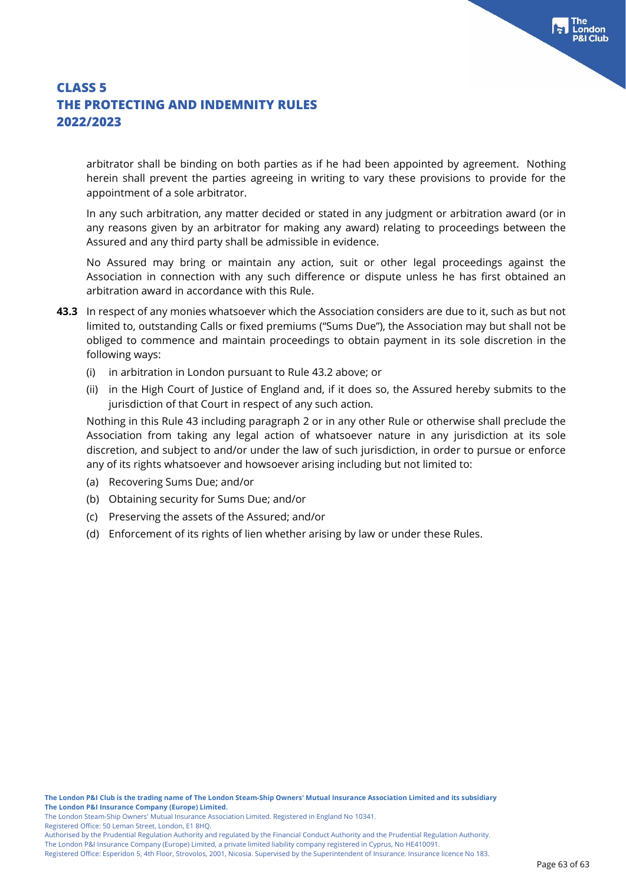arbitrator shall be binding on both parties as if he had been appointed by agreement. Nothing herein shall prevent the parties agreeing in writing to vary these provisions to provide for the appointment of a sole arbitrator.

In any such arbitration, any matter decided or stated in any judgment or arbitration award (or in any reasons given by an arbitrator for making any award) relating to proceedings between the Assured and any third party shall be admissible in evidence.

No Assured may bring or maintain any action, suit or other legal proceedings against the Association in connection with any such difference or dispute unless he has first obtained an arbitration award in accordance with this Rule.

- **43.3** In respect of any monies whatsoever which the Association considers are due to it, such as but not limited to, outstanding Calls or fixed premiums ("Sums Due"), the Association may but shall not be obliged to commence and maintain proceedings to obtain payment in its sole discretion in the following ways:
	- (i) in arbitration in London pursuant to Rule 43.2 above; or
	- (ii) in the High Court of Justice of England and, if it does so, the Assured hereby submits to the jurisdiction of that Court in respect of any such action.

Nothing in this Rule 43 including paragraph 2 or in any other Rule or otherwise shall preclude the Association from taking any legal action of whatsoever nature in any jurisdiction at its sole discretion, and subject to and/or under the law of such jurisdiction, in order to pursue or enforce any of its rights whatsoever and howsoever arising including but not limited to:

- (a) Recovering Sums Due; and/or
- (b) Obtaining security for Sums Due; and/or
- (c) Preserving the assets of the Assured; and/or
- (d) Enforcement of its rights of lien whether arising by law or under these Rules.

Registered Office: 50 Leman Street, London, E1 8HQ.

The London Steam-Ship Owners' Mutual Insurance Association Limited. Registered in England No 10341.

Authorised by the Prudential Regulation Authority and regulated by the Financial Conduct Authority and the Prudential Regulation Authority.

Registered Office: Esperidon 5, 4th Floor, Strovolos, 2001, Nicosia. Supervised by the Superintendent of Insurance. Insurance licence No 183.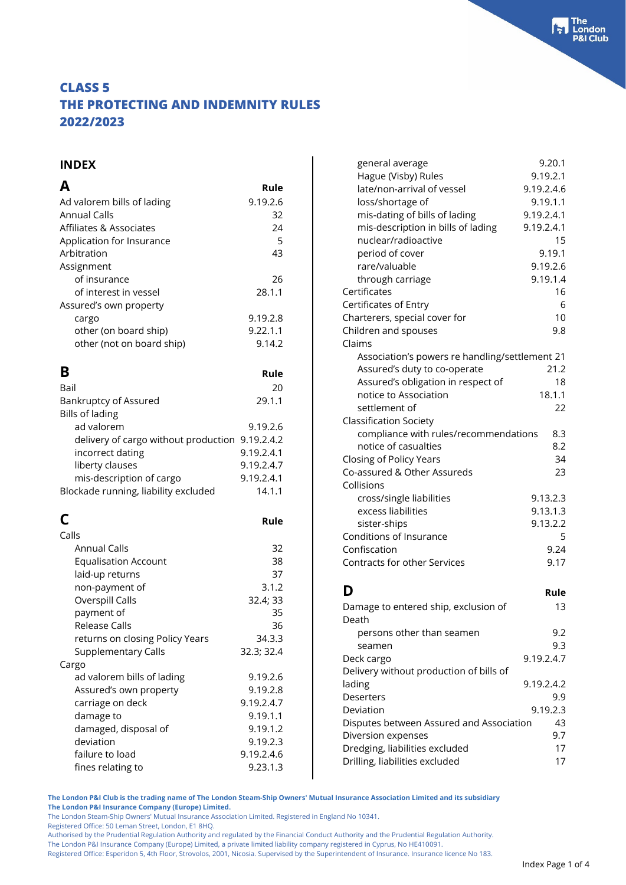#### **INDEX**

|                            | Rule     |
|----------------------------|----------|
| Ad valorem bills of lading | 9.19.2.6 |
| <b>Annual Calls</b>        | 32       |
| Affiliates & Associates    | 24       |
| Application for Insurance  | 5        |
| Arbitration                | 43       |
| Assignment                 |          |
| of insurance               | 26       |
| of interest in vessel      | 28.1.1   |
| Assured's own property     |          |
| cargo                      | 9.19.2.8 |
| other (on board ship)      | 9.22.1.1 |
| other (not on board ship)  | 9.14.2   |
|                            |          |

| B                                               | Rule       |
|-------------------------------------------------|------------|
| Bail                                            | 20         |
| <b>Bankruptcy of Assured</b>                    | 29.1.1     |
| <b>Bills of lading</b>                          |            |
| ad valorem                                      | 9.19.2.6   |
| delivery of cargo without production 9.19.2.4.2 |            |
| incorrect dating                                | 9.19.2.4.1 |
| liberty clauses                                 | 9.19.2.4.7 |
| mis-description of cargo                        | 9.19.2.4.1 |
| Blockade running, liability excluded            | 14.1.1     |

|                                 | Rule       |
|---------------------------------|------------|
| Calls                           |            |
| <b>Annual Calls</b>             | 32         |
| <b>Equalisation Account</b>     | 38         |
| laid-up returns                 | 37         |
| non-payment of                  | 3.1.2      |
| Overspill Calls                 | 32.4; 33   |
| payment of                      | 35         |
| Release Calls                   | 36         |
| returns on closing Policy Years | 34.3.3     |
| Supplementary Calls             | 32.3; 32.4 |
| Cargo                           |            |
| ad valorem bills of lading      | 9.19.2.6   |
| Assured's own property          | 9.19.2.8   |
| carriage on deck                | 9.19.2.4.7 |
| damage to                       | 9.19.1.1   |
| damaged, disposal of            | 9.19.1.2   |
| deviation                       | 9.19.2.3   |
| failure to load                 | 9.19.2.4.6 |
| fines relating to               | 9.23.1.3   |
|                                 |            |

| general average                                | 9.20.1     |
|------------------------------------------------|------------|
| Hague (Visby) Rules                            | 9.19.2.1   |
| late/non-arrival of vessel                     | 9.19.2.4.6 |
| loss/shortage of                               | 9.19.1.1   |
| mis-dating of bills of lading                  | 9.19.2.4.1 |
| mis-description in bills of lading             | 9.19.2.4.1 |
| nuclear/radioactive                            | 15         |
| period of cover                                | 9.19.1     |
| rare/valuable                                  | 9.19.2.6   |
|                                                |            |
| through carriage                               | 9.19.1.4   |
| Certificates                                   | 16         |
| Certificates of Entry                          | 6          |
| Charterers, special cover for                  | 10         |
| Children and spouses                           | 9.8        |
| Claims                                         |            |
| Association's powers re handling/settlement 21 |            |
| Assured's duty to co-operate                   | 21.2       |
| Assured's obligation in respect of             | 18         |
| notice to Association                          | 18.1.1     |
| settlement of                                  | 22         |
| <b>Classification Society</b>                  |            |
| compliance with rules/recommendations          | 8.3        |
| notice of casualties                           | 8.2        |
|                                                | 34         |
| Closing of Policy Years                        |            |
| Co-assured & Other Assureds                    | 23         |
| Collisions                                     |            |
| cross/single liabilities                       | 9.13.2.3   |
| excess liabilities                             | 9.13.1.3   |
| sister-ships                                   | 9.13.2.2   |
| Conditions of Insurance                        | 5          |
| Confiscation                                   | 9.24       |
| <b>Contracts for other Services</b>            | 9.17       |
|                                                |            |
| D                                              | Rule       |
|                                                |            |
| Damage to entered ship, exclusion of           | 13         |
| Death                                          |            |
| persons other than seamen                      | 9.2        |
| seamen                                         | 9.3        |
| Deck cargo                                     | 9.19.2.4.7 |
| Delivery without production of bills of        |            |
| lading                                         | 9.19.2.4.2 |
| <b>Deserters</b>                               | 9.9        |
| Deviation                                      | 9.19.2.3   |
| Disputes between Assured and Association       | 43         |
| Diversion expenses                             | 9.7        |
| Dredging, liabilities excluded                 | 17         |
|                                                |            |

Drilling, liabilities excluded 17

**The London P&I Club is the trading name of The London Steam-Ship Owners' Mutual Insurance Association Limited and its subsidiary The London P&I Insurance Company (Europe) Limited.**

The London Steam-Ship Owners' Mutual Insurance Association Limited. Registered in England No 10341.

Registered Office: 50 Leman Street, London, E1 8HQ.

Authorised by the Prudential Regulation Authority and regulated by the Financial Conduct Authority and the Prudential Regulation Authority.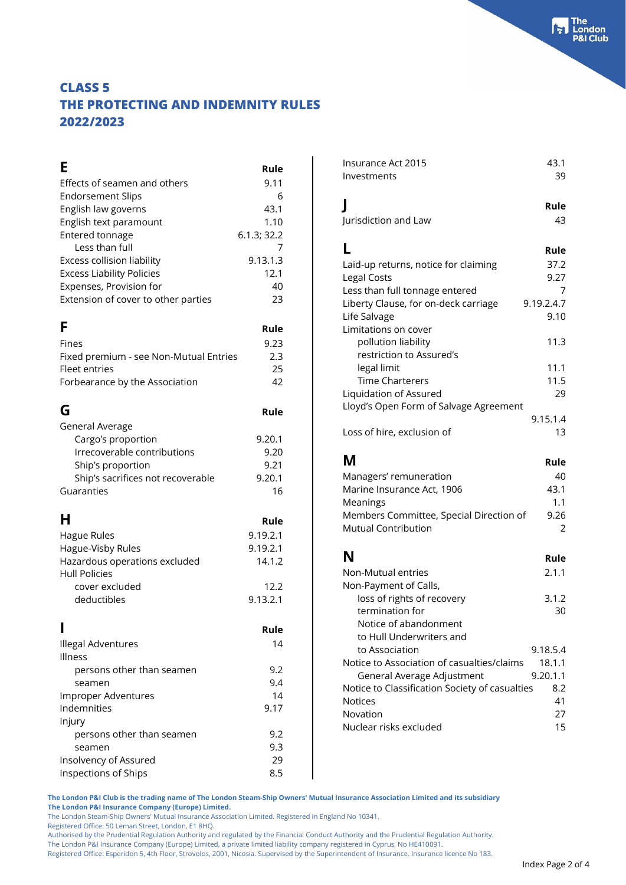### **E** Rule Effects of seamen and others 9.11 Endorsement Slips 6 English law governs 1999 and the 43.1 English text paramount 1.10 Entered tonnage 6.1.3; 32.2 Less than full the state of the sess collision liability the session of the session of the session of the session of the session of the session of the session of the session of the session of the session of the session of Excess collision liability Excess Liability Policies 12.1 Expenses, Provision for **40** Extension of cover to other parties 23 **F** Rule Fines 9.23 Fixed premium - see Non-Mutual Entries 2.3 Fleet entries 25 Forbearance by the Association 42 **G** Rule General Average Cargo's proportion 9.20.1 Irrecoverable contributions 9.20 Ship's proportion 9.21 Ship's sacrifices not recoverable 9.20.1 Guaranties 16 **H Rule** Hague Rules 8.19.2.1 Hague-Visby Rules 8.19.2.1 Hazardous operations excluded 14.1.2 Hull Policies cover excluded 12.2 deductibles 9.13.2.1 **I Rule** Illegal Adventures 14 Illness persons other than seamen measured by 9.2 seamen 9.4 Improper Adventures 14 Indemnities 9.17 Injury persons other than seamen 19.2 seamen 9.3 Insolvency of Assured 29 Inspections of Ships 8.5

| Insurance Act 2015<br>Investments                                                                                                                                                                                                                                                                                                          | 43.1<br>39                                                                    |
|--------------------------------------------------------------------------------------------------------------------------------------------------------------------------------------------------------------------------------------------------------------------------------------------------------------------------------------------|-------------------------------------------------------------------------------|
| I<br>Jurisdiction and Law                                                                                                                                                                                                                                                                                                                  | Rule<br>43                                                                    |
| L<br>Laid-up returns, notice for claiming<br>Legal Costs<br>Less than full tonnage entered<br>Liberty Clause, for on-deck carriage<br>Life Salvage<br>Limitations on cover<br>pollution liability<br>restriction to Assured's<br>legal limit<br><b>Time Charterers</b><br>Liquidation of Assured<br>Lloyd's Open Form of Salvage Agreement | Rule<br>37.2<br>9.27<br>7<br>9.19.2.4.7<br>9.10<br>11.3<br>11.1<br>11.5<br>29 |
| Loss of hire, exclusion of                                                                                                                                                                                                                                                                                                                 | 9.15.1.4<br>13                                                                |
| Μ                                                                                                                                                                                                                                                                                                                                          |                                                                               |
| Managers' remuneration<br>Marine Insurance Act, 1906<br>Meanings<br>Members Committee, Special Direction of<br><b>Mutual Contribution</b>                                                                                                                                                                                                  | Rule<br>40<br>43.1<br>1.1<br>9.26<br>2                                        |
| N<br>Non-Mutual entries<br>Non-Payment of Calls,<br>loss of rights of recovery<br>termination for<br>Notice of abandonment<br>to Hull Underwriters and<br>to Association                                                                                                                                                                   | Rule<br>2.1.1<br>3.1.2<br>30<br>9.18.5.4                                      |

**The London P&I Club is the trading name of The London Steam-Ship Owners' Mutual Insurance Association Limited and its subsidiary The London P&I Insurance Company (Europe) Limited.**

The London Steam-Ship Owners' Mutual Insurance Association Limited. Registered in England No 10341.

Registered Office: 50 Leman Street, London, E1 8HQ.

Authorised by the Prudential Regulation Authority and regulated by the Financial Conduct Authority and the Prudential Regulation Authority.

The London P&I Insurance Company (Europe) Limited, a private limited liability company registered in Cyprus, No HE410091.

Registered Office: Esperidon 5, 4th Floor, Strovolos, 2001, Nicosia. Supervised by the Superintendent of Insurance. Insurance licence No 183.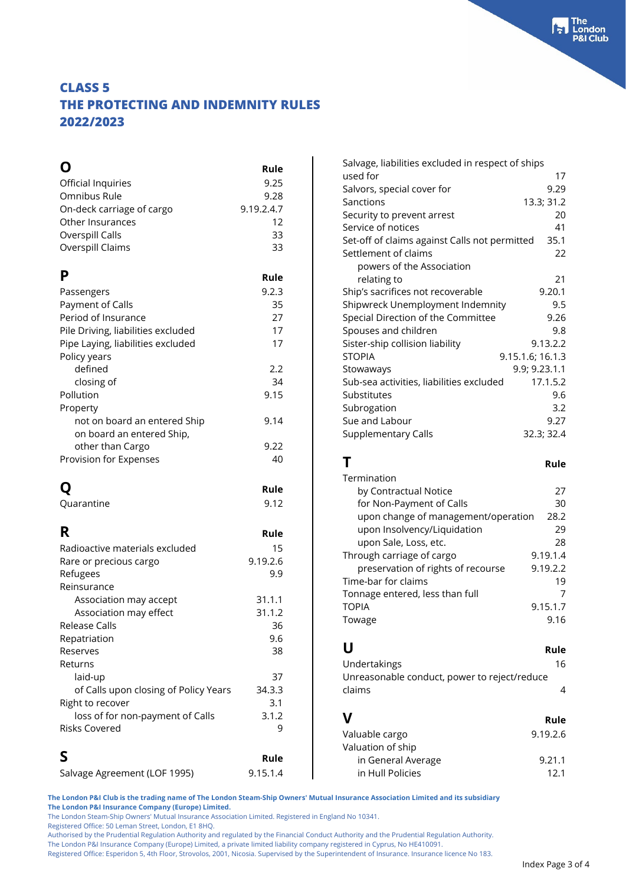| O                                                                                                                                           | Rule                              |
|---------------------------------------------------------------------------------------------------------------------------------------------|-----------------------------------|
| Official Inquiries                                                                                                                          | 9.25                              |
| Omnibus Rule                                                                                                                                | 9.28                              |
| On-deck carriage of cargo                                                                                                                   | 9.19.2.4.7                        |
| Other Insurances                                                                                                                            | 12                                |
| Overspill Calls                                                                                                                             | 33                                |
| Overspill Claims                                                                                                                            | 33                                |
| P                                                                                                                                           | Rule                              |
| Passengers                                                                                                                                  | 9.2.3                             |
| Payment of Calls                                                                                                                            | 35                                |
| Period of Insurance                                                                                                                         | 27                                |
| Pile Driving, liabilities excluded                                                                                                          | 17                                |
| Pipe Laying, liabilities excluded                                                                                                           | 17                                |
| Policy years<br>defined<br>closing of<br>Pollution<br>Property                                                                              | 2.2<br>34<br>9.15                 |
| not on board an entered Ship<br>on board an entered Ship,<br>other than Cargo<br>Provision for Expenses                                     | 9.14<br>9.22<br>40                |
| Q                                                                                                                                           | Rule                              |
| Quarantine                                                                                                                                  | 9.12                              |
| R<br>Radioactive materials excluded<br>Rare or precious cargo<br>Refugees<br>Reinsurance                                                    | Rule<br>15<br>9.19.2.6<br>9.9     |
| Association may accept                                                                                                                      | 31.1.1                            |
| Association may effect                                                                                                                      | 31.1.2                            |
| Release Calls                                                                                                                               | 36                                |
| Repatriation                                                                                                                                | 9.6                               |
| Reserves                                                                                                                                    | 38                                |
| Returns<br>laid-up<br>of Calls upon closing of Policy Years<br>Right to recover<br>loss of for non-payment of Calls<br><b>Risks Covered</b> | 37<br>34.3.3<br>3.1<br>3.1.2<br>9 |
| S                                                                                                                                           | Rule                              |
| Salvage Agreement (LOF 1995)                                                                                                                | 9.15.1.4                          |

| Salvage, liabilities excluded in respect of ships |                  |
|---------------------------------------------------|------------------|
| used for                                          | 17               |
| Salvors, special cover for                        | 9.29             |
| Sanctions                                         | 13.3; 31.2       |
| Security to prevent arrest                        | 20               |
| Service of notices                                | 41               |
| Set-off of claims against Calls not permitted     | 35.1             |
| Settlement of claims                              | 22               |
| powers of the Association                         |                  |
| relating to                                       | 21               |
| Ship's sacrifices not recoverable                 | 9.20.1           |
| Shipwreck Unemployment Indemnity                  | 9.5              |
| Special Direction of the Committee                | 9.26             |
| Spouses and children                              | 9.8              |
| Sister-ship collision liability                   | 9.13.2.2         |
| <b>STOPIA</b>                                     | 9.15.1.6; 16.1.3 |
| Stowaways                                         | 9.9; 9.23.1.1    |
| Sub-sea activities, liabilities excluded          | 17.1.5.2         |
| Substitutes                                       | 9.6              |
| Subrogation                                       | 3.2              |
| Sue and Labour                                    | 9.27             |
| <b>Supplementary Calls</b>                        | 32.3; 32.4       |
|                                                   |                  |
| Τ                                                 | Rule             |
| Termination                                       |                  |
| by Contractual Notice                             | 27               |
|                                                   |                  |

| $\epsilon$                                  |
|---------------------------------------------|
| 30                                          |
| upon change of management/operation<br>28.2 |
| 29                                          |
| 28                                          |
| 9.19.1.4                                    |
| 9.19.2.2                                    |
| 19                                          |
|                                             |
| 9.15.1.7                                    |
| 9.16                                        |
|                                             |

| U            | Rule |
|--------------|------|
| Undertakings | 16   |

| ------------------                           |      |
|----------------------------------------------|------|
| Unreasonable conduct, power to reject/reduce |      |
| claims                                       |      |
|                                              |      |
| V                                            | Rule |
| Valuahle caroo<br>$91976$                    |      |

| Valuable cargo     | 9.19.2.6 |
|--------------------|----------|
| Valuation of ship  |          |
| in General Average | 9.21.1   |
| in Hull Policies   | 12.1     |
|                    |          |

**The London P&I Club is the trading name of The London Steam-Ship Owners' Mutual Insurance Association Limited and its subsidiary The London P&I Insurance Company (Europe) Limited.**

The London Steam-Ship Owners' Mutual Insurance Association Limited. Registered in England No 10341.

Registered Office: 50 Leman Street, London, E1 8HQ.

Authorised by the Prudential Regulation Authority and regulated by the Financial Conduct Authority and the Prudential Regulation Authority.

The London P&I Insurance Company (Europe) Limited, a private limited liability company registered in Cyprus, No HE410091.

Registered Office: Esperidon 5, 4th Floor, Strovolos, 2001, Nicosia. Supervised by the Superintendent of Insurance. Insurance licence No 183.